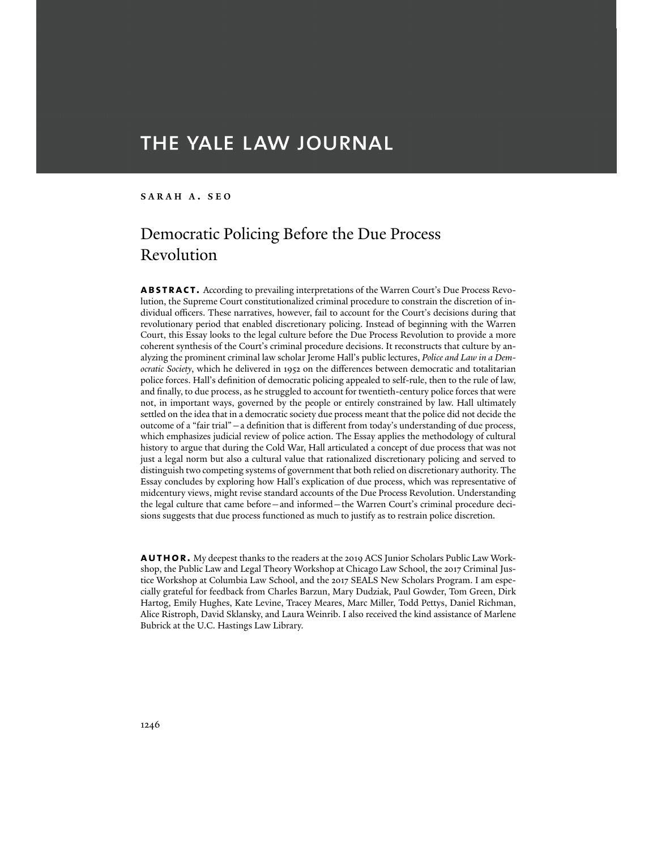# THE YALE LAW JOURNAL

### **SARAH A . SEO**

## Democratic Policing Before the Due Process Revolution

**abstract.** According to prevailing interpretations of the Warren Court's Due Process Revolution, the Supreme Court constitutionalized criminal procedure to constrain the discretion of individual officers. These narratives, however, fail to account for the Court's decisions during that revolutionary period that enabled discretionary policing. Instead of beginning with the Warren Court, this Essay looks to the legal culture before the Due Process Revolution to provide a more coherent synthesis of the Court's criminal procedure decisions. It reconstructs that culture by analyzing the prominent criminal law scholar Jerome Hall's public lectures, *Police and Law in a Democratic Society*, which he delivered in 1952 on the differences between democratic and totalitarian police forces. Hall's definition of democratic policing appealed to self-rule, then to the rule of law, and finally, to due process, as he struggled to account for twentieth-century police forces that were not, in important ways, governed by the people or entirely constrained by law. Hall ultimately settled on the idea that in a democratic society due process meant that the police did not decide the outcome of a "fair trial"—a definition that is different from today's understanding of due process, which emphasizes judicial review of police action. The Essay applies the methodology of cultural history to argue that during the Cold War, Hall articulated a concept of due process that was not just a legal norm but also a cultural value that rationalized discretionary policing and served to distinguish two competing systems of government that both relied on discretionary authority. The Essay concludes by exploring how Hall's explication of due process, which was representative of midcentury views, might revise standard accounts of the Due Process Revolution. Understanding the legal culture that came before—and informed—the Warren Court's criminal procedure decisions suggests that due process functioned as much to justify as to restrain police discretion.

**AUTHOR.** My deepest thanks to the readers at the 2019 ACS Junior Scholars Public Law Workshop, the Public Law and Legal Theory Workshop at Chicago Law School, the 2017 Criminal Justice Workshop at Columbia Law School, and the 2017 SEALS New Scholars Program. I am especially grateful for feedback from Charles Barzun, Mary Dudziak, Paul Gowder, Tom Green, Dirk Hartog, Emily Hughes, Kate Levine, Tracey Meares, Marc Miller, Todd Pettys, Daniel Richman, Alice Ristroph, David Sklansky, and Laura Weinrib. I also received the kind assistance of Marlene Bubrick at the U.C. Hastings Law Library.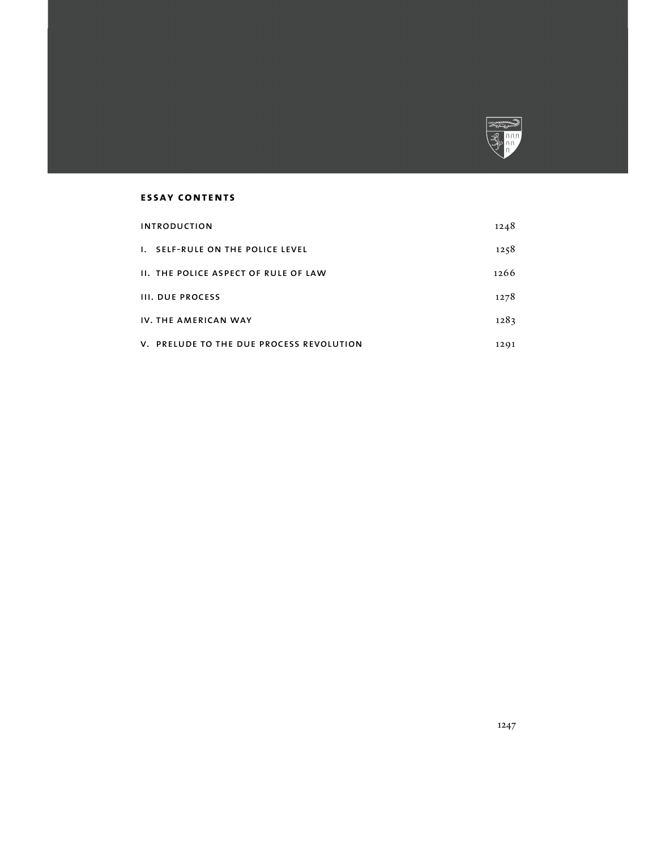

## **essay contents**

| <b>INTRODUCTION</b>                                  | 1248 |
|------------------------------------------------------|------|
| <b>SELF-RULE ON THE POLICE LEVEL</b><br>$\mathbf{L}$ | 1258 |
| <b>II. THE POLICE ASPECT OF RULE OF LAW</b>          | 1266 |
| <b>III. DUE PROCESS</b>                              | 1278 |
| IV. THE AMERICAN WAY                                 | 1283 |
| V. PRELUDE TO THE DUE PROCESS REVOLUTION             | 1201 |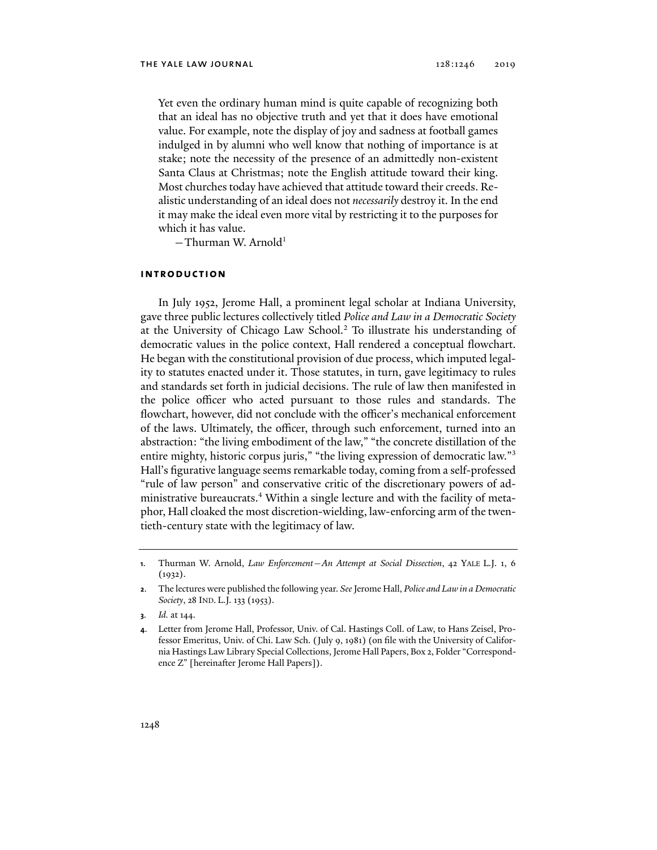Yet even the ordinary human mind is quite capable of recognizing both that an ideal has no objective truth and yet that it does have emotional value. For example, note the display of joy and sadness at football games indulged in by alumni who well know that nothing of importance is at stake; note the necessity of the presence of an admittedly non-existent Santa Claus at Christmas; note the English attitude toward their king. Most churches today have achieved that attitude toward their creeds. Realistic understanding of an ideal does not *necessarily* destroy it. In the end it may make the ideal even more vital by restricting it to the purposes for which it has value.

 $-$ Thurman W. Arnold<sup>1</sup>

#### **introduction**

In July 1952, Jerome Hall, a prominent legal scholar at Indiana University, gave three public lectures collectively titled *Police and Law in a Democratic Society* at the University of Chicago Law School.2 To illustrate his understanding of democratic values in the police context, Hall rendered a conceptual flowchart. He began with the constitutional provision of due process, which imputed legality to statutes enacted under it. Those statutes, in turn, gave legitimacy to rules and standards set forth in judicial decisions. The rule of law then manifested in the police officer who acted pursuant to those rules and standards. The flowchart, however, did not conclude with the officer's mechanical enforcement of the laws. Ultimately, the officer, through such enforcement, turned into an abstraction: "the living embodiment of the law," "the concrete distillation of the entire mighty, historic corpus juris," "the living expression of democratic law."<sup>3</sup> Hall's figurative language seems remarkable today, coming from a self-professed "rule of law person" and conservative critic of the discretionary powers of administrative bureaucrats.4 Within a single lecture and with the facility of metaphor, Hall cloaked the most discretion-wielding, law-enforcing arm of the twentieth-century state with the legitimacy of law.

**<sup>1</sup>**. Thurman W. Arnold, *Law Enforcement—An Attempt at Social Dissection*, 42 YALE L.J. 1, 6  $(1932).$ 

**<sup>2</sup>**. The lectures were published the following year. *See* Jerome Hall, *Police and Law in a Democratic Society*, 28 IND. L.J. 133 (1953).

**<sup>3</sup>***. Id.* at 144.

**<sup>4</sup>**. Letter from Jerome Hall, Professor, Univ. of Cal. Hastings Coll. of Law, to Hans Zeisel, Professor Emeritus, Univ. of Chi. Law Sch. (July 9, 1981) (on file with the University of California Hastings Law Library Special Collections, Jerome Hall Papers, Box 2, Folder "Correspondence Z" [hereinafter Jerome Hall Papers]).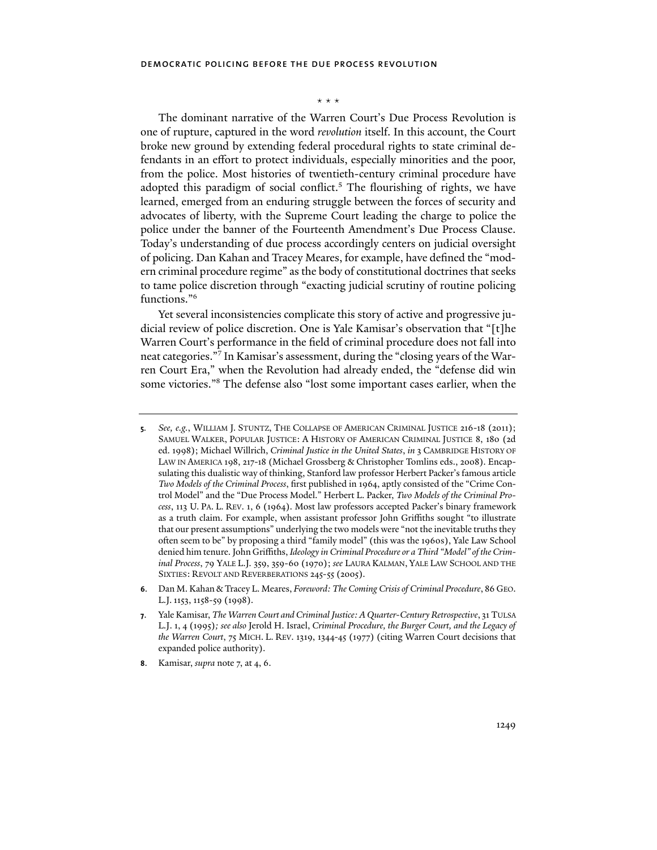#### \* \* \*

The dominant narrative of the Warren Court's Due Process Revolution is one of rupture, captured in the word *revolution* itself. In this account, the Court broke new ground by extending federal procedural rights to state criminal defendants in an effort to protect individuals, especially minorities and the poor, from the police. Most histories of twentieth-century criminal procedure have adopted this paradigm of social conflict.<sup>5</sup> The flourishing of rights, we have learned, emerged from an enduring struggle between the forces of security and advocates of liberty, with the Supreme Court leading the charge to police the police under the banner of the Fourteenth Amendment's Due Process Clause. Today's understanding of due process accordingly centers on judicial oversight of policing. Dan Kahan and Tracey Meares, for example, have defined the "modern criminal procedure regime" as the body of constitutional doctrines that seeks to tame police discretion through "exacting judicial scrutiny of routine policing functions."6

Yet several inconsistencies complicate this story of active and progressive judicial review of police discretion. One is Yale Kamisar's observation that "[t]he Warren Court's performance in the field of criminal procedure does not fall into neat categories."7 In Kamisar's assessment, during the "closing years of the Warren Court Era," when the Revolution had already ended, the "defense did win some victories."8 The defense also "lost some important cases earlier, when the

**6**. Dan M. Kahan & Tracey L. Meares, *Foreword: The Coming Crisis of Criminal Procedure*, 86 GEO. L.J.1153, 1158-59 (1998).

**8**. Kamisar, *supra* note 7, at 4, 6.

**<sup>5</sup>***. See, e.g.*, WILLIAM J. STUNTZ, THE COLLAPSE OF AMERICAN CRIMINAL JUSTICE 216-18 (2011); SAMUEL WALKER, POPULAR JUSTICE: A HISTORY OF AMERICAN CRIMINAL JUSTICE 8, 180 (2d ed. 1998); Michael Willrich, *Criminal Justice in the United States*, *in* 3 CAMBRIDGE HISTORY OF LAW IN AMERICA 198, 217-18 (Michael Grossberg & Christopher Tomlins eds., 2008). Encapsulating this dualistic way of thinking, Stanford law professor Herbert Packer's famous article *Two Models of the Criminal Process*, first published in 1964, aptly consisted of the "Crime Control Model" and the "Due Process Model." Herbert L. Packer, *Two Models of the Criminal Process*, 113 U. PA. L. REV. 1, 6 (1964). Most law professors accepted Packer's binary framework as a truth claim. For example, when assistant professor John Griffiths sought "to illustrate that our present assumptions" underlying the two models were "not the inevitable truths they often seem to be" by proposing a third "family model" (this was the 1960s), Yale Law School denied him tenure. John Griffiths, *Ideology in Criminal Procedure or a Third "Model" of the Criminal Process*, 79 YALE L.J. 359, 359-60 (1970); *see* LAURA KALMAN, YALE LAW SCHOOL AND THE SIXTIES: REVOLT AND REVERBERATIONS 245-55 (2005).

**<sup>7</sup>**. Yale Kamisar, *The Warren Court and Criminal Justice: A Quarter-Century Retrospective*, 31 TULSA L.J. 1, 4 (1995)*; see also* Jerold H. Israel, *Criminal Procedure, the Burger Court, and the Legacy of the Warren Court*, 75 MICH. L. REV. 1319, 1344-45 (1977) (citing Warren Court decisions that expanded police authority).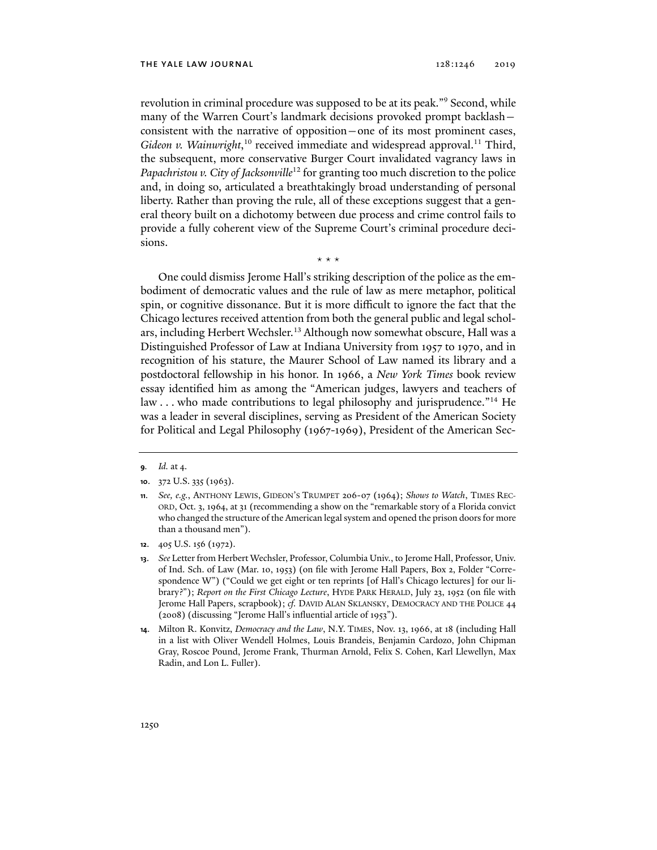revolution in criminal procedure was supposed to be at its peak."9 Second, while many of the Warren Court's landmark decisions provoked prompt backlash consistent with the narrative of opposition—one of its most prominent cases, Gideon v. Wainwright,<sup>10</sup> received immediate and widespread approval.<sup>11</sup> Third, the subsequent, more conservative Burger Court invalidated vagrancy laws in *Papachristou v. City of Jacksonville*12 for granting too much discretion to the police and, in doing so, articulated a breathtakingly broad understanding of personal liberty. Rather than proving the rule, all of these exceptions suggest that a general theory built on a dichotomy between due process and crime control fails to provide a fully coherent view of the Supreme Court's criminal procedure decisions.

\* \* \*

One could dismiss Jerome Hall's striking description of the police as the embodiment of democratic values and the rule of law as mere metaphor, political spin, or cognitive dissonance. But it is more difficult to ignore the fact that the Chicago lectures received attention from both the general public and legal scholars, including Herbert Wechsler.<sup>13</sup> Although now somewhat obscure, Hall was a Distinguished Professor of Law at Indiana University from 1957 to 1970, and in recognition of his stature, the Maurer School of Law named its library and a postdoctoral fellowship in his honor. In 1966, a *New York Times* book review essay identified him as among the "American judges, lawyers and teachers of law . . . who made contributions to legal philosophy and jurisprudence."<sup>14</sup> He was a leader in several disciplines, serving as President of the American Society for Political and Legal Philosophy (1967-1969), President of the American Sec-

**<sup>9</sup>***. Id.* at 4.

**<sup>10</sup>**. 372 U.S. 335 (1963).

**<sup>11</sup>***. See, e.g.*, ANTHONY LEWIS, GIDEON'S TRUMPET 206-07 (1964); *Shows to Watch*, TIMES REC-ORD, Oct. 3, 1964, at 31 (recommending a show on the "remarkable story of a Florida convict who changed the structure of the American legal system and opened the prison doors for more than a thousand men").

**<sup>12</sup>**. 405 U.S. 156 (1972).

**<sup>13</sup>**. *See* Letter from Herbert Wechsler, Professor, Columbia Univ., to Jerome Hall, Professor, Univ. of Ind. Sch. of Law (Mar. 10, 1953) (on file with Jerome Hall Papers, Box 2, Folder "Correspondence W") ("Could we get eight or ten reprints [of Hall's Chicago lectures] for our library?"); *Report on the First Chicago Lecture*, HYDE PARK HERALD, July 23, 1952 (on file with Jerome Hall Papers, scrapbook); *cf.* DAVID ALAN SKLANSKY, DEMOCRACY AND THE POLICE 44 (2008) (discussing "Jerome Hall's influential article of 1953").

**<sup>14</sup>**. Milton R. Konvitz, *Democracy and the Law*, N.Y. TIMES, Nov. 13, 1966, at 18 (including Hall in a list with Oliver Wendell Holmes, Louis Brandeis, Benjamin Cardozo, John Chipman Gray, Roscoe Pound, Jerome Frank, Thurman Arnold, Felix S. Cohen, Karl Llewellyn, Max Radin, and Lon L. Fuller).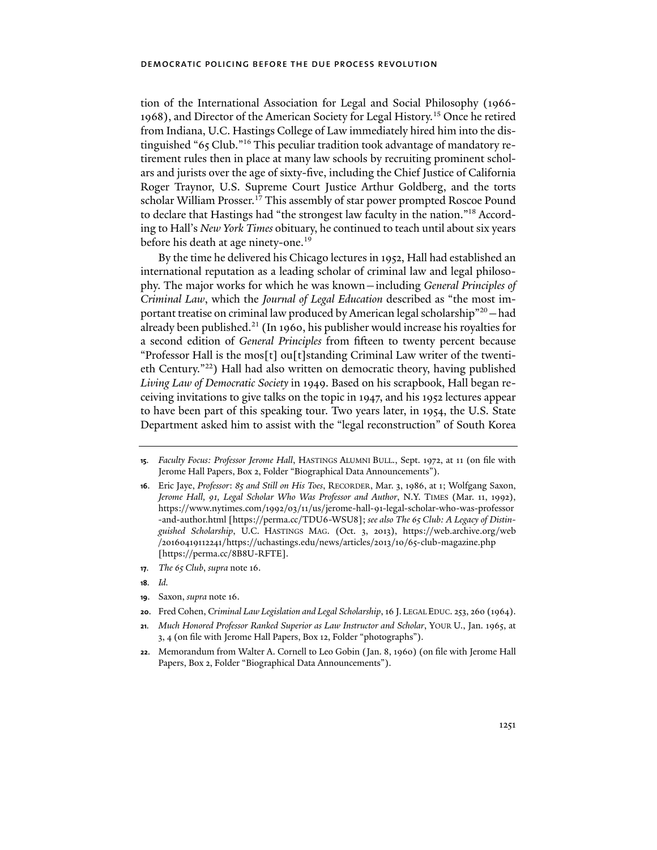tion of the International Association for Legal and Social Philosophy (1966- 1968), and Director of the American Society for Legal History.15 Once he retired from Indiana, U.C. Hastings College of Law immediately hired him into the distinguished "65 Club."16 This peculiar tradition took advantage of mandatory retirement rules then in place at many law schools by recruiting prominent scholars and jurists over the age of sixty-five, including the Chief Justice of California Roger Traynor, U.S. Supreme Court Justice Arthur Goldberg, and the torts scholar William Prosser.<sup>17</sup> This assembly of star power prompted Roscoe Pound to declare that Hastings had "the strongest law faculty in the nation."18 According to Hall's *New York Times* obituary, he continued to teach until about six years before his death at age ninety-one.<sup>19</sup>

By the time he delivered his Chicago lectures in 1952, Hall had established an international reputation as a leading scholar of criminal law and legal philosophy. The major works for which he was known—including *General Principles of Criminal Law*, which the *Journal of Legal Education* described as "the most important treatise on criminal law produced by American legal scholarship"20—had already been published.21 (In 1960, his publisher would increase his royalties for a second edition of *General Principles* from fifteen to twenty percent because "Professor Hall is the mos[t] ou[t]standing Criminal Law writer of the twentieth Century."22) Hall had also written on democratic theory, having published *Living Law of Democratic Society* in 1949. Based on his scrapbook, Hall began receiving invitations to give talks on the topic in 1947, and his 1952 lectures appear to have been part of this speaking tour. Two years later, in 1954, the U.S. State Department asked him to assist with the "legal reconstruction" of South Korea

- **18***. Id.*
- **19**. Saxon, *supra* note 16.
- **20**. Fred Cohen, *Criminal Law Legislation and Legal Scholarship*, 16 J. LEGAL EDUC. 253, 260 (1964).
- **21***. Much Honored Professor Ranked Superior as Law Instructor and Scholar*, YOUR U., Jan. 1965, at 3, 4 (on file with Jerome Hall Papers, Box 12, Folder "photographs").
- **22**. Memorandum from Walter A. Cornell to Leo Gobin (Jan. 8, 1960) (on file with Jerome Hall Papers, Box 2, Folder "Biographical Data Announcements").

**<sup>15</sup>***. Faculty Focus: Professor Jerome Hall*, HASTINGS ALUMNI BULL., Sept. 1972, at 11 (on file with Jerome Hall Papers, Box 2, Folder "Biographical Data Announcements").

**<sup>16</sup>**. Eric Jaye, *Professor*: *85 and Still on His Toes*, RECORDER, Mar. 3, 1986, at 1; Wolfgang Saxon, *Jerome Hall, 91, Legal Scholar Who Was Professor and Author*, N.Y. TIMES (Mar. 11, 1992), https://www.nytimes.com/1992/03/11/us/jerome-hall-91-legal-scholar-who-was-professor -and-author.html [https://perma.cc/TDU6-WSU8]; *see also The 65 Club: A Legacy of Distinguished Scholarship*, U.C. HASTINGS MAG. (Oct. 3, 2013), https://web.archive.org/web /20160419112241/https://uchastings.edu/news/articles/2013/10/65-club-magazine.php [https://perma.cc/8B8U-RFTE].

**<sup>17</sup>***. The 65 Club*, *supra* note 16.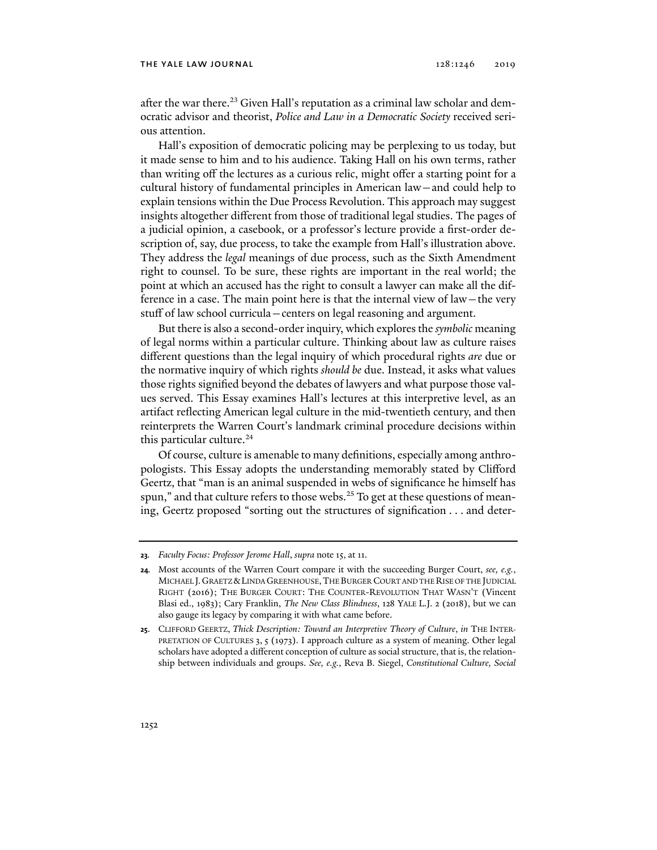after the war there.<sup>23</sup> Given Hall's reputation as a criminal law scholar and democratic advisor and theorist, *Police and Law in a Democratic Society* received serious attention.

Hall's exposition of democratic policing may be perplexing to us today, but it made sense to him and to his audience. Taking Hall on his own terms, rather than writing off the lectures as a curious relic, might offer a starting point for a cultural history of fundamental principles in American law—and could help to explain tensions within the Due Process Revolution. This approach may suggest insights altogether different from those of traditional legal studies. The pages of a judicial opinion, a casebook, or a professor's lecture provide a first-order description of, say, due process, to take the example from Hall's illustration above. They address the *legal* meanings of due process, such as the Sixth Amendment right to counsel. To be sure, these rights are important in the real world; the point at which an accused has the right to consult a lawyer can make all the difference in a case. The main point here is that the internal view of law—the very stuff of law school curricula—centers on legal reasoning and argument.

But there is also a second-order inquiry, which explores the *symbolic* meaning of legal norms within a particular culture. Thinking about law as culture raises different questions than the legal inquiry of which procedural rights *are* due or the normative inquiry of which rights *should be* due. Instead, it asks what values those rights signified beyond the debates of lawyers and what purpose those values served. This Essay examines Hall's lectures at this interpretive level, as an artifact reflecting American legal culture in the mid-twentieth century, and then reinterprets the Warren Court's landmark criminal procedure decisions within this particular culture.<sup>24</sup>

Of course, culture is amenable to many definitions, especially among anthropologists. This Essay adopts the understanding memorably stated by Clifford Geertz, that "man is an animal suspended in webs of significance he himself has spun," and that culture refers to those webs.<sup>25</sup> To get at these questions of meaning, Geertz proposed "sorting out the structures of signification . . . and deter-

**<sup>23</sup>***. Faculty Focus: Professor Jerome Hall*, *supra* note 15, at 11.

**<sup>24</sup>***.* Most accounts of the Warren Court compare it with the succeeding Burger Court, *see, e.g.*, MICHAEL J.GRAETZ &LINDA GREENHOUSE,THE BURGER COURT AND THE RISE OF THE JUDICIAL RIGHT (2016); THE BURGER COURT: THE COUNTER-REVOLUTION THAT WASN'T (Vincent Blasi ed., 1983); Cary Franklin, *The New Class Blindness*, 128 YALE L.J. 2 (2018), but we can also gauge its legacy by comparing it with what came before.

**<sup>25</sup>**. CLIFFORD GEERTZ, *Thick Description: Toward an Interpretive Theory of Culture*, *in* THE INTER-PRETATION OF CULTURES 3, 5 (1973). I approach culture as a system of meaning. Other legal scholars have adopted a different conception of culture as social structure, that is, the relationship between individuals and groups. *See, e.g.*, Reva B. Siegel, *Constitutional Culture, Social*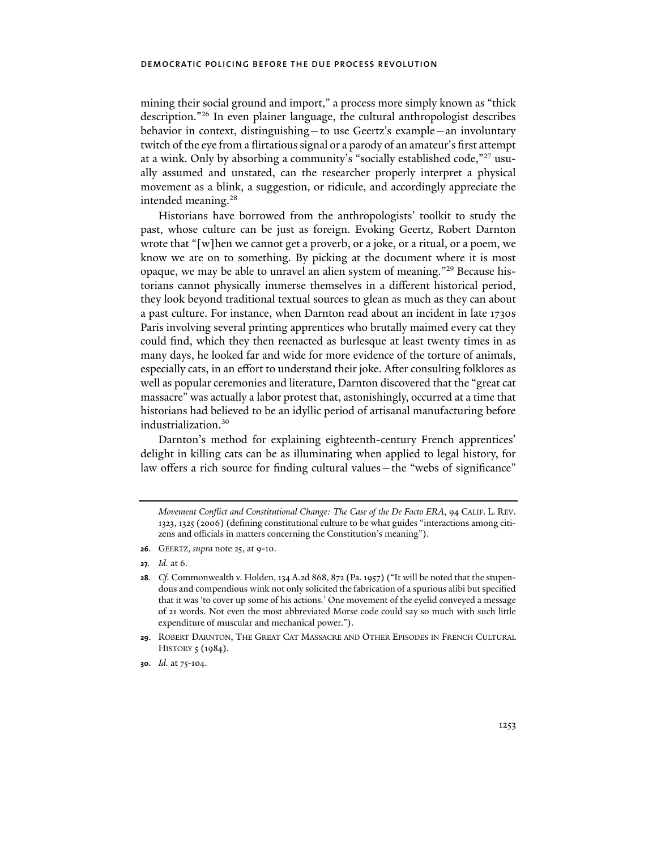mining their social ground and import," a process more simply known as "thick description."26 In even plainer language, the cultural anthropologist describes behavior in context, distinguishing—to use Geertz's example—an involuntary twitch of the eye from a flirtatious signal or a parody of an amateur's first attempt at a wink. Only by absorbing a community's "socially established code,"27 usually assumed and unstated, can the researcher properly interpret a physical movement as a blink, a suggestion, or ridicule, and accordingly appreciate the intended meaning.<sup>28</sup>

Historians have borrowed from the anthropologists' toolkit to study the past, whose culture can be just as foreign. Evoking Geertz, Robert Darnton wrote that "[w]hen we cannot get a proverb, or a joke, or a ritual, or a poem, we know we are on to something. By picking at the document where it is most opaque, we may be able to unravel an alien system of meaning."29 Because historians cannot physically immerse themselves in a different historical period, they look beyond traditional textual sources to glean as much as they can about a past culture. For instance, when Darnton read about an incident in late 1730s Paris involving several printing apprentices who brutally maimed every cat they could find, which they then reenacted as burlesque at least twenty times in as many days, he looked far and wide for more evidence of the torture of animals, especially cats, in an effort to understand their joke. After consulting folklores as well as popular ceremonies and literature, Darnton discovered that the "great cat massacre" was actually a labor protest that, astonishingly, occurred at a time that historians had believed to be an idyllic period of artisanal manufacturing before industrialization.30

Darnton's method for explaining eighteenth-century French apprentices' delight in killing cats can be as illuminating when applied to legal history, for law offers a rich source for finding cultural values—the "webs of significance"

*Movement Conflict and Constitutional Change: The Case of the De Facto ERA*, 94 CALIF. L. REV. 1323, 1325 (2006) (defining constitutional culture to be what guides "interactions among citizens and officials in matters concerning the Constitution's meaning").

**<sup>26</sup>**. GEERTZ, *supra* note 25, at 9-10.

**<sup>27</sup>***. Id.* at 6.

**<sup>28</sup>***. Cf.* Commonwealth v. Holden, 134 A.2d 868, 872 (Pa. 1957) ("It will be noted that the stupendous and compendious wink not only solicited the fabrication of a spurious alibi but specified that it was 'to cover up some of his actions.' One movement of the eyelid conveyed a message of 21 words. Not even the most abbreviated Morse code could say so much with such little expenditure of muscular and mechanical power.").

**<sup>29</sup>**. ROBERT DARNTON, THE GREAT CAT MASSACRE AND OTHER EPISODES IN FRENCH CULTURAL HISTORY 5 (1984).

**<sup>30</sup>***. Id.* at 75-104.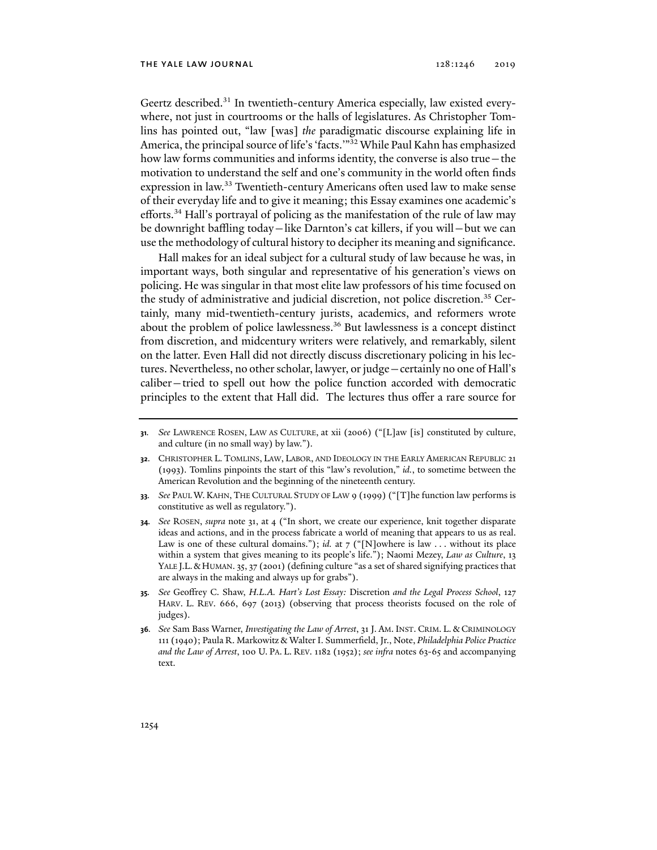Geertz described.<sup>31</sup> In twentieth-century America especially, law existed everywhere, not just in courtrooms or the halls of legislatures. As Christopher Tomlins has pointed out, "law [was] *the* paradigmatic discourse explaining life in America, the principal source of life's 'facts.'"32 While Paul Kahn has emphasized how law forms communities and informs identity, the converse is also true—the motivation to understand the self and one's community in the world often finds expression in law.<sup>33</sup> Twentieth-century Americans often used law to make sense of their everyday life and to give it meaning; this Essay examines one academic's efforts.34 Hall's portrayal of policing as the manifestation of the rule of law may be downright baffling today—like Darnton's cat killers, if you will—but we can use the methodology of cultural history to decipher its meaning and significance.

Hall makes for an ideal subject for a cultural study of law because he was, in important ways, both singular and representative of his generation's views on policing. He was singular in that most elite law professors of his time focused on the study of administrative and judicial discretion, not police discretion.35 Certainly, many mid-twentieth-century jurists, academics, and reformers wrote about the problem of police lawlessness.36 But lawlessness is a concept distinct from discretion, and midcentury writers were relatively, and remarkably, silent on the latter. Even Hall did not directly discuss discretionary policing in his lectures. Nevertheless, no other scholar, lawyer, or judge—certainly no one of Hall's caliber—tried to spell out how the police function accorded with democratic principles to the extent that Hall did. The lectures thus offer a rare source for

- **32**. CHRISTOPHER L. TOMLINS, LAW, LABOR, AND IDEOLOGY IN THE EARLY AMERICAN REPUBLIC 21 (1993). Tomlins pinpoints the start of this "law's revolution," *id.*, to sometime between the American Revolution and the beginning of the nineteenth century.
- **33***. See* PAUL W.KAHN, THE CULTURAL STUDY OF LAW 9 (1999) ("[T]he function law performs is constitutive as well as regulatory.").
- **34***. See* ROSEN, *supra* note 31, at 4 ("In short, we create our experience, knit together disparate ideas and actions, and in the process fabricate a world of meaning that appears to us as real. Law is one of these cultural domains."); *id.* at  $7$  ("[N]owhere is law ... without its place within a system that gives meaning to its people's life."); Naomi Mezey, *Law as Culture*, 13 YALE J.L. & HUMAN. 35, 37 (2001) (defining culture "as a set of shared signifying practices that are always in the making and always up for grabs").
- **35***. See* Geoffrey C. Shaw, *H.L.A. Hart's Lost Essay:* Discretion *and the Legal Process School*, 127 HARV. L. REV. 666, 697 (2013) (observing that process theorists focused on the role of judges).
- **36***. See* Sam Bass Warner, *Investigating the Law of Arrest*, 31 J. AM. INST. CRIM. L. & CRIMINOLOGY 111 (1940); Paula R. Markowitz & Walter I. Summerfield, Jr., Note, *Philadelphia Police Practice and the Law of Arrest*, 100 U. PA. L. REV. 1182 (1952); *see infra* notes 63-65 and accompanying text.

**<sup>31</sup>***. See* LAWRENCE ROSEN, LAW AS CULTURE, at xii (2006) ("[L]aw [is] constituted by culture, and culture (in no small way) by law.").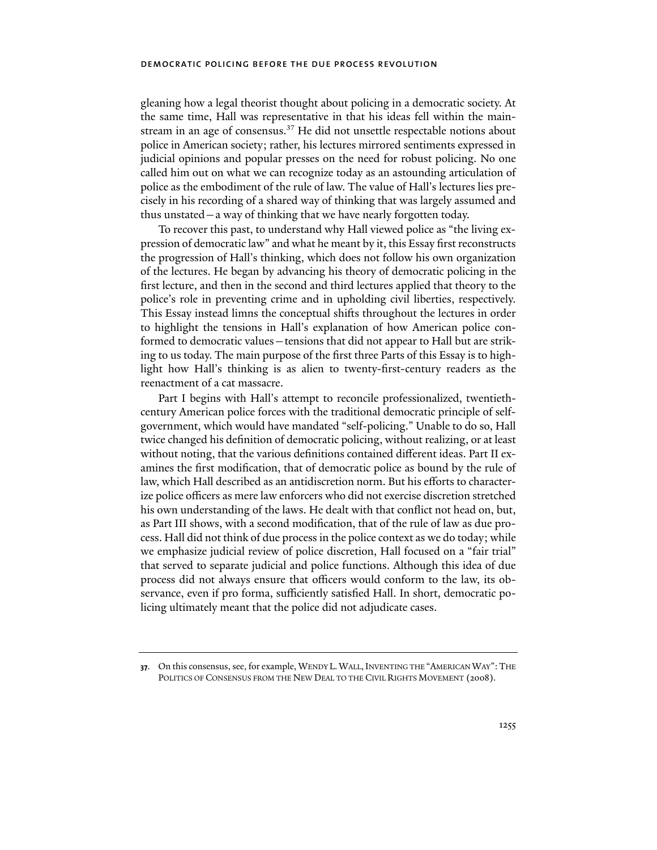gleaning how a legal theorist thought about policing in a democratic society. At the same time, Hall was representative in that his ideas fell within the mainstream in an age of consensus.<sup>37</sup> He did not unsettle respectable notions about police in American society; rather, his lectures mirrored sentiments expressed in judicial opinions and popular presses on the need for robust policing. No one called him out on what we can recognize today as an astounding articulation of police as the embodiment of the rule of law. The value of Hall's lectures lies precisely in his recording of a shared way of thinking that was largely assumed and thus unstated—a way of thinking that we have nearly forgotten today.

To recover this past, to understand why Hall viewed police as "the living expression of democratic law" and what he meant by it, this Essay first reconstructs the progression of Hall's thinking, which does not follow his own organization of the lectures. He began by advancing his theory of democratic policing in the first lecture, and then in the second and third lectures applied that theory to the police's role in preventing crime and in upholding civil liberties, respectively. This Essay instead limns the conceptual shifts throughout the lectures in order to highlight the tensions in Hall's explanation of how American police conformed to democratic values—tensions that did not appear to Hall but are striking to us today. The main purpose of the first three Parts of this Essay is to highlight how Hall's thinking is as alien to twenty-first-century readers as the reenactment of a cat massacre.

Part I begins with Hall's attempt to reconcile professionalized, twentiethcentury American police forces with the traditional democratic principle of selfgovernment, which would have mandated "self-policing." Unable to do so, Hall twice changed his definition of democratic policing, without realizing, or at least without noting, that the various definitions contained different ideas. Part II examines the first modification, that of democratic police as bound by the rule of law, which Hall described as an antidiscretion norm. But his efforts to characterize police officers as mere law enforcers who did not exercise discretion stretched his own understanding of the laws. He dealt with that conflict not head on, but, as Part III shows, with a second modification, that of the rule of law as due process. Hall did not think of due process in the police context as we do today; while we emphasize judicial review of police discretion, Hall focused on a "fair trial" that served to separate judicial and police functions. Although this idea of due process did not always ensure that officers would conform to the law, its observance, even if pro forma, sufficiently satisfied Hall. In short, democratic policing ultimately meant that the police did not adjudicate cases.

**<sup>37</sup>**. On this consensus, see, for example, WENDY L.WALL,INVENTING THE "AMERICAN WAY":THE POLITICS OF CONSENSUS FROM THE NEW DEAL TO THE CIVIL RIGHTS MOVEMENT (2008).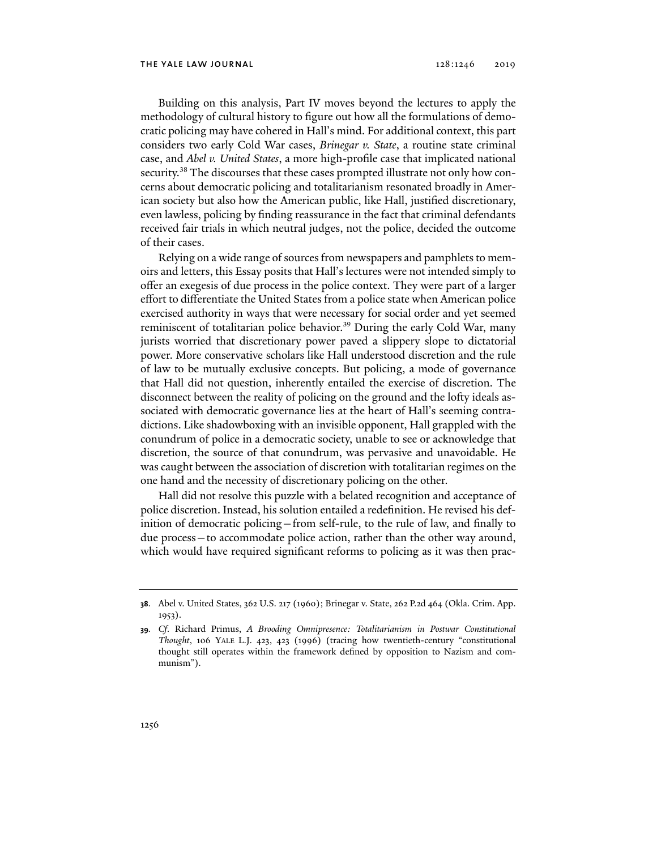Building on this analysis, Part IV moves beyond the lectures to apply the methodology of cultural history to figure out how all the formulations of democratic policing may have cohered in Hall's mind. For additional context, this part considers two early Cold War cases, *Brinegar v. State*, a routine state criminal case, and *Abel v. United States*, a more high-profile case that implicated national security.<sup>38</sup> The discourses that these cases prompted illustrate not only how concerns about democratic policing and totalitarianism resonated broadly in American society but also how the American public, like Hall, justified discretionary, even lawless, policing by finding reassurance in the fact that criminal defendants received fair trials in which neutral judges, not the police, decided the outcome of their cases.

Relying on a wide range of sources from newspapers and pamphlets to memoirs and letters, this Essay posits that Hall's lectures were not intended simply to offer an exegesis of due process in the police context. They were part of a larger effort to differentiate the United States from a police state when American police exercised authority in ways that were necessary for social order and yet seemed reminiscent of totalitarian police behavior.<sup>39</sup> During the early Cold War, many jurists worried that discretionary power paved a slippery slope to dictatorial power. More conservative scholars like Hall understood discretion and the rule of law to be mutually exclusive concepts. But policing, a mode of governance that Hall did not question, inherently entailed the exercise of discretion. The disconnect between the reality of policing on the ground and the lofty ideals associated with democratic governance lies at the heart of Hall's seeming contradictions. Like shadowboxing with an invisible opponent, Hall grappled with the conundrum of police in a democratic society, unable to see or acknowledge that discretion, the source of that conundrum, was pervasive and unavoidable. He was caught between the association of discretion with totalitarian regimes on the one hand and the necessity of discretionary policing on the other.

Hall did not resolve this puzzle with a belated recognition and acceptance of police discretion. Instead, his solution entailed a redefinition. He revised his definition of democratic policing—from self-rule, to the rule of law, and finally to due process—to accommodate police action, rather than the other way around, which would have required significant reforms to policing as it was then prac-

**<sup>38</sup>**. Abel v. United States, 362 U.S. 217 (1960); Brinegar v. State, 262 P.2d 464 (Okla. Crim. App. 1953).

**<sup>39</sup>***. Cf*. Richard Primus, *A Brooding Omnipresence: Totalitarianism in Postwar Constitutional Thought*, 106 YALE L.J. 423, 423 (1996) (tracing how twentieth-century "constitutional thought still operates within the framework defined by opposition to Nazism and communism").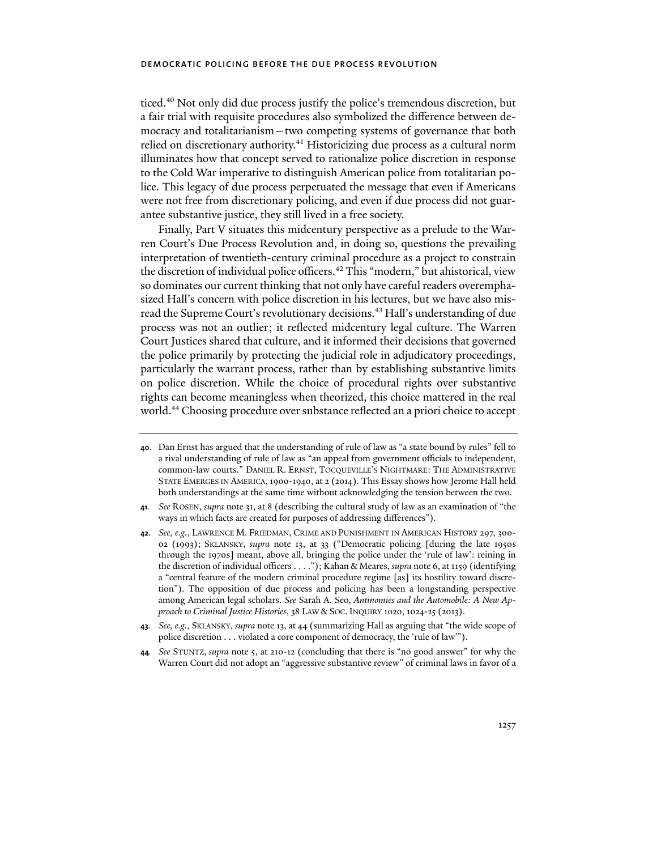ticed.<sup>40</sup> Not only did due process justify the police's tremendous discretion, but a fair trial with requisite procedures also symbolized the difference between democracy and totalitarianism—two competing systems of governance that both relied on discretionary authority.<sup>41</sup> Historicizing due process as a cultural norm illuminates how that concept served to rationalize police discretion in response to the Cold War imperative to distinguish American police from totalitarian police. This legacy of due process perpetuated the message that even if Americans were not free from discretionary policing, and even if due process did not guarantee substantive justice, they still lived in a free society.

Finally, Part V situates this midcentury perspective as a prelude to the Warren Court's Due Process Revolution and, in doing so, questions the prevailing interpretation of twentieth-century criminal procedure as a project to constrain the discretion of individual police officers.<sup>42</sup> This "modern," but ahistorical, view so dominates our current thinking that not only have careful readers overemphasized Hall's concern with police discretion in his lectures, but we have also misread the Supreme Court's revolutionary decisions.<sup>43</sup> Hall's understanding of due process was not an outlier; it reflected midcentury legal culture. The Warren Court Justices shared that culture, and it informed their decisions that governed the police primarily by protecting the judicial role in adjudicatory proceedings, particularly the warrant process, rather than by establishing substantive limits on police discretion. While the choice of procedural rights over substantive rights can become meaningless when theorized, this choice mattered in the real world.44 Choosing procedure over substance reflected an a priori choice to accept

- **41***. See* ROSEN, *supra* note 31, at 8 (describing the cultural study of law as an examination of "the ways in which facts are created for purposes of addressing differences").
- **42***. See, e.g.*, LAWRENCE M. FRIEDMAN, CRIME AND PUNISHMENT IN AMERICAN HISTORY 297, 300- 02 (1993); SKLANSKY, *supra* note 13, at 33 ("Democratic policing [during the late 1950s through the 1970s] meant, above all, bringing the police under the 'rule of law': reining in the discretion of individual officers . . . ."); Kahan & Meares, *supra* note 6, at 1159 (identifying a "central feature of the modern criminal procedure regime [as] its hostility toward discretion"). The opposition of due process and policing has been a longstanding perspective among American legal scholars. *See* Sarah A. Seo, *Antinomies and the Automobile: A New Approach to Criminal Justice Histories*, 38 LAW & SOC. INQUIRY 1020, 1024-25 (2013).
- **43***. See, e.g.*, SKLANSKY, *supra* note 13, at 44 (summarizing Hall as arguing that "the wide scope of police discretion . . . violated a core component of democracy, the 'rule of law'").
- **44***. See* STUNTZ, *supra* note 5, at 210-12 (concluding that there is "no good answer" for why the Warren Court did not adopt an "aggressive substantive review" of criminal laws in favor of a

**<sup>40</sup>**. Dan Ernst has argued that the understanding of rule of law as "a state bound by rules" fell to a rival understanding of rule of law as "an appeal from government officials to independent, common-law courts." DANIEL R. ERNST, TOCQUEVILLE'S NIGHTMARE: THE ADMINISTRATIVE STATE EMERGES IN AMERICA,1900-1940, at 2 (2014). This Essay shows how Jerome Hall held both understandings at the same time without acknowledging the tension between the two.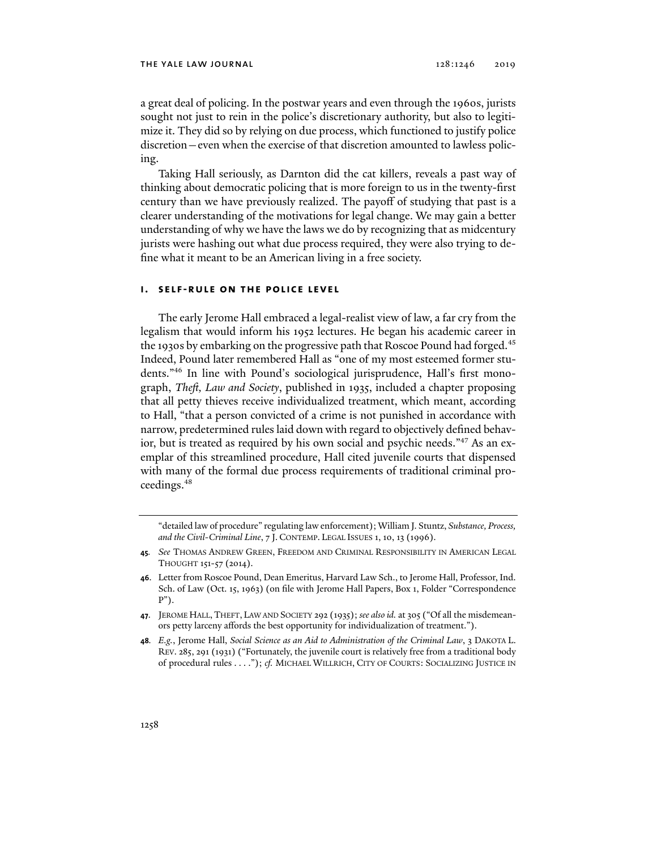#### the yale law journal 128:1246 2019

a great deal of policing. In the postwar years and even through the 1960s, jurists sought not just to rein in the police's discretionary authority, but also to legitimize it. They did so by relying on due process, which functioned to justify police discretion—even when the exercise of that discretion amounted to lawless policing.

Taking Hall seriously, as Darnton did the cat killers, reveals a past way of thinking about democratic policing that is more foreign to us in the twenty-first century than we have previously realized. The payoff of studying that past is a clearer understanding of the motivations for legal change. We may gain a better understanding of why we have the laws we do by recognizing that as midcentury jurists were hashing out what due process required, they were also trying to define what it meant to be an American living in a free society.

#### **i. self-rule on the police level**

The early Jerome Hall embraced a legal-realist view of law, a far cry from the legalism that would inform his 1952 lectures. He began his academic career in the 1930s by embarking on the progressive path that Roscoe Pound had forged.<sup>45</sup> Indeed, Pound later remembered Hall as "one of my most esteemed former students."46 In line with Pound's sociological jurisprudence, Hall's first monograph, *Theft, Law and Society*, published in 1935, included a chapter proposing that all petty thieves receive individualized treatment, which meant, according to Hall, "that a person convicted of a crime is not punished in accordance with narrow, predetermined rules laid down with regard to objectively defined behavior, but is treated as required by his own social and psychic needs."47 As an exemplar of this streamlined procedure, Hall cited juvenile courts that dispensed with many of the formal due process requirements of traditional criminal proceedings.48

<sup>&</sup>quot;detailed law of procedure" regulating law enforcement); William J. Stuntz, *Substance, Process, and the Civil-Criminal Line*, 7 J. CONTEMP. LEGAL ISSUES 1, 10, 13 (1996).

**<sup>45</sup>***. See* THOMAS ANDREW GREEN, FREEDOM AND CRIMINAL RESPONSIBILITY IN AMERICAN LEGAL THOUGHT 151-57 (2014).

**<sup>46</sup>**. Letter from Roscoe Pound, Dean Emeritus, Harvard Law Sch., to Jerome Hall, Professor, Ind. Sch. of Law (Oct. 15, 1963) (on file with Jerome Hall Papers, Box 1, Folder "Correspondence P").

**<sup>47</sup>**. JEROME HALL,THEFT, LAW AND SOCIETY 292 (1935); *see also id.* at 305 ("Of all the misdemeanors petty larceny affords the best opportunity for individualization of treatment.").

**<sup>48</sup>***. E.g.*, Jerome Hall, *Social Science as an Aid to Administration of the Criminal Law*, 3 DAKOTA L. REV. 285, 291 (1931) ("Fortunately, the juvenile court is relatively free from a traditional body of procedural rules . . . ."); *cf.* MICHAEL WILLRICH, CITY OF COURTS: SOCIALIZING JUSTICE IN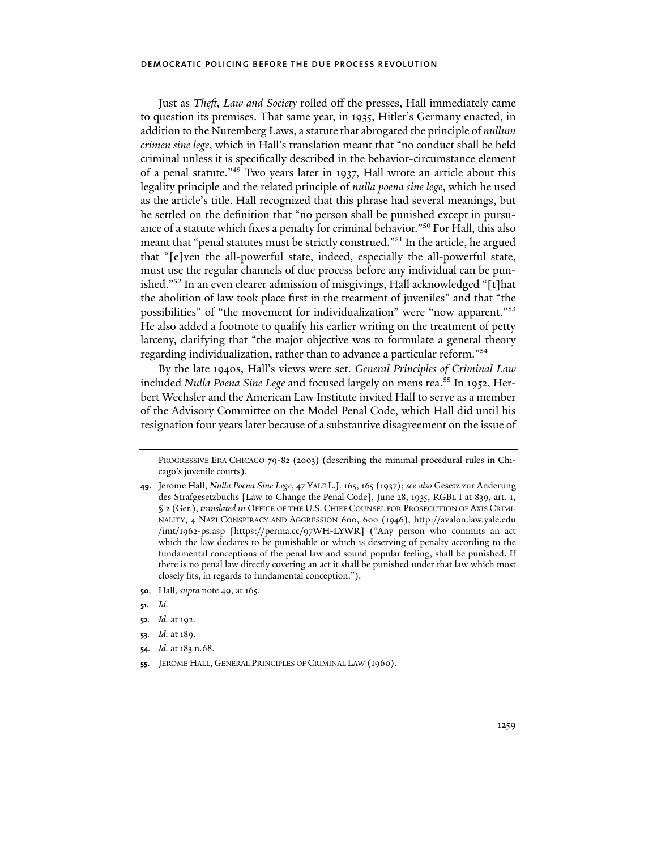Just as *Theft, Law and Society* rolled off the presses, Hall immediately came to question its premises. That same year, in 1935, Hitler's Germany enacted, in addition to the Nuremberg Laws, a statute that abrogated the principle of *nullum crimen sine lege*, which in Hall's translation meant that "no conduct shall be held criminal unless it is specifically described in the behavior-circumstance element of a penal statute."49 Two years later in 1937, Hall wrote an article about this legality principle and the related principle of *nulla poena sine lege*, which he used as the article's title. Hall recognized that this phrase had several meanings, but he settled on the definition that "no person shall be punished except in pursuance of a statute which fixes a penalty for criminal behavior."50 For Hall, this also meant that "penal statutes must be strictly construed."51 In the article, he argued that "[e]ven the all-powerful state, indeed, especially the all-powerful state, must use the regular channels of due process before any individual can be punished."52 In an even clearer admission of misgivings, Hall acknowledged "[t]hat the abolition of law took place first in the treatment of juveniles" and that "the possibilities" of "the movement for individualization" were "now apparent."53 He also added a footnote to qualify his earlier writing on the treatment of petty larceny, clarifying that "the major objective was to formulate a general theory regarding individualization, rather than to advance a particular reform."54

By the late 1940s, Hall's views were set. *General Principles of Criminal Law* included *Nulla Poena Sine Lege* and focused largely on mens rea.55 In 1952, Herbert Wechsler and the American Law Institute invited Hall to serve as a member of the Advisory Committee on the Model Penal Code, which Hall did until his resignation four years later because of a substantive disagreement on the issue of

- **50**. Hall, *supra* note 49, at 165.
- **51***. Id.*
- **52***. Id.* at 192.
- **53***. Id.* at 189.
- **54***. Id.* at 183 n.68.
- **55**. JEROME HALL, GENERAL PRINCIPLES OF CRIMINAL LAW (1960).

PROGRESSIVE ERA CHICAGO 79-82 (2003) (describing the minimal procedural rules in Chicago's juvenile courts).

**<sup>49</sup>**. Jerome Hall, *Nulla Poena Sine Lege*, 47 YALE L.J. 165, 165 (1937); *see also* Gesetz zur Änderung des Strafgesetzbuchs [Law to Change the Penal Code], June 28, 1935, RGBL I at 839, art. 1, § 2 (Ger.), *translated in OFFICE OF THE U.S. CHIEF COUNSEL FOR PROSECUTION OF AXIS CRIMI*-NALITY, 4 NAZI CONSPIRACY AND AGGRESSION 600, 600 (1946), http://avalon.law.yale.edu /imt/1962-ps.asp [https://perma.cc/97WH-LYWR] ("Any person who commits an act which the law declares to be punishable or which is deserving of penalty according to the fundamental conceptions of the penal law and sound popular feeling, shall be punished. If there is no penal law directly covering an act it shall be punished under that law which most closely fits, in regards to fundamental conception.").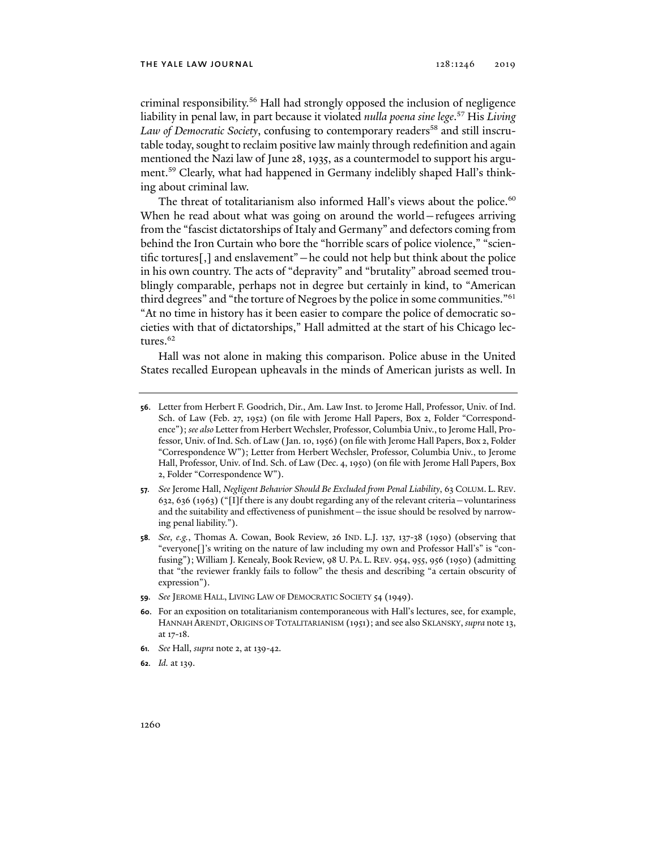criminal responsibility.56 Hall had strongly opposed the inclusion of negligence liability in penal law, in part because it violated *nulla poena sine lege*. 57 His *Living*  Law of Democratic Society, confusing to contemporary readers<sup>58</sup> and still inscrutable today, sought to reclaim positive law mainly through redefinition and again mentioned the Nazi law of June 28, 1935, as a countermodel to support his argument.59 Clearly, what had happened in Germany indelibly shaped Hall's thinking about criminal law.

The threat of totalitarianism also informed Hall's views about the police. $60$ When he read about what was going on around the world—refugees arriving from the "fascist dictatorships of Italy and Germany" and defectors coming from behind the Iron Curtain who bore the "horrible scars of police violence," "scientific tortures[,] and enslavement"—he could not help but think about the police in his own country. The acts of "depravity" and "brutality" abroad seemed troublingly comparable, perhaps not in degree but certainly in kind, to "American third degrees" and "the torture of Negroes by the police in some communities."<sup>61</sup> "At no time in history has it been easier to compare the police of democratic societies with that of dictatorships," Hall admitted at the start of his Chicago lectures.<sup>62</sup>

Hall was not alone in making this comparison. Police abuse in the United States recalled European upheavals in the minds of American jurists as well. In

- **61***. See* Hall, *supra* note 2, at 139-42.
- **62***. Id.* at 139.

**<sup>56</sup>**. Letter from Herbert F. Goodrich, Dir., Am. Law Inst. to Jerome Hall, Professor, Univ. of Ind. Sch. of Law (Feb. 27, 1952) (on file with Jerome Hall Papers, Box 2, Folder "Correspondence"); *see also* Letter from Herbert Wechsler, Professor, Columbia Univ., to Jerome Hall, Professor, Univ. of Ind. Sch. of Law (Jan. 10, 1956) (on file with Jerome Hall Papers, Box 2, Folder "Correspondence W"); Letter from Herbert Wechsler, Professor, Columbia Univ., to Jerome Hall, Professor, Univ. of Ind. Sch. of Law (Dec. 4, 1950) (on file with Jerome Hall Papers, Box 2, Folder "Correspondence W").

**<sup>57</sup>***. See* Jerome Hall, *Negligent Behavior Should Be Excluded from Penal Liability*, 63 COLUM. L. REV. 632, 636 (1963) ("[I]f there is any doubt regarding any of the relevant criteria—voluntariness and the suitability and effectiveness of punishment—the issue should be resolved by narrowing penal liability.").

**<sup>58</sup>***. See, e.g.*, Thomas A. Cowan, Book Review, 26 IND. L.J. 137, 137-38 (1950) (observing that "everyone[]'s writing on the nature of law including my own and Professor Hall's" is "confusing"); William J. Kenealy, Book Review, 98 U. PA. L. REV. 954, 955, 956 (1950) (admitting that "the reviewer frankly fails to follow" the thesis and describing "a certain obscurity of expression").

**<sup>59</sup>***. See* JEROME HALL, LIVING LAW OF DEMOCRATIC SOCIETY 54 (1949).

**<sup>60</sup>**. For an exposition on totalitarianism contemporaneous with Hall's lectures, see, for example, HANNAH ARENDT, ORIGINS OF TOTALITARIANISM (1951); and see also SKLANSKY, *supra* note 13, at 17-18.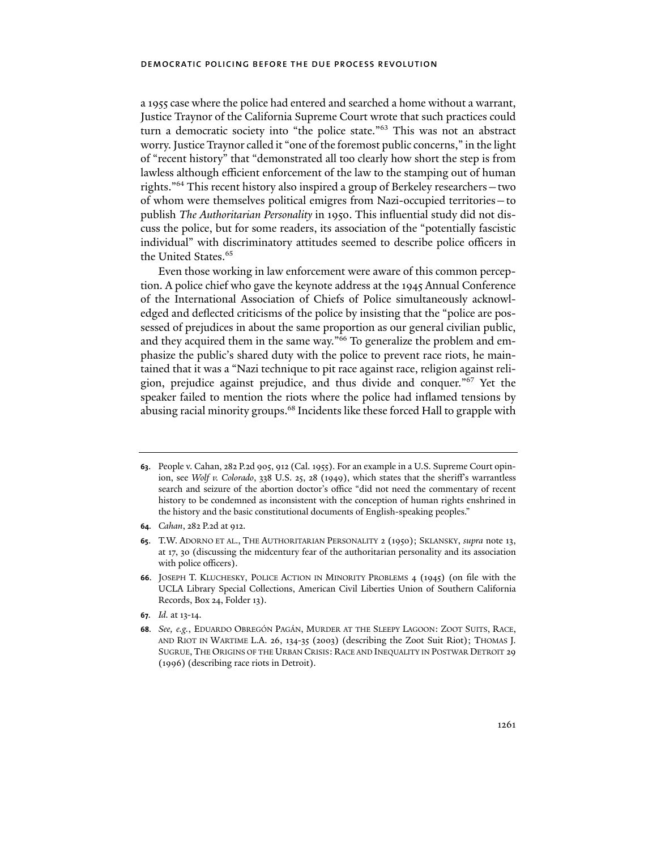a 1955 case where the police had entered and searched a home without a warrant, Justice Traynor of the California Supreme Court wrote that such practices could turn a democratic society into "the police state."63 This was not an abstract worry. Justice Traynor called it "one of the foremost public concerns," in the light of "recent history" that "demonstrated all too clearly how short the step is from lawless although efficient enforcement of the law to the stamping out of human rights."64 This recent history also inspired a group of Berkeley researchers—two of whom were themselves political emigres from Nazi-occupied territories—to publish *The Authoritarian Personality* in 1950. This influential study did not discuss the police, but for some readers, its association of the "potentially fascistic individual" with discriminatory attitudes seemed to describe police officers in the United States.<sup>65</sup>

Even those working in law enforcement were aware of this common perception. A police chief who gave the keynote address at the 1945 Annual Conference of the International Association of Chiefs of Police simultaneously acknowledged and deflected criticisms of the police by insisting that the "police are possessed of prejudices in about the same proportion as our general civilian public, and they acquired them in the same way."<sup>66</sup> To generalize the problem and emphasize the public's shared duty with the police to prevent race riots, he maintained that it was a "Nazi technique to pit race against race, religion against religion, prejudice against prejudice, and thus divide and conquer."67 Yet the speaker failed to mention the riots where the police had inflamed tensions by abusing racial minority groups.<sup>68</sup> Incidents like these forced Hall to grapple with

**64***. Cahan*, 282 P.2d at 912.

**67***. Id.* at 13-14.

**<sup>63</sup>**. People v. Cahan, 282 P.2d 905, 912 (Cal. 1955). For an example in a U.S. Supreme Court opinion, see *Wolf v. Colorado*, 338 U.S. 25, 28 (1949), which states that the sheriff's warrantless search and seizure of the abortion doctor's office "did not need the commentary of recent history to be condemned as inconsistent with the conception of human rights enshrined in the history and the basic constitutional documents of English-speaking peoples."

**<sup>65</sup>**. T.W. ADORNO ET AL., THE AUTHORITARIAN PERSONALITY 2 (1950); SKLANSKY, *supra* note 13, at 17, 30 (discussing the midcentury fear of the authoritarian personality and its association with police officers).

**<sup>66</sup>**. JOSEPH T. KLUCHESKY, POLICE ACTION IN MINORITY PROBLEMS 4 (1945) (on file with the UCLA Library Special Collections, American Civil Liberties Union of Southern California Records, Box 24, Folder 13).

**<sup>68</sup>***. See, e.g.*, EDUARDO OBREGÓN PAGÁN, MURDER AT THE SLEEPY LAGOON: ZOOT SUITS, RACE, AND RIOT IN WARTIME L.A. 26, 134-35 (2003) (describing the Zoot Suit Riot); THOMAS J. SUGRUE, THE ORIGINS OF THE URBAN CRISIS: RACE AND INEQUALITY IN POSTWAR DETROIT 29 (1996) (describing race riots in Detroit).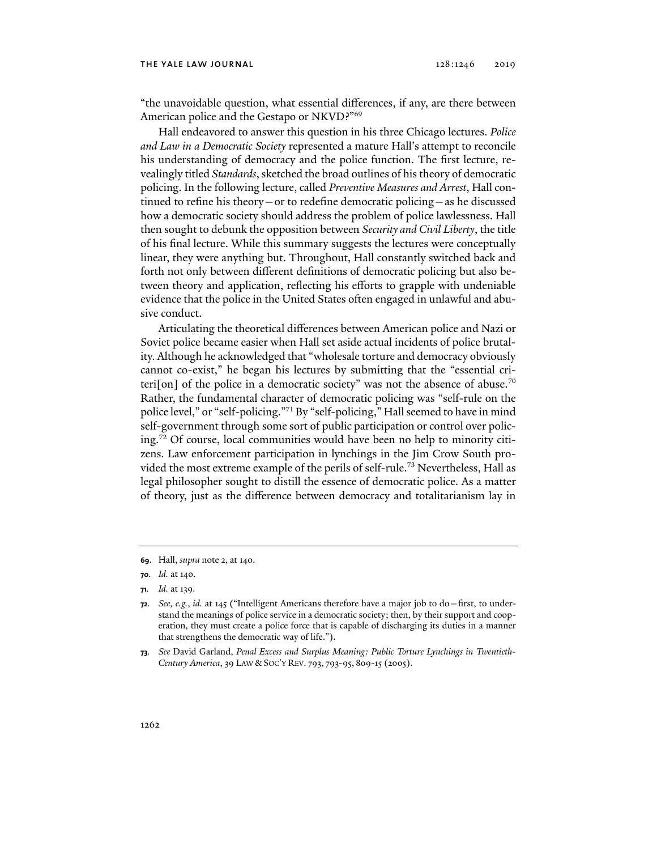#### the yale law journal 128:1246 2019

"the unavoidable question, what essential differences, if any, are there between American police and the Gestapo or NKVD?"69

Hall endeavored to answer this question in his three Chicago lectures. *Police and Law in a Democratic Society* represented a mature Hall's attempt to reconcile his understanding of democracy and the police function. The first lecture, revealingly titled *Standards*, sketched the broad outlines of his theory of democratic policing. In the following lecture, called *Preventive Measures and Arrest*, Hall continued to refine his theory—or to redefine democratic policing—as he discussed how a democratic society should address the problem of police lawlessness. Hall then sought to debunk the opposition between *Security and Civil Liberty*, the title of his final lecture. While this summary suggests the lectures were conceptually linear, they were anything but. Throughout, Hall constantly switched back and forth not only between different definitions of democratic policing but also between theory and application, reflecting his efforts to grapple with undeniable evidence that the police in the United States often engaged in unlawful and abusive conduct.

Articulating the theoretical differences between American police and Nazi or Soviet police became easier when Hall set aside actual incidents of police brutality. Although he acknowledged that "wholesale torture and democracy obviously cannot co-exist," he began his lectures by submitting that the "essential criteri[on] of the police in a democratic society" was not the absence of abuse.<sup>70</sup> Rather, the fundamental character of democratic policing was "self-rule on the police level," or "self-policing."71 By "self-policing," Hall seemed to have in mind self-government through some sort of public participation or control over policing.72 Of course, local communities would have been no help to minority citizens. Law enforcement participation in lynchings in the Jim Crow South provided the most extreme example of the perils of self-rule.73 Nevertheless, Hall as legal philosopher sought to distill the essence of democratic police. As a matter of theory, just as the difference between democracy and totalitarianism lay in

**<sup>69</sup>**. Hall, *supra* note 2, at 140.

**<sup>70</sup>***. Id.* at 140.

**<sup>71</sup>***. Id.* at 139.

**<sup>72</sup>***. See, e.g.*, *id.* at 145 ("Intelligent Americans therefore have a major job to do—first, to understand the meanings of police service in a democratic society; then, by their support and cooperation, they must create a police force that is capable of discharging its duties in a manner that strengthens the democratic way of life.").

**<sup>73</sup>***. See* David Garland, *Penal Excess and Surplus Meaning: Public Torture Lynchings in Twentieth-Century America*, 39 LAW & SOC'Y REV. 793, 793-95, 809-15 (2005).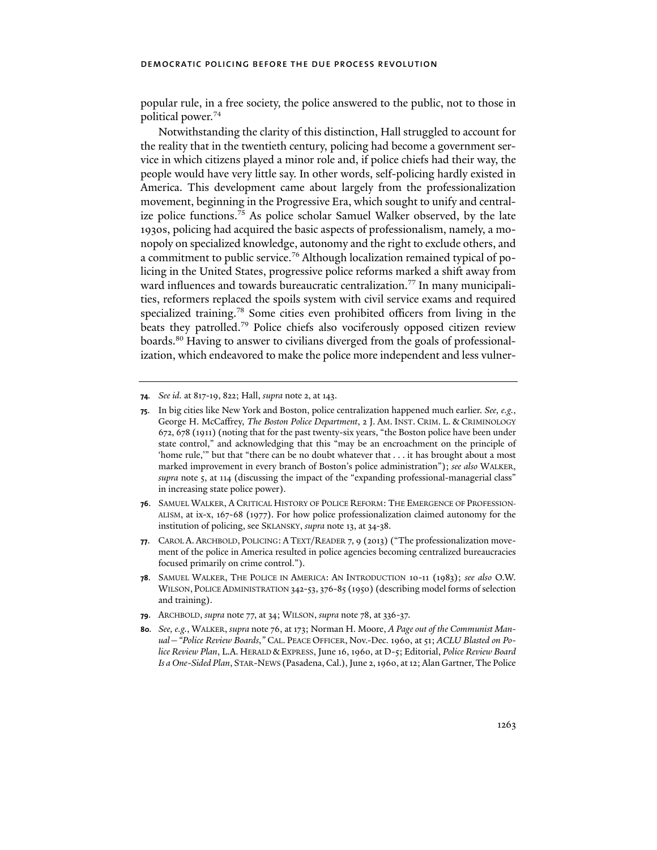popular rule, in a free society, the police answered to the public, not to those in political power.74

Notwithstanding the clarity of this distinction, Hall struggled to account for the reality that in the twentieth century, policing had become a government service in which citizens played a minor role and, if police chiefs had their way, the people would have very little say. In other words, self-policing hardly existed in America. This development came about largely from the professionalization movement, beginning in the Progressive Era, which sought to unify and centralize police functions.<sup>75</sup> As police scholar Samuel Walker observed, by the late 1930s, policing had acquired the basic aspects of professionalism, namely, a monopoly on specialized knowledge, autonomy and the right to exclude others, and a commitment to public service.<sup>76</sup> Although localization remained typical of policing in the United States, progressive police reforms marked a shift away from ward influences and towards bureaucratic centralization.<sup>77</sup> In many municipalities, reformers replaced the spoils system with civil service exams and required specialized training.<sup>78</sup> Some cities even prohibited officers from living in the beats they patrolled.79 Police chiefs also vociferously opposed citizen review boards.<sup>80</sup> Having to answer to civilians diverged from the goals of professionalization, which endeavored to make the police more independent and less vulner-

**79**. ARCHBOLD, *supra* note 77, at 34; WILSON, *supra* note 78, at 336-37.

**<sup>74</sup>***. See id.* at 817-19, 822; Hall, *supra* note 2, at 143.

**<sup>75</sup>**. In big cities like New York and Boston, police centralization happened much earlier. *See, e.g.*, George H. McCaffrey, *The Boston Police Department*, 2 J. AM. INST. CRIM. L. & CRIMINOLOGY 672, 678 (1911) (noting that for the past twenty-six years, "the Boston police have been under state control," and acknowledging that this "may be an encroachment on the principle of 'home rule,'" but that "there can be no doubt whatever that . . . it has brought about a most marked improvement in every branch of Boston's police administration"); *see also* WALKER, *supra* note 5, at 114 (discussing the impact of the "expanding professional-managerial class" in increasing state police power).

**<sup>76</sup>**. SAMUEL WALKER, A CRITICAL HISTORY OF POLICE REFORM: THE EMERGENCE OF PROFESSION-ALISM, at ix-x, 167-68 (1977). For how police professionalization claimed autonomy for the institution of policing, see SKLANSKY, *supra* note 13, at 34-38.

**<sup>77</sup>**. CAROL A. ARCHBOLD, POLICING: A TEXT/READER 7, 9 (2013) ("The professionalization movement of the police in America resulted in police agencies becoming centralized bureaucracies focused primarily on crime control.").

**<sup>78</sup>**. SAMUEL WALKER, THE POLICE IN AMERICA: AN INTRODUCTION 10-11 (1983); *see also* O.W. WILSON, POLICE ADMINISTRATION 342-53, 376-85 (1950) (describing model forms of selection and training).

**<sup>80</sup>***. See, e.g.*, WALKER, *supra* note 76, at 173; Norman H. Moore, *A Page out of the Communist Manual—"Police Review Boards*,*"* CAL. PEACE OFFICER, Nov.-Dec. 1960, at 51; *ACLU Blasted on Police Review Plan*, L.A. HERALD &EXPRESS, June 16, 1960, at D-5; Editorial, *Police Review Board Is a One-Sided Plan*, STAR-NEWS (Pasadena, Cal.), June 2, 1960, at 12; Alan Gartner, The Police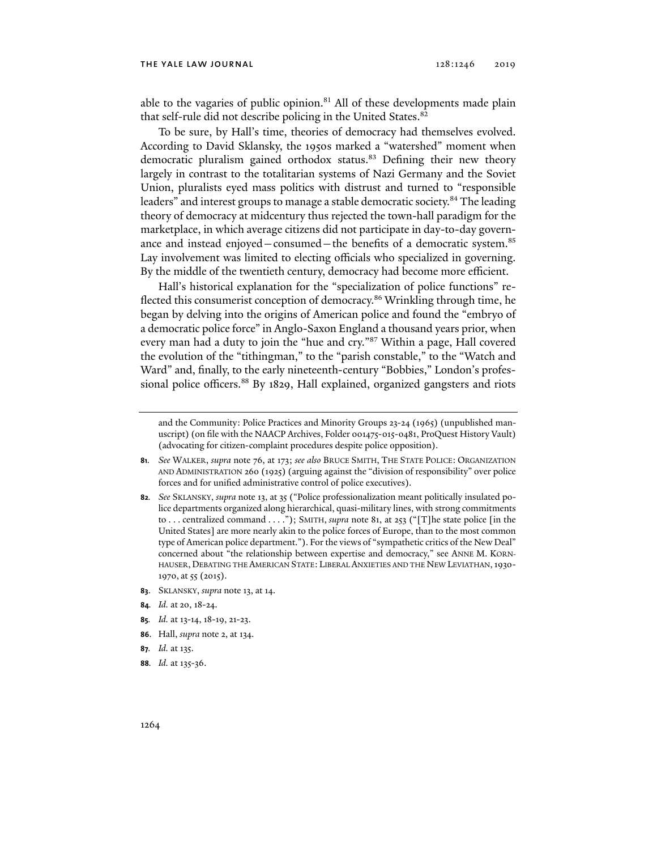#### the yale law journal 128:1246 2019

able to the vagaries of public opinion. $81$  All of these developments made plain that self-rule did not describe policing in the United States.<sup>82</sup>

To be sure, by Hall's time, theories of democracy had themselves evolved. According to David Sklansky, the 1950s marked a "watershed" moment when democratic pluralism gained orthodox status.<sup>83</sup> Defining their new theory largely in contrast to the totalitarian systems of Nazi Germany and the Soviet Union, pluralists eyed mass politics with distrust and turned to "responsible leaders" and interest groups to manage a stable democratic society.<sup>84</sup> The leading theory of democracy at midcentury thus rejected the town-hall paradigm for the marketplace, in which average citizens did not participate in day-to-day governance and instead enjoyed—consumed—the benefits of a democratic system.<sup>85</sup> Lay involvement was limited to electing officials who specialized in governing. By the middle of the twentieth century, democracy had become more efficient.

Hall's historical explanation for the "specialization of police functions" reflected this consumerist conception of democracy.<sup>86</sup> Wrinkling through time, he began by delving into the origins of American police and found the "embryo of a democratic police force" in Anglo-Saxon England a thousand years prior, when every man had a duty to join the "hue and cry."87 Within a page, Hall covered the evolution of the "tithingman," to the "parish constable," to the "Watch and Ward" and, finally, to the early nineteenth-century "Bobbies," London's professional police officers.<sup>88</sup> By 1829, Hall explained, organized gangsters and riots

- **83**. SKLANSKY, *supra* note 13, at 14.
- **84***. Id.* at 20, 18-24.
- **85***. Id.* at 13-14, 18-19, 21-23.
- **86**. Hall, *supra* note 2, at 134.
- **87***. Id.* at 135.
- **88***. Id.* at 135-36.

and the Community: Police Practices and Minority Groups 23-24 (1965) (unpublished manuscript) (on file with the NAACP Archives, Folder 001475-015-0481, ProQuest History Vault) (advocating for citizen-complaint procedures despite police opposition).

**<sup>81</sup>***. See* WALKER, *supra* note 76, at 173; *see also* BRUCE SMITH, THE STATE POLICE: ORGANIZATION AND ADMINISTRATION 260 (1925) (arguing against the "division of responsibility" over police forces and for unified administrative control of police executives).

**<sup>82</sup>***. See* SKLANSKY, *supra* note 13, at 35 ("Police professionalization meant politically insulated police departments organized along hierarchical, quasi-military lines, with strong commitments to . . . centralized command . . . ."); SMITH, *supra* note 81, at 253 ("[T]he state police [in the United States] are more nearly akin to the police forces of Europe, than to the most common type of American police department."). For the views of "sympathetic critics of the New Deal" concerned about "the relationship between expertise and democracy," see ANNE M. KORN-HAUSER, DEBATING THE AMERICAN STATE: LIBERAL ANXIETIES AND THE NEW LEVIATHAN,1930- 1970, at 55 (2015).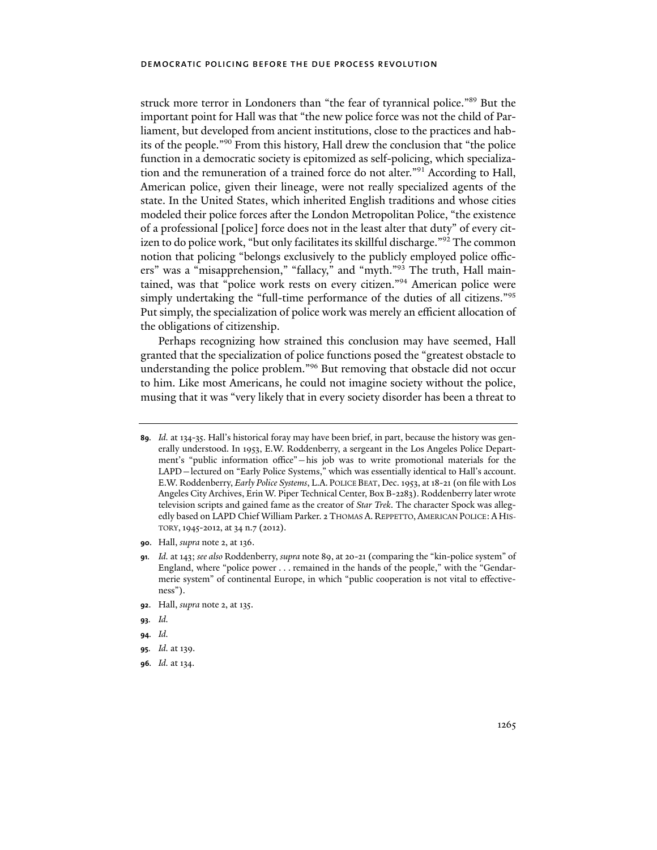struck more terror in Londoners than "the fear of tyrannical police."89 But the important point for Hall was that "the new police force was not the child of Parliament, but developed from ancient institutions, close to the practices and habits of the people."90 From this history, Hall drew the conclusion that "the police function in a democratic society is epitomized as self-policing, which specialization and the remuneration of a trained force do not alter."91 According to Hall, American police, given their lineage, were not really specialized agents of the state. In the United States, which inherited English traditions and whose cities modeled their police forces after the London Metropolitan Police, "the existence of a professional [police] force does not in the least alter that duty" of every citizen to do police work, "but only facilitates its skillful discharge."92 The common notion that policing "belongs exclusively to the publicly employed police officers" was a "misapprehension," "fallacy," and "myth."93 The truth, Hall maintained, was that "police work rests on every citizen."<sup>94</sup> American police were simply undertaking the "full-time performance of the duties of all citizens."<sup>95</sup> Put simply, the specialization of police work was merely an efficient allocation of the obligations of citizenship.

Perhaps recognizing how strained this conclusion may have seemed, Hall granted that the specialization of police functions posed the "greatest obstacle to understanding the police problem."96 But removing that obstacle did not occur to him. Like most Americans, he could not imagine society without the police, musing that it was "very likely that in every society disorder has been a threat to

**90**. Hall, *supra* note 2, at 136.

- **92**. Hall, *supra* note 2, at 135.
- **93***. Id.*
- **94***. Id.*

**96***. Id.* at 134.

**<sup>89</sup>***. Id.* at 134-35. Hall's historical foray may have been brief, in part, because the history was generally understood. In 1953, E.W. Roddenberry, a sergeant in the Los Angeles Police Department's "public information office"—his job was to write promotional materials for the LAPD—lectured on "Early Police Systems," which was essentially identical to Hall's account. E.W. Roddenberry, *Early Police Systems*, L.A. POLICE BEAT, Dec. 1953, at 18-21 (on file with Los Angeles City Archives, Erin W. Piper Technical Center, Box B-2283). Roddenberry later wrote television scripts and gained fame as the creator of *Star Trek*. The character Spock was allegedly based on LAPD Chief William Parker. 2 THOMAS A. REPPETTO, AMERICAN POLICE: A HIS-TORY,1945-2012, at 34 n.7 (2012).

**<sup>91</sup>***. Id.* at 143; *see also* Roddenberry, *supra* note 89, at 20-21 (comparing the "kin-police system" of England, where "police power . . . remained in the hands of the people," with the "Gendarmerie system" of continental Europe, in which "public cooperation is not vital to effectiveness").

**<sup>95</sup>***. Id.* at 139.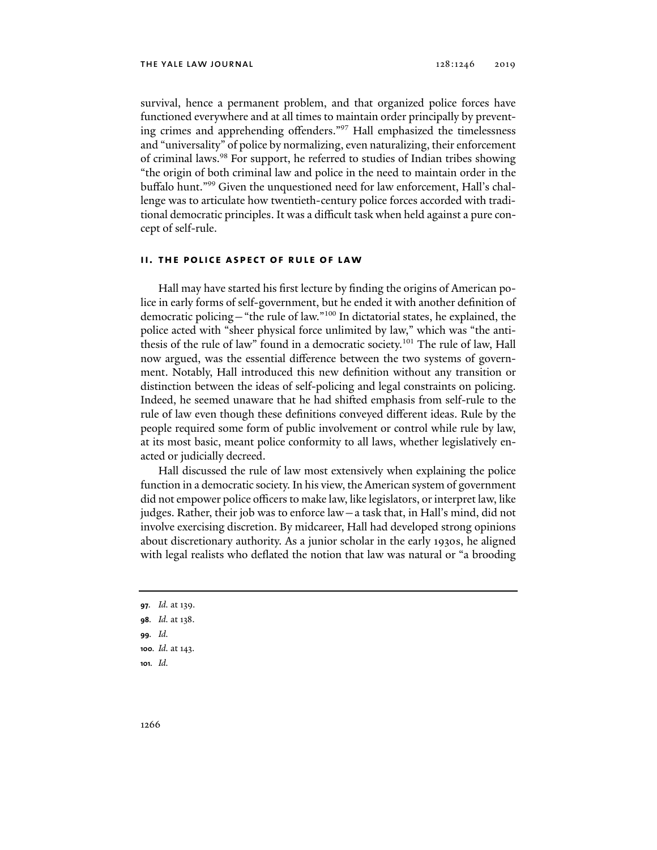survival, hence a permanent problem, and that organized police forces have functioned everywhere and at all times to maintain order principally by preventing crimes and apprehending offenders."97 Hall emphasized the timelessness and "universality" of police by normalizing, even naturalizing, their enforcement of criminal laws.<sup>98</sup> For support, he referred to studies of Indian tribes showing "the origin of both criminal law and police in the need to maintain order in the buffalo hunt."99 Given the unquestioned need for law enforcement, Hall's challenge was to articulate how twentieth-century police forces accorded with traditional democratic principles. It was a difficult task when held against a pure concept of self-rule.

#### **ii. the police aspect of rule of law**

Hall may have started his first lecture by finding the origins of American police in early forms of self-government, but he ended it with another definition of democratic policing—"the rule of law."100 In dictatorial states, he explained, the police acted with "sheer physical force unlimited by law," which was "the antithesis of the rule of law" found in a democratic society.101 The rule of law, Hall now argued, was the essential difference between the two systems of government. Notably, Hall introduced this new definition without any transition or distinction between the ideas of self-policing and legal constraints on policing. Indeed, he seemed unaware that he had shifted emphasis from self-rule to the rule of law even though these definitions conveyed different ideas. Rule by the people required some form of public involvement or control while rule by law, at its most basic, meant police conformity to all laws, whether legislatively enacted or judicially decreed.

Hall discussed the rule of law most extensively when explaining the police function in a democratic society. In his view, the American system of government did not empower police officers to make law, like legislators, or interpret law, like judges. Rather, their job was to enforce law—a task that, in Hall's mind, did not involve exercising discretion. By midcareer, Hall had developed strong opinions about discretionary authority. As a junior scholar in the early 1930s, he aligned with legal realists who deflated the notion that law was natural or "a brooding

- **97***. Id.* at 139. **98***. Id.* at 138.
- 
- **99***. Id.*
- **100***. Id.* at 143.
- **101***. Id.*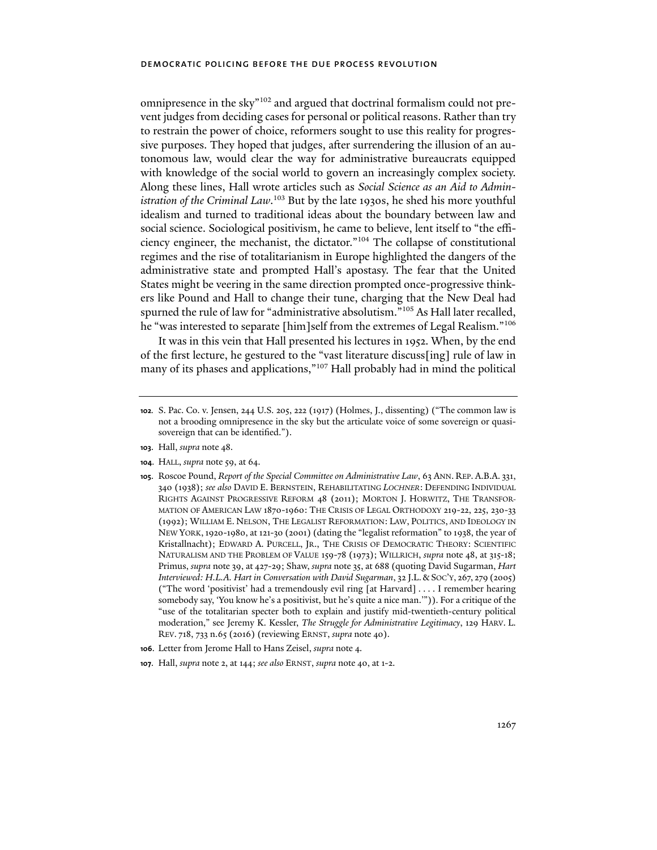omnipresence in the sky"102 and argued that doctrinal formalism could not prevent judges from deciding cases for personal or political reasons. Rather than try to restrain the power of choice, reformers sought to use this reality for progressive purposes. They hoped that judges, after surrendering the illusion of an autonomous law, would clear the way for administrative bureaucrats equipped with knowledge of the social world to govern an increasingly complex society. Along these lines, Hall wrote articles such as *Social Science as an Aid to Administration of the Criminal Law*. 103 But by the late 1930s, he shed his more youthful idealism and turned to traditional ideas about the boundary between law and social science. Sociological positivism, he came to believe, lent itself to "the efficiency engineer, the mechanist, the dictator."104 The collapse of constitutional regimes and the rise of totalitarianism in Europe highlighted the dangers of the administrative state and prompted Hall's apostasy. The fear that the United States might be veering in the same direction prompted once-progressive thinkers like Pound and Hall to change their tune, charging that the New Deal had spurned the rule of law for "administrative absolutism."105 As Hall later recalled, he "was interested to separate [him]self from the extremes of Legal Realism."<sup>106</sup>

It was in this vein that Hall presented his lectures in 1952. When, by the end of the first lecture, he gestured to the "vast literature discuss[ing] rule of law in many of its phases and applications,"<sup>107</sup> Hall probably had in mind the political

- **103**. Hall, *supra* note 48.
- **104**. HALL, *supra* note 59, at 64.
- **105**. Roscoe Pound, *Report of the Special Committee on Administrative Law*, 63 ANN. REP. A.B.A. 331, 340 (1938); *see also* DAVID E. BERNSTEIN, REHABILITATING *LOCHNER*: DEFENDING INDIVIDUAL RIGHTS AGAINST PROGRESSIVE REFORM 48 (2011); MORTON J. HORWITZ, THE TRANSFOR-MATION OF AMERICAN LAW 1870-1960: THE CRISIS OF LEGAL ORTHODOXY 219-22, 225, 230-33 (1992); WILLIAM E. NELSON, THE LEGALIST REFORMATION: LAW, POLITICS, AND IDEOLOGY IN NEW YORK,1920-1980, at 121-30 (2001) (dating the "legalist reformation" to 1938, the year of Kristallnacht); EDWARD A. PURCELL, JR., THE CRISIS OF DEMOCRATIC THEORY: SCIENTIFIC NATURALISM AND THE PROBLEM OF VALUE 159-78 (1973); WILLRICH, *supra* note 48, at 315-18; Primus, *supra* note 39, at 427-29; Shaw, *supra* note 35, at 688 (quoting David Sugarman, *Hart Interviewed: H.L.A. Hart in Conversation with David Sugarman*, 32 J.L.&SOC'Y, 267, 279 (2005) ("The word 'positivist' had a tremendously evil ring [at Harvard] . . . . I remember hearing somebody say, 'You know he's a positivist, but he's quite a nice man.'")). For a critique of the "use of the totalitarian specter both to explain and justify mid-twentieth-century political moderation," see Jeremy K. Kessler, *The Struggle for Administrative Legitimacy*, 129 HARV. L. REV. 718, 733 n.65 (2016) (reviewing ERNST, *supra* note 40).
- **106**. Letter from Jerome Hall to Hans Zeisel, *supra* note 4.
- **107**. Hall, *supra* note 2, at 144; *see also* ERNST, *supra* note 40, at 1-2.

**<sup>102</sup>***.* S. Pac. Co. v. Jensen, 244 U.S. 205, 222 (1917) (Holmes, J., dissenting) ("The common law is not a brooding omnipresence in the sky but the articulate voice of some sovereign or quasisovereign that can be identified.").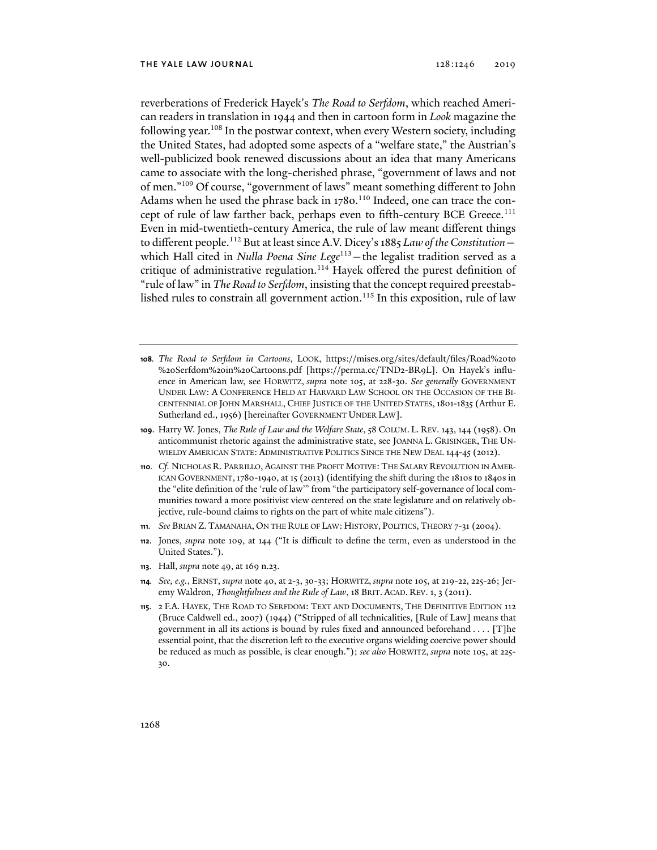reverberations of Frederick Hayek's *The Road to Serfdom*, which reached American readers in translation in 1944 and then in cartoon form in *Look* magazine the following year.<sup>108</sup> In the postwar context, when every Western society, including the United States, had adopted some aspects of a "welfare state," the Austrian's well-publicized book renewed discussions about an idea that many Americans came to associate with the long-cherished phrase, "government of laws and not of men."109 Of course, "government of laws" meant something different to John Adams when he used the phrase back in 1780.<sup>110</sup> Indeed, one can trace the concept of rule of law farther back, perhaps even to fifth-century BCE Greece.<sup>111</sup> Even in mid-twentieth-century America, the rule of law meant different things to different people.112 But at least since A.V. Dicey's 1885 *Law of the Constitution* which Hall cited in *Nulla Poena Sine Lege*<sup>113</sup> - the legalist tradition served as a critique of administrative regulation.<sup>114</sup> Hayek offered the purest definition of "rule of law" in *The Road to Serfdom*, insisting that the concept required preestablished rules to constrain all government action.<sup>115</sup> In this exposition, rule of law

- **108***. The Road to Serfdom in Cartoons*, LOOK, https://mises.org/sites/default/files/Road%20to %20Serfdom%20in%20Cartoons.pdf [https://perma.cc/TND2-BR9L]. On Hayek's influence in American law, see HORWITZ, *supra* note 105, at 228-30. *See generally* GOVERNMENT UNDER LAW: A CONFERENCE HELD AT HARVARD LAW SCHOOL ON THE OCCASION OF THE BI-CENTENNIAL OF JOHN MARSHALL, CHIEF JUSTICE OF THE UNITED STATES,1801-1835 (Arthur E. Sutherland ed., 1956) [hereinafter GOVERNMENT UNDER LAW].
- **109**. Harry W. Jones, *The Rule of Law and the Welfare State*, 58 COLUM. L. REV. 143, 144 (1958). On anticommunist rhetoric against the administrative state, see JOANNA L. GRISINGER, THE UN-WIELDY AMERICAN STATE: ADMINISTRATIVE POLITICS SINCE THE NEW DEAL 144-45 (2012).
- **110***. Cf.* NICHOLAS R. PARRILLO, AGAINST THE PROFIT MOTIVE: THE SALARY REVOLUTION IN AMER-ICAN GOVERNMENT,1780-1940, at 15 (2013) (identifying the shift during the 1810s to 1840s in the "elite definition of the 'rule of law'" from "the participatory self-governance of local communities toward a more positivist view centered on the state legislature and on relatively objective, rule-bound claims to rights on the part of white male citizens").
- **111***. See* BRIAN Z. TAMANAHA, ON THE RULE OF LAW: HISTORY, POLITICS, THEORY 7-31 (2004).
- **112**. Jones, *supra* note 109, at 144 ("It is difficult to define the term, even as understood in the United States.").
- **113**. Hall, *supra* note 49, at 169 n.23.
- **114***. See, e.g.*, ERNST, *supra* note 40, at 2-3, 30-33; HORWITZ, *supra* note 105, at 219-22, 225-26; Jeremy Waldron, *Thoughtfulness and the Rule of Law*, 18 BRIT. ACAD. REV. 1, 3 (2011).
- **115**. 2 F.A. HAYEK, THE ROAD TO SERFDOM: TEXT AND DOCUMENTS, THE DEFINITIVE EDITION 112 (Bruce Caldwell ed., 2007) (1944) ("Stripped of all technicalities, [Rule of Law] means that government in all its actions is bound by rules fixed and announced beforehand . . . . [T]he essential point, that the discretion left to the executive organs wielding coercive power should be reduced as much as possible, is clear enough."); *see also* HORWITZ, *supra* note 105, at 225- 30.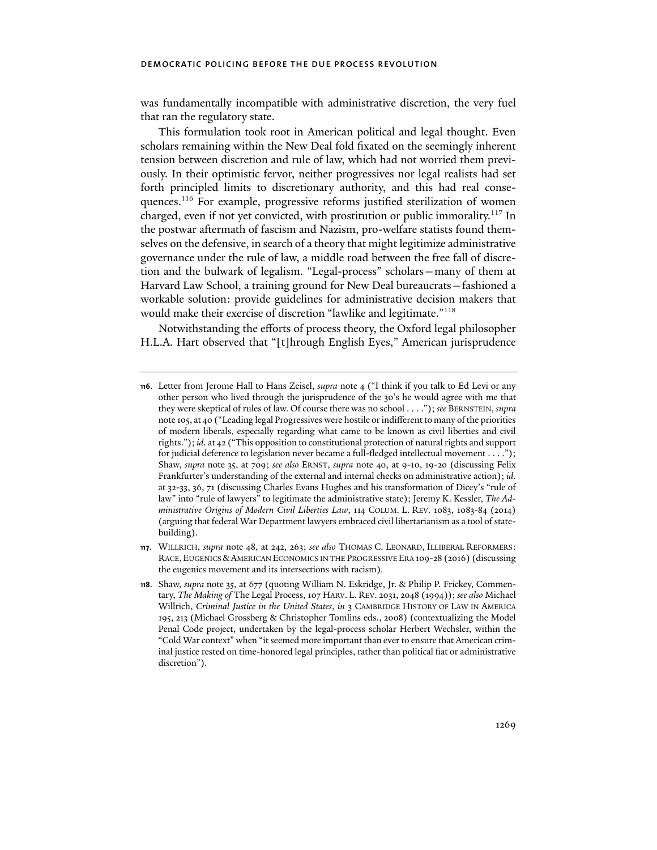was fundamentally incompatible with administrative discretion, the very fuel that ran the regulatory state.

This formulation took root in American political and legal thought. Even scholars remaining within the New Deal fold fixated on the seemingly inherent tension between discretion and rule of law, which had not worried them previously. In their optimistic fervor, neither progressives nor legal realists had set forth principled limits to discretionary authority, and this had real consequences.116 For example, progressive reforms justified sterilization of women charged, even if not yet convicted, with prostitution or public immorality.<sup>117</sup> In the postwar aftermath of fascism and Nazism, pro-welfare statists found themselves on the defensive, in search of a theory that might legitimize administrative governance under the rule of law, a middle road between the free fall of discretion and the bulwark of legalism. "Legal-process" scholars—many of them at Harvard Law School, a training ground for New Deal bureaucrats—fashioned a workable solution: provide guidelines for administrative decision makers that would make their exercise of discretion "lawlike and legitimate."118

Notwithstanding the efforts of process theory, the Oxford legal philosopher H.L.A. Hart observed that "[t]hrough English Eyes," American jurisprudence

**<sup>116</sup>**. Letter from Jerome Hall to Hans Zeisel, *supra* note 4 ("I think if you talk to Ed Levi or any other person who lived through the jurisprudence of the 30's he would agree with me that they were skeptical of rules of law. Of course there was no school . . . ."); *see* BERNSTEIN, *supra*  note 105, at 40 ("Leading legal Progressives were hostile or indifferent to many of the priorities of modern liberals, especially regarding what came to be known as civil liberties and civil rights."); *id.* at 42 ("This opposition to constitutional protection of natural rights and support for judicial deference to legislation never became a full-fledged intellectual movement . . . ."); Shaw, *supra* note 35, at 709; *see also* ERNST, *supra* note 40, at 9-10, 19-20 (discussing Felix Frankfurter's understanding of the external and internal checks on administrative action); *id.* at 32-33, 36, 71 (discussing Charles Evans Hughes and his transformation of Dicey's "rule of law" into "rule of lawyers" to legitimate the administrative state); Jeremy K. Kessler, *The Administrative Origins of Modern Civil Liberties Law*, 114 COLUM. L. REV. 1083, 1083-84 (2014) (arguing that federal War Department lawyers embraced civil libertarianism as a tool of statebuilding).

**<sup>117</sup>**. WILLRICH, *supra* note 48, at 242, 263; *see also* THOMAS C. LEONARD, ILLIBERAL REFORMERS: RACE, EUGENICS &AMERICAN ECONOMICS IN THE PROGRESSIVE ERA 109-28 (2016) (discussing the eugenics movement and its intersections with racism).

**<sup>118</sup>**. Shaw, *supra* note 35, at 677 (quoting William N. Eskridge, Jr. & Philip P. Frickey, Commentary, *The Making of* The Legal Process, 107 HARV. L. REV. 2031, 2048 (1994)); *see also* Michael Willrich, *Criminal Justice in the United States*, *in* 3 CAMBRIDGE HISTORY OF LAW IN AMERICA 195, 213 (Michael Grossberg & Christopher Tomlins eds., 2008) (contextualizing the Model Penal Code project, undertaken by the legal-process scholar Herbert Wechsler, within the "Cold War context" when "it seemed more important than ever to ensure that American criminal justice rested on time-honored legal principles, rather than political fiat or administrative discretion").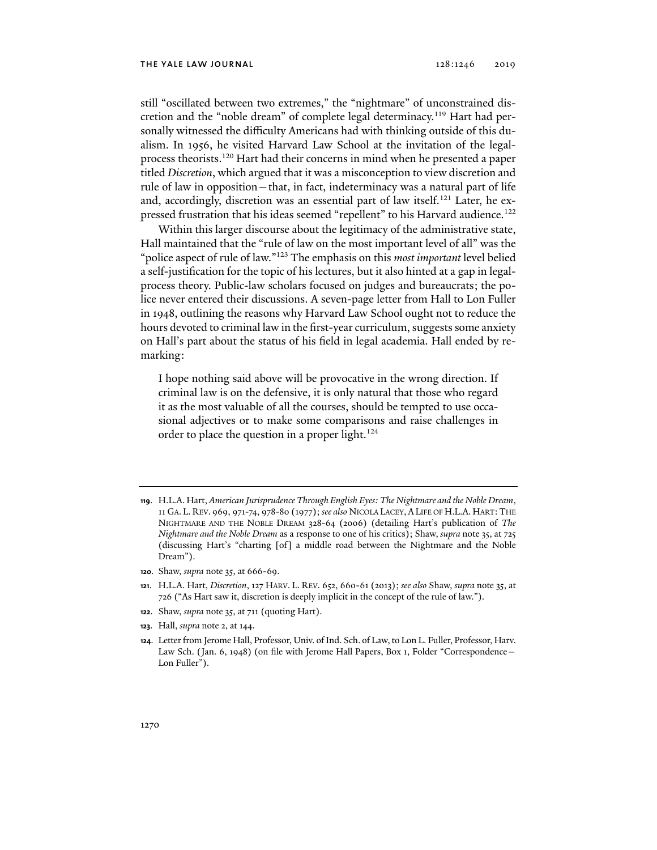still "oscillated between two extremes," the "nightmare" of unconstrained discretion and the "noble dream" of complete legal determinacy.<sup>119</sup> Hart had personally witnessed the difficulty Americans had with thinking outside of this dualism. In 1956, he visited Harvard Law School at the invitation of the legalprocess theorists.<sup>120</sup> Hart had their concerns in mind when he presented a paper titled *Discretion*, which argued that it was a misconception to view discretion and rule of law in opposition—that, in fact, indeterminacy was a natural part of life and, accordingly, discretion was an essential part of law itself.<sup>121</sup> Later, he expressed frustration that his ideas seemed "repellent" to his Harvard audience.122

Within this larger discourse about the legitimacy of the administrative state, Hall maintained that the "rule of law on the most important level of all" was the "police aspect of rule of law."123 The emphasis on this *most important* level belied a self-justification for the topic of his lectures, but it also hinted at a gap in legalprocess theory. Public-law scholars focused on judges and bureaucrats; the police never entered their discussions. A seven-page letter from Hall to Lon Fuller in 1948, outlining the reasons why Harvard Law School ought not to reduce the hours devoted to criminal law in the first-year curriculum, suggests some anxiety on Hall's part about the status of his field in legal academia. Hall ended by remarking:

I hope nothing said above will be provocative in the wrong direction. If criminal law is on the defensive, it is only natural that those who regard it as the most valuable of all the courses, should be tempted to use occasional adjectives or to make some comparisons and raise challenges in order to place the question in a proper light.<sup>124</sup>

- **119**. H.L.A. Hart, *American Jurisprudence Through English Eyes: The Nightmare and the Noble Dream*, 11 GA. L. REV. 969, 971-74, 978-80 (1977); *see also* NICOLA LACEY, ALIFE OF H.L.A.HART:THE NIGHTMARE AND THE NOBLE DREAM 328-64 (2006) (detailing Hart's publication of *The Nightmare and the Noble Dream* as a response to one of his critics); Shaw, *supra* note 35, at 725 (discussing Hart's "charting [of] a middle road between the Nightmare and the Noble Dream").
- **120**. Shaw, *supra* note 35, at 666-69.
- **121**. H.L.A. Hart, *Discretion*, 127 HARV. L. REV. 652, 660-61 (2013); *see also* Shaw, *supra* note 35, at 726 ("As Hart saw it, discretion is deeply implicit in the concept of the rule of law.").
- **122**. Shaw, *supra* note 35, at 711 (quoting Hart).
- **123**. Hall, *supra* note 2, at 144.
- **124**. Letter from Jerome Hall, Professor, Univ. of Ind. Sch. of Law, to Lon L. Fuller, Professor, Harv. Law Sch. (Jan. 6, 1948) (on file with Jerome Hall Papers, Box 1, Folder "Correspondence— Lon Fuller").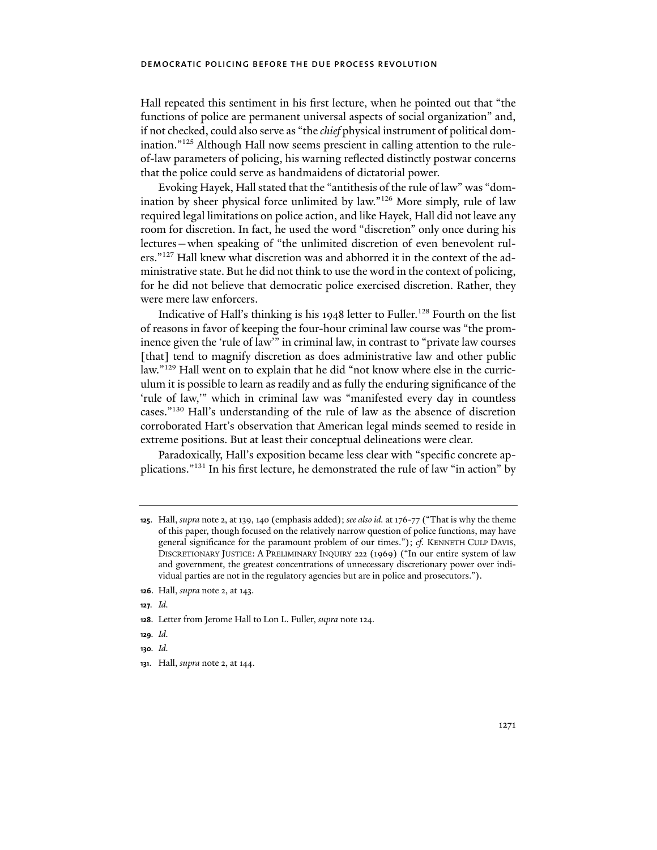Hall repeated this sentiment in his first lecture, when he pointed out that "the functions of police are permanent universal aspects of social organization" and, if not checked, could also serve as "the *chief* physical instrument of political domination."<sup>125</sup> Although Hall now seems prescient in calling attention to the ruleof-law parameters of policing, his warning reflected distinctly postwar concerns that the police could serve as handmaidens of dictatorial power.

Evoking Hayek, Hall stated that the "antithesis of the rule of law" was "domination by sheer physical force unlimited by law."126 More simply, rule of law required legal limitations on police action, and like Hayek, Hall did not leave any room for discretion. In fact, he used the word "discretion" only once during his lectures—when speaking of "the unlimited discretion of even benevolent rulers."127 Hall knew what discretion was and abhorred it in the context of the administrative state. But he did not think to use the word in the context of policing, for he did not believe that democratic police exercised discretion. Rather, they were mere law enforcers.

Indicative of Hall's thinking is his 1948 letter to Fuller.<sup>128</sup> Fourth on the list of reasons in favor of keeping the four-hour criminal law course was "the prominence given the 'rule of law'" in criminal law, in contrast to "private law courses [that] tend to magnify discretion as does administrative law and other public law."129 Hall went on to explain that he did "not know where else in the curriculum it is possible to learn as readily and as fully the enduring significance of the 'rule of law,'" which in criminal law was "manifested every day in countless cases."130 Hall's understanding of the rule of law as the absence of discretion corroborated Hart's observation that American legal minds seemed to reside in extreme positions. But at least their conceptual delineations were clear.

Paradoxically, Hall's exposition became less clear with "specific concrete applications."131 In his first lecture, he demonstrated the rule of law "in action" by

**127***. Id.*

**129***. Id.*

**130***. Id.*

**<sup>125</sup>**. Hall, *supra* note 2, at 139, 140 (emphasis added); *see also id.* at 176-77 ("That is why the theme of this paper, though focused on the relatively narrow question of police functions, may have general significance for the paramount problem of our times."); *cf.* KENNETH CULP DAVIS, DISCRETIONARY JUSTICE: A PRELIMINARY INQUIRY 222 (1969) ("In our entire system of law and government, the greatest concentrations of unnecessary discretionary power over individual parties are not in the regulatory agencies but are in police and prosecutors.").

**<sup>126</sup>**. Hall, *supra* note 2, at 143.

**<sup>128</sup>**. Letter from Jerome Hall to Lon L. Fuller, *supra* note 124.

**<sup>131</sup>**. Hall, *supra* note 2, at 144.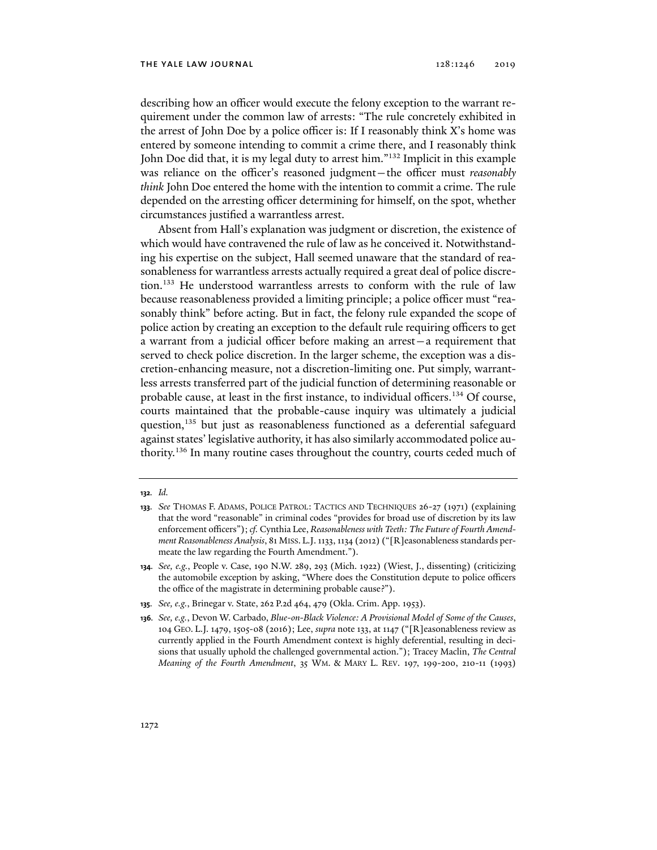describing how an officer would execute the felony exception to the warrant requirement under the common law of arrests: "The rule concretely exhibited in the arrest of John Doe by a police officer is: If I reasonably think X's home was entered by someone intending to commit a crime there, and I reasonably think John Doe did that, it is my legal duty to arrest him."<sup>132</sup> Implicit in this example was reliance on the officer's reasoned judgment—the officer must *reasonably think* John Doe entered the home with the intention to commit a crime. The rule depended on the arresting officer determining for himself, on the spot, whether circumstances justified a warrantless arrest.

Absent from Hall's explanation was judgment or discretion, the existence of which would have contravened the rule of law as he conceived it. Notwithstanding his expertise on the subject, Hall seemed unaware that the standard of reasonableness for warrantless arrests actually required a great deal of police discretion.133 He understood warrantless arrests to conform with the rule of law because reasonableness provided a limiting principle; a police officer must "reasonably think" before acting. But in fact, the felony rule expanded the scope of police action by creating an exception to the default rule requiring officers to get a warrant from a judicial officer before making an arrest—a requirement that served to check police discretion. In the larger scheme, the exception was a discretion-enhancing measure, not a discretion-limiting one. Put simply, warrantless arrests transferred part of the judicial function of determining reasonable or probable cause, at least in the first instance, to individual officers.134 Of course, courts maintained that the probable-cause inquiry was ultimately a judicial question,<sup>135</sup> but just as reasonableness functioned as a deferential safeguard against states' legislative authority, it has also similarly accommodated police authority.136 In many routine cases throughout the country, courts ceded much of

**<sup>132</sup>***. Id.*

**<sup>133</sup>***. See* THOMAS F. ADAMS, POLICE PATROL: TACTICS AND TECHNIQUES 26-27 (1971) (explaining that the word "reasonable" in criminal codes "provides for broad use of discretion by its law enforcement officers"); *cf.* Cynthia Lee, *Reasonableness with Teeth: The Future of Fourth Amendment Reasonableness Analysis*, 81 MISS. L.J. 1133, 1134 (2012) ("[R]easonableness standards permeate the law regarding the Fourth Amendment.").

**<sup>134</sup>***. See, e.g.*, People v. Case, 190 N.W. 289, 293 (Mich. 1922) (Wiest, J., dissenting) (criticizing the automobile exception by asking, "Where does the Constitution depute to police officers the office of the magistrate in determining probable cause?").

**<sup>135</sup>***. See, e.g.*, Brinegar v. State, 262 P.2d 464, 479 (Okla. Crim. App. 1953).

**<sup>136</sup>***. See, e.g.*, Devon W. Carbado, *Blue-on-Black Violence: A Provisional Model of Some of the Causes*, 104 GEO. L.J. 1479, 1505-08 (2016); Lee, *supra* note 133, at 1147 ("[R]easonableness review as currently applied in the Fourth Amendment context is highly deferential, resulting in decisions that usually uphold the challenged governmental action."); Tracey Maclin, *The Central Meaning of the Fourth Amendment*, 35 WM. & MARY L. REV. 197, 199-200, 210-11 (1993)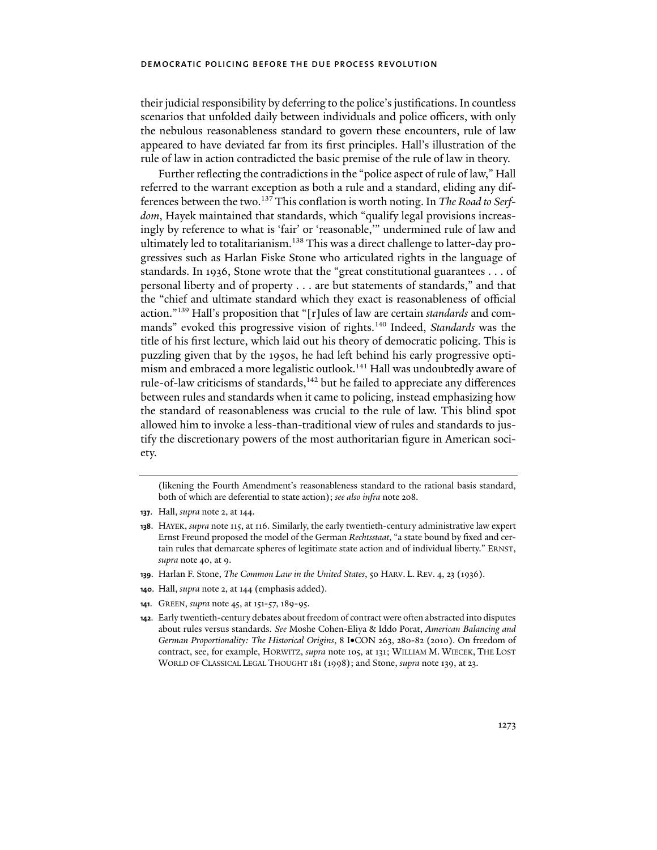their judicial responsibility by deferring to the police's justifications. In countless scenarios that unfolded daily between individuals and police officers, with only the nebulous reasonableness standard to govern these encounters, rule of law appeared to have deviated far from its first principles. Hall's illustration of the rule of law in action contradicted the basic premise of the rule of law in theory.

Further reflecting the contradictions in the "police aspect of rule of law," Hall referred to the warrant exception as both a rule and a standard, eliding any differences between the two.137 This conflation is worth noting. In *The Road to Serfdom*, Hayek maintained that standards, which "qualify legal provisions increasingly by reference to what is 'fair' or 'reasonable,'" undermined rule of law and ultimately led to totalitarianism.<sup>138</sup> This was a direct challenge to latter-day progressives such as Harlan Fiske Stone who articulated rights in the language of standards. In 1936, Stone wrote that the "great constitutional guarantees . . . of personal liberty and of property . . . are but statements of standards," and that the "chief and ultimate standard which they exact is reasonableness of official action."139 Hall's proposition that "[r]ules of law are certain *standards* and commands" evoked this progressive vision of rights.140 Indeed, *Standards* was the title of his first lecture, which laid out his theory of democratic policing. This is puzzling given that by the 1950s, he had left behind his early progressive optimism and embraced a more legalistic outlook.<sup>141</sup> Hall was undoubtedly aware of rule-of-law criticisms of standards,<sup>142</sup> but he failed to appreciate any differences between rules and standards when it came to policing, instead emphasizing how the standard of reasonableness was crucial to the rule of law. This blind spot allowed him to invoke a less-than-traditional view of rules and standards to justify the discretionary powers of the most authoritarian figure in American society.

(likening the Fourth Amendment's reasonableness standard to the rational basis standard, both of which are deferential to state action); *see also infra* note 208.

- **139**. Harlan F. Stone, *The Common Law in the United States*, 50 HARV. L. REV. 4, 23 (1936).
- **140**. Hall, *supra* note 2, at 144 (emphasis added).
- **141**. GREEN, *supra* note 45, at 151-57, 189-95.

**<sup>137</sup>**. Hall, *supra* note 2, at 144.

**<sup>138</sup>**. HAYEK, *supra* note 115, at 116. Similarly, the early twentieth-century administrative law expert Ernst Freund proposed the model of the German *Rechtsstaat*, "a state bound by fixed and certain rules that demarcate spheres of legitimate state action and of individual liberty." ERNST, *supra* note 40, at 9.

**<sup>142</sup>**. Early twentieth-century debates about freedom of contract were often abstracted into disputes about rules versus standards. *See* Moshe Cohen-Eliya & Iddo Porat, *American Balancing and*  German Proportionality: The Historical Origins, 8 I.CON 263, 280-82 (2010). On freedom of contract, see, for example, HORWITZ, *supra* note 105, at 131; WILLIAM M. WIECEK, THE LOST WORLD OF CLASSICAL LEGAL THOUGHT 181 (1998); and Stone, *supra* note 139, at 23.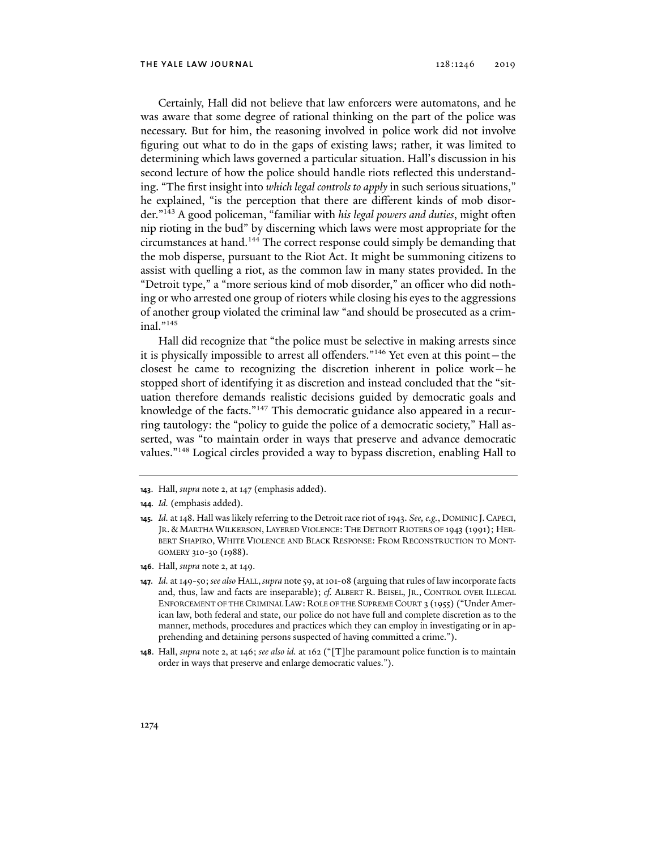Certainly, Hall did not believe that law enforcers were automatons, and he was aware that some degree of rational thinking on the part of the police was necessary. But for him, the reasoning involved in police work did not involve figuring out what to do in the gaps of existing laws; rather, it was limited to determining which laws governed a particular situation. Hall's discussion in his second lecture of how the police should handle riots reflected this understanding. "The first insight into *which legal controls to apply* in such serious situations," he explained, "is the perception that there are different kinds of mob disorder."143 A good policeman, "familiar with *his legal powers and duties*, might often nip rioting in the bud" by discerning which laws were most appropriate for the circumstances at hand.144 The correct response could simply be demanding that the mob disperse, pursuant to the Riot Act. It might be summoning citizens to assist with quelling a riot, as the common law in many states provided. In the "Detroit type," a "more serious kind of mob disorder," an officer who did nothing or who arrested one group of rioters while closing his eyes to the aggressions of another group violated the criminal law "and should be prosecuted as a criminal."145

Hall did recognize that "the police must be selective in making arrests since it is physically impossible to arrest all offenders."146 Yet even at this point—the closest he came to recognizing the discretion inherent in police work—he stopped short of identifying it as discretion and instead concluded that the "situation therefore demands realistic decisions guided by democratic goals and knowledge of the facts."<sup>147</sup> This democratic guidance also appeared in a recurring tautology: the "policy to guide the police of a democratic society," Hall asserted, was "to maintain order in ways that preserve and advance democratic values."148 Logical circles provided a way to bypass discretion, enabling Hall to

- **144***. Id.* (emphasis added).
- **145***. Id.* at 148. Hall was likely referring to the Detroit race riot of 1943. *See, e.g.*, DOMINIC J.CAPECI, JR. & MARTHA WILKERSON, LAYERED VIOLENCE: THE DETROIT RIOTERS OF 1943 (1991); HER-BERT SHAPIRO, WHITE VIOLENCE AND BLACK RESPONSE: FROM RECONSTRUCTION TO MONT-GOMERY 310-30 (1988).
- **146**. Hall, *supra* note 2, at 149.

**<sup>143</sup>**. Hall, *supra* note 2, at 147 (emphasis added).

**<sup>147</sup>***. Id.* at 149-50; *see also* HALL,*supra* note 59, at 101-08 (arguing that rules of law incorporate facts and, thus, law and facts are inseparable); *cf.* ALBERT R. BEISEL, JR., CONTROL OVER ILLEGAL ENFORCEMENT OF THE CRIMINAL LAW: ROLE OF THE SUPREME COURT 3 (1955) ("Under American law, both federal and state, our police do not have full and complete discretion as to the manner, methods, procedures and practices which they can employ in investigating or in apprehending and detaining persons suspected of having committed a crime.").

**<sup>148</sup>**. Hall, *supra* note 2, at 146; *see also id.* at 162 ("[T]he paramount police function is to maintain order in ways that preserve and enlarge democratic values.").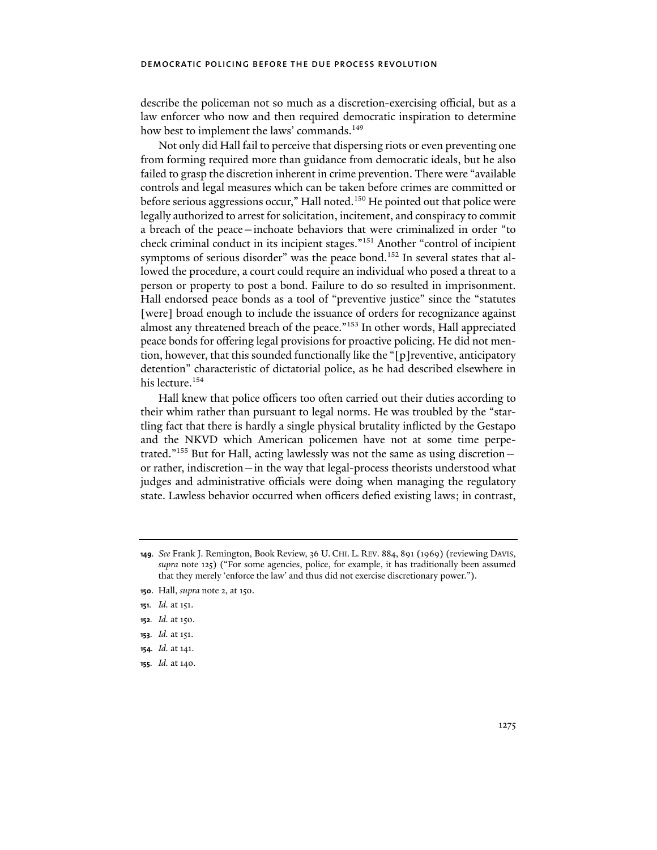describe the policeman not so much as a discretion-exercising official, but as a law enforcer who now and then required democratic inspiration to determine how best to implement the laws' commands.<sup>149</sup>

Not only did Hall fail to perceive that dispersing riots or even preventing one from forming required more than guidance from democratic ideals, but he also failed to grasp the discretion inherent in crime prevention. There were "available controls and legal measures which can be taken before crimes are committed or before serious aggressions occur," Hall noted.<sup>150</sup> He pointed out that police were legally authorized to arrest for solicitation, incitement, and conspiracy to commit a breach of the peace—inchoate behaviors that were criminalized in order "to check criminal conduct in its incipient stages."151 Another "control of incipient symptoms of serious disorder" was the peace bond.<sup>152</sup> In several states that allowed the procedure, a court could require an individual who posed a threat to a person or property to post a bond. Failure to do so resulted in imprisonment. Hall endorsed peace bonds as a tool of "preventive justice" since the "statutes [were] broad enough to include the issuance of orders for recognizance against almost any threatened breach of the peace."153 In other words, Hall appreciated peace bonds for offering legal provisions for proactive policing. He did not mention, however, that this sounded functionally like the "[p]reventive, anticipatory detention" characteristic of dictatorial police, as he had described elsewhere in his lecture.<sup>154</sup>

Hall knew that police officers too often carried out their duties according to their whim rather than pursuant to legal norms. He was troubled by the "startling fact that there is hardly a single physical brutality inflicted by the Gestapo and the NKVD which American policemen have not at some time perpetrated."155 But for Hall, acting lawlessly was not the same as using discretion or rather, indiscretion—in the way that legal-process theorists understood what judges and administrative officials were doing when managing the regulatory state. Lawless behavior occurred when officers defied existing laws; in contrast,

- **153***. Id.* at 151.
- **154***. Id.* at 141.
- **155***. Id.* at 140.

**<sup>149</sup>***. See* Frank J. Remington, Book Review, 36 U. CHI. L. REV. 884, 891 (1969) (reviewing DAVIS, *supra* note 125) ("For some agencies, police, for example, it has traditionally been assumed that they merely 'enforce the law' and thus did not exercise discretionary power.").

**<sup>150</sup>**. Hall, *supra* note 2, at 150.

**<sup>151</sup>***. Id.* at 151.

**<sup>152</sup>***. Id.* at 150.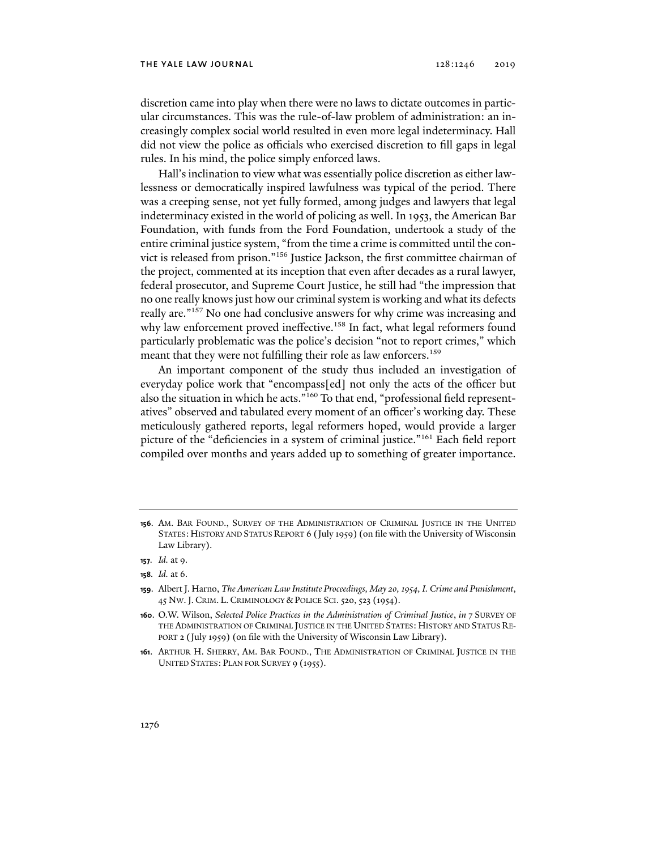#### the yale law journal 128:1246 2019

discretion came into play when there were no laws to dictate outcomes in particular circumstances. This was the rule-of-law problem of administration: an increasingly complex social world resulted in even more legal indeterminacy. Hall did not view the police as officials who exercised discretion to fill gaps in legal rules. In his mind, the police simply enforced laws.

Hall's inclination to view what was essentially police discretion as either lawlessness or democratically inspired lawfulness was typical of the period. There was a creeping sense, not yet fully formed, among judges and lawyers that legal indeterminacy existed in the world of policing as well. In 1953, the American Bar Foundation, with funds from the Ford Foundation, undertook a study of the entire criminal justice system, "from the time a crime is committed until the convict is released from prison."156 Justice Jackson, the first committee chairman of the project, commented at its inception that even after decades as a rural lawyer, federal prosecutor, and Supreme Court Justice, he still had "the impression that no one really knows just how our criminal system is working and what its defects really are."157 No one had conclusive answers for why crime was increasing and why law enforcement proved ineffective.<sup>158</sup> In fact, what legal reformers found particularly problematic was the police's decision "not to report crimes," which meant that they were not fulfilling their role as law enforcers.<sup>159</sup>

An important component of the study thus included an investigation of everyday police work that "encompass[ed] not only the acts of the officer but also the situation in which he acts."160 To that end, "professional field representatives" observed and tabulated every moment of an officer's working day. These meticulously gathered reports, legal reformers hoped, would provide a larger picture of the "deficiencies in a system of criminal justice."161 Each field report compiled over months and years added up to something of greater importance.

**158***. Id.* at 6.

**<sup>156</sup>**. AM. BAR FOUND., SURVEY OF THE ADMINISTRATION OF CRIMINAL JUSTICE IN THE UNITED STATES:HISTORY AND STATUS REPORT 6 (July 1959) (on file with the University of Wisconsin Law Library).

**<sup>157</sup>***. Id.* at 9.

**<sup>159</sup>**. Albert J. Harno, *The American Law Institute Proceedings, May 20, 1954, I. Crime and Punishment*, 45 NW.J. CRIM. L. CRIMINOLOGY & POLICE SCI. 520, 523 (1954).

**<sup>160</sup>**. O.W. Wilson, *Selected Police Practices in the Administration of Criminal Justice*, *in* 7 SURVEY OF THE ADMINISTRATION OF CRIMINAL JUSTICE IN THE UNITED STATES: HISTORY AND STATUS RE-PORT 2 (July 1959) (on file with the University of Wisconsin Law Library).

**<sup>161</sup>**. ARTHUR H. SHERRY, AM. BAR FOUND., THE ADMINISTRATION OF CRIMINAL JUSTICE IN THE UNITED STATES: PLAN FOR SURVEY 9 (1955).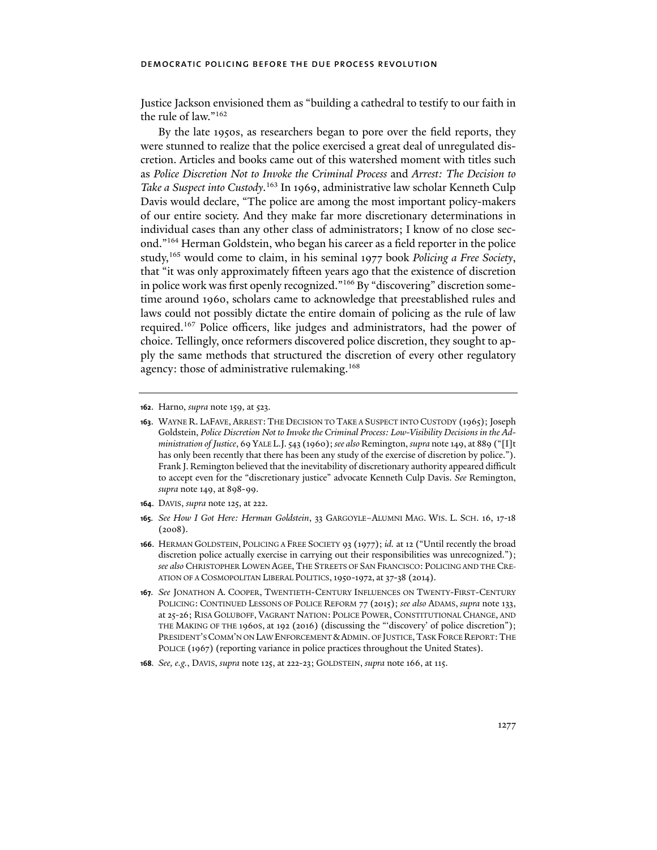Justice Jackson envisioned them as "building a cathedral to testify to our faith in the rule of law."162

By the late 1950s, as researchers began to pore over the field reports, they were stunned to realize that the police exercised a great deal of unregulated discretion. Articles and books came out of this watershed moment with titles such as *Police Discretion Not to Invoke the Criminal Process* and *Arrest: The Decision to Take a Suspect into Custody*. 163 In 1969, administrative law scholar Kenneth Culp Davis would declare, "The police are among the most important policy-makers of our entire society. And they make far more discretionary determinations in individual cases than any other class of administrators; I know of no close second."164 Herman Goldstein, who began his career as a field reporter in the police study,165 would come to claim, in his seminal 1977 book *Policing a Free Society*, that "it was only approximately fifteen years ago that the existence of discretion in police work was first openly recognized."<sup>166</sup> By "discovering" discretion sometime around 1960, scholars came to acknowledge that preestablished rules and laws could not possibly dictate the entire domain of policing as the rule of law required.167 Police officers, like judges and administrators, had the power of choice. Tellingly, once reformers discovered police discretion, they sought to apply the same methods that structured the discretion of every other regulatory agency: those of administrative rulemaking.<sup>168</sup>

**164**. DAVIS, *supra* note 125, at 222.

**<sup>162</sup>**. Harno, *supra* note 159, at 523.

**<sup>163</sup>**. WAYNE R. LAFAVE, ARREST: THE DECISION TO TAKE A SUSPECT INTO CUSTODY (1965); Joseph Goldstein, *Police Discretion Not to Invoke the Criminal Process: Low-Visibility Decisions in the Administration of Justice*, 69 YALE L.J. 543 (1960); *see also* Remington, *supra* note 149, at 889 ("[I]t has only been recently that there has been any study of the exercise of discretion by police."). Frank J. Remington believed that the inevitability of discretionary authority appeared difficult to accept even for the "discretionary justice" advocate Kenneth Culp Davis. *See* Remington, *supra* note 149, at 898-99.

**<sup>165</sup>***. See How I Got Here: Herman Goldstein*, 33 GARGOYLE–ALUMNI MAG. WIS. L. SCH. 16, 17-18 (2008).

**<sup>166</sup>**. HERMAN GOLDSTEIN, POLICING A FREE SOCIETY 93 (1977); *id.* at 12 ("Until recently the broad discretion police actually exercise in carrying out their responsibilities was unrecognized."); *see also* CHRISTOPHER LOWEN AGEE, THE STREETS OF SAN FRANCISCO: POLICING AND THE CRE-ATION OF A COSMOPOLITAN LIBERAL POLITICS,1950-1972, at 37-38 (2014).

**<sup>167</sup>***. See* JONATHON A. COOPER, TWENTIETH-CENTURY INFLUENCES ON TWENTY-FIRST-CENTURY POLICING: CONTINUED LESSONS OF POLICE REFORM 77 (2015); *see also* ADAMS, *supra* note 133, at 25-26; RISA GOLUBOFF, VAGRANT NATION: POLICE POWER, CONSTITUTIONAL CHANGE, AND THE MAKING OF THE 1960S, at 192 (2016) (discussing the "'discovery' of police discretion"); PRESIDENT'S COMM'N ON LAW ENFORCEMENT & ADMIN. OF JUSTICE, TASK FORCE REPORT: THE POLICE (1967) (reporting variance in police practices throughout the United States).

**<sup>168</sup>***. See, e.g.*, DAVIS, *supra* note 125, at 222-23; GOLDSTEIN, *supra* note 166, at 115.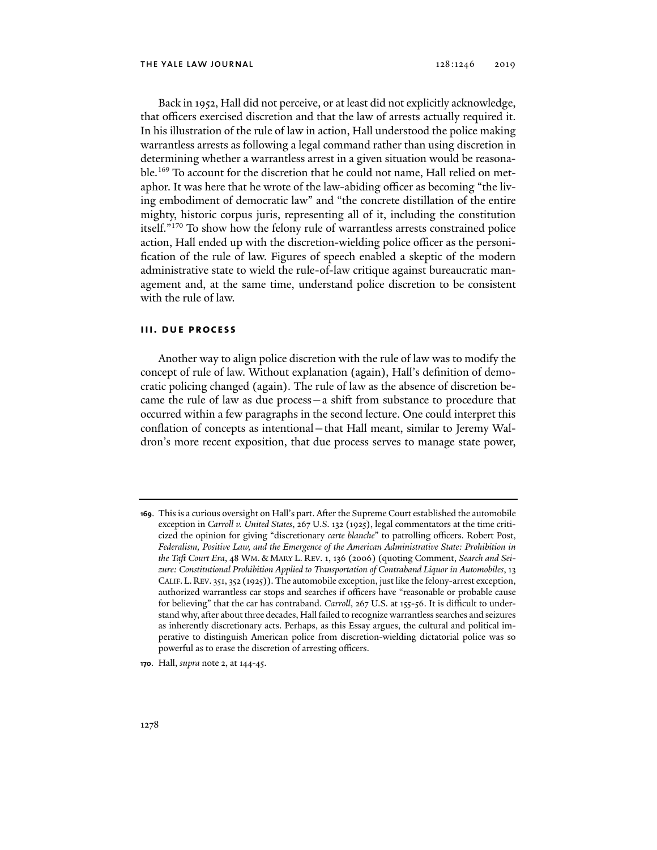Back in 1952, Hall did not perceive, or at least did not explicitly acknowledge, that officers exercised discretion and that the law of arrests actually required it. In his illustration of the rule of law in action, Hall understood the police making warrantless arrests as following a legal command rather than using discretion in determining whether a warrantless arrest in a given situation would be reasonable.169 To account for the discretion that he could not name, Hall relied on metaphor. It was here that he wrote of the law-abiding officer as becoming "the living embodiment of democratic law" and "the concrete distillation of the entire mighty, historic corpus juris, representing all of it, including the constitution itself."170 To show how the felony rule of warrantless arrests constrained police action, Hall ended up with the discretion-wielding police officer as the personification of the rule of law. Figures of speech enabled a skeptic of the modern administrative state to wield the rule-of-law critique against bureaucratic management and, at the same time, understand police discretion to be consistent with the rule of law.

## **iii. due process**

Another way to align police discretion with the rule of law was to modify the concept of rule of law. Without explanation (again), Hall's definition of democratic policing changed (again). The rule of law as the absence of discretion became the rule of law as due process—a shift from substance to procedure that occurred within a few paragraphs in the second lecture. One could interpret this conflation of concepts as intentional—that Hall meant, similar to Jeremy Waldron's more recent exposition, that due process serves to manage state power,

**<sup>169</sup>**. This is a curious oversight on Hall's part. After the Supreme Court established the automobile exception in *Carroll v. United States*, 267 U.S. 132 (1925), legal commentators at the time criticized the opinion for giving "discretionary *carte blanche*" to patrolling officers. Robert Post, *Federalism, Positive Law, and the Emergence of the American Administrative State: Prohibition in the Taft Court Era*, 48 WM. & MARY L. REV. 1, 136 (2006) (quoting Comment, *Search and Seizure: Constitutional Prohibition Applied to Transportation of Contraband Liquor in Automobiles*, 13 CALIF.L.REV. 351, 352 (1925)). The automobile exception, just like the felony-arrest exception, authorized warrantless car stops and searches if officers have "reasonable or probable cause for believing" that the car has contraband. *Carroll*, 267 U.S. at 155-56. It is difficult to understand why, after about three decades, Hall failed to recognize warrantless searches and seizures as inherently discretionary acts. Perhaps, as this Essay argues, the cultural and political imperative to distinguish American police from discretion-wielding dictatorial police was so powerful as to erase the discretion of arresting officers.

**<sup>170</sup>**. Hall, *supra* note 2, at 144-45.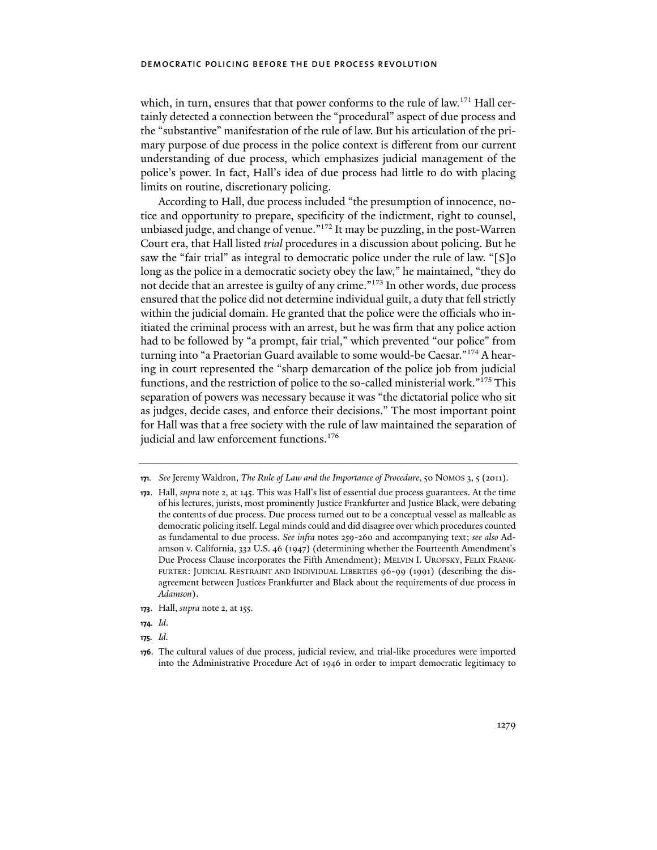which, in turn, ensures that that power conforms to the rule of law.<sup>171</sup> Hall certainly detected a connection between the "procedural" aspect of due process and the "substantive" manifestation of the rule of law. But his articulation of the primary purpose of due process in the police context is different from our current understanding of due process, which emphasizes judicial management of the police's power. In fact, Hall's idea of due process had little to do with placing limits on routine, discretionary policing.

According to Hall, due process included "the presumption of innocence, notice and opportunity to prepare, specificity of the indictment, right to counsel, unbiased judge, and change of venue."172 It may be puzzling, in the post-Warren Court era, that Hall listed *trial* procedures in a discussion about policing. But he saw the "fair trial" as integral to democratic police under the rule of law. "[S]o long as the police in a democratic society obey the law," he maintained, "they do not decide that an arrestee is guilty of any crime."173 In other words, due process ensured that the police did not determine individual guilt, a duty that fell strictly within the judicial domain. He granted that the police were the officials who initiated the criminal process with an arrest, but he was firm that any police action had to be followed by "a prompt, fair trial," which prevented "our police" from turning into "a Praetorian Guard available to some would-be Caesar."174 A hearing in court represented the "sharp demarcation of the police job from judicial functions, and the restriction of police to the so-called ministerial work."175 This separation of powers was necessary because it was "the dictatorial police who sit as judges, decide cases, and enforce their decisions." The most important point for Hall was that a free society with the rule of law maintained the separation of judicial and law enforcement functions.<sup>176</sup>

- **173**. Hall, *supra* note 2, at 155.
- **174***. Id*.
- **175***. Id.*

**<sup>171</sup>***. See* Jeremy Waldron, *The Rule of Law and the Importance of Procedure*, 50 NOMOS 3, 5 (2011).

**<sup>172</sup>**. Hall, *supra* note 2, at 145. This was Hall's list of essential due process guarantees. At the time of his lectures, jurists, most prominently Justice Frankfurter and Justice Black, were debating the contents of due process. Due process turned out to be a conceptual vessel as malleable as democratic policing itself. Legal minds could and did disagree over which procedures counted as fundamental to due process. *See infra* notes 259-260 and accompanying text; *see also* Adamson v. California, 332 U.S. 46 (1947) (determining whether the Fourteenth Amendment's Due Process Clause incorporates the Fifth Amendment); MELVIN I. UROFSKY, FELIX FRANK-FURTER: JUDICIAL RESTRAINT AND INDIVIDUAL LIBERTIES 96-99 (1991) (describing the disagreement between Justices Frankfurter and Black about the requirements of due process in *Adamson*).

**<sup>176</sup>**. The cultural values of due process, judicial review, and trial-like procedures were imported into the Administrative Procedure Act of 1946 in order to impart democratic legitimacy to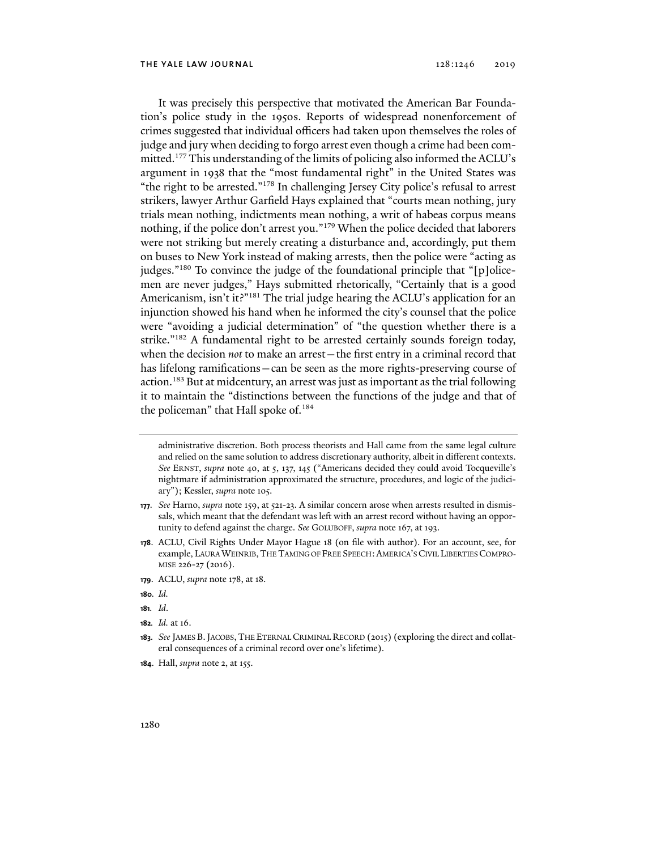It was precisely this perspective that motivated the American Bar Foundation's police study in the 1950s. Reports of widespread nonenforcement of crimes suggested that individual officers had taken upon themselves the roles of judge and jury when deciding to forgo arrest even though a crime had been committed.<sup>177</sup> This understanding of the limits of policing also informed the ACLU's argument in 1938 that the "most fundamental right" in the United States was "the right to be arrested."178 In challenging Jersey City police's refusal to arrest strikers, lawyer Arthur Garfield Hays explained that "courts mean nothing, jury trials mean nothing, indictments mean nothing, a writ of habeas corpus means nothing, if the police don't arrest you."179 When the police decided that laborers were not striking but merely creating a disturbance and, accordingly, put them on buses to New York instead of making arrests, then the police were "acting as judges."<sup>180</sup> To convince the judge of the foundational principle that "[p]olicemen are never judges," Hays submitted rhetorically, "Certainly that is a good Americanism, isn't it?"<sup>181</sup> The trial judge hearing the ACLU's application for an injunction showed his hand when he informed the city's counsel that the police were "avoiding a judicial determination" of "the question whether there is a strike."182 A fundamental right to be arrested certainly sounds foreign today, when the decision *not* to make an arrest—the first entry in a criminal record that has lifelong ramifications—can be seen as the more rights-preserving course of action.<sup>183</sup> But at midcentury, an arrest was just as important as the trial following it to maintain the "distinctions between the functions of the judge and that of the policeman" that Hall spoke of.<sup>184</sup>

- **179**. ACLU, *supra* note 178, at 18.
- **180***. Id.*
- **181***. Id*.
- **182***. Id.* at 16.

**184**. Hall, *supra* note 2, at 155.

administrative discretion. Both process theorists and Hall came from the same legal culture and relied on the same solution to address discretionary authority, albeit in different contexts. *See* ERNST, *supra* note 40, at 5, 137, 145 ("Americans decided they could avoid Tocqueville's nightmare if administration approximated the structure, procedures, and logic of the judiciary"); Kessler, *supra* note 105.

**<sup>177</sup>***. See* Harno, *supra* note 159, at 521-23. A similar concern arose when arrests resulted in dismissals, which meant that the defendant was left with an arrest record without having an opportunity to defend against the charge. *See* GOLUBOFF, *supra* note 167, at 193.

**<sup>178</sup>**. ACLU, Civil Rights Under Mayor Hague 18 (on file with author). For an account, see, for example, LAURA WEINRIB,THE TAMING OF FREE SPEECH:AMERICA'S CIVIL LIBERTIES COMPRO-MISE 226-27 (2016).

**<sup>183</sup>***. See* JAMES B.JACOBS, THE ETERNAL CRIMINAL RECORD (2015) (exploring the direct and collateral consequences of a criminal record over one's lifetime).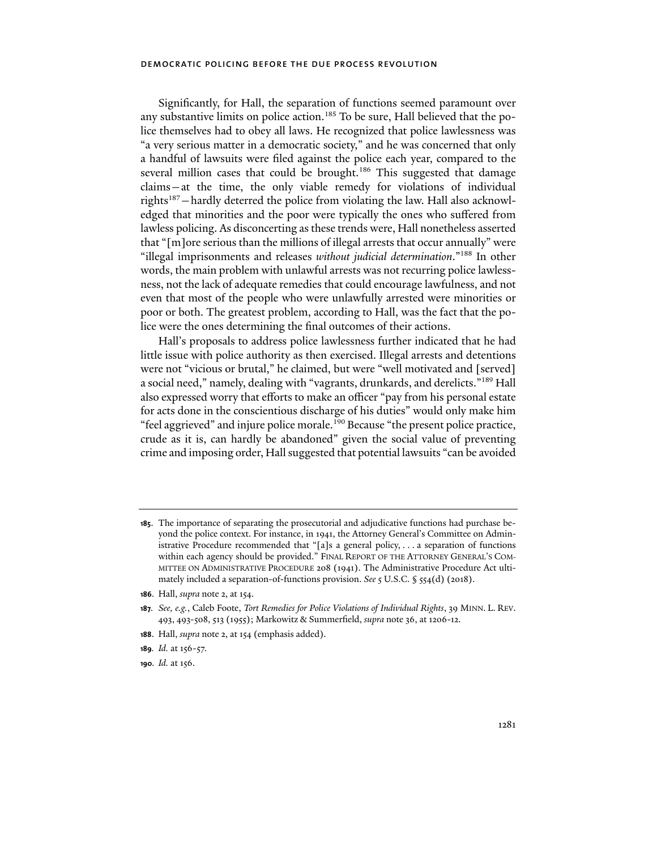Significantly, for Hall, the separation of functions seemed paramount over any substantive limits on police action.<sup>185</sup> To be sure, Hall believed that the police themselves had to obey all laws. He recognized that police lawlessness was "a very serious matter in a democratic society," and he was concerned that only a handful of lawsuits were filed against the police each year, compared to the several million cases that could be brought.<sup>186</sup> This suggested that damage claims—at the time, the only viable remedy for violations of individual rights187—hardly deterred the police from violating the law. Hall also acknowledged that minorities and the poor were typically the ones who suffered from lawless policing. As disconcerting as these trends were, Hall nonetheless asserted that "[m]ore serious than the millions of illegal arrests that occur annually" were "illegal imprisonments and releases *without judicial determination*."188 In other words, the main problem with unlawful arrests was not recurring police lawlessness, not the lack of adequate remedies that could encourage lawfulness, and not even that most of the people who were unlawfully arrested were minorities or poor or both. The greatest problem, according to Hall, was the fact that the police were the ones determining the final outcomes of their actions.

Hall's proposals to address police lawlessness further indicated that he had little issue with police authority as then exercised. Illegal arrests and detentions were not "vicious or brutal," he claimed, but were "well motivated and [served] a social need," namely, dealing with "vagrants, drunkards, and derelicts."189 Hall also expressed worry that efforts to make an officer "pay from his personal estate for acts done in the conscientious discharge of his duties" would only make him "feel aggrieved" and injure police morale.<sup>190</sup> Because "the present police practice, crude as it is, can hardly be abandoned" given the social value of preventing crime and imposing order, Hall suggested that potential lawsuits "can be avoided

- **189***. Id.* at 156-57.
- **190***. Id.* at 156.

**<sup>185</sup>**. The importance of separating the prosecutorial and adjudicative functions had purchase beyond the police context. For instance, in 1941, the Attorney General's Committee on Administrative Procedure recommended that "[a]s a general policy, . . . a separation of functions within each agency should be provided." FINAL REPORT OF THE ATTORNEY GENERAL'S COM-MITTEE ON ADMINISTRATIVE PROCEDURE 208 (1941). The Administrative Procedure Act ultimately included a separation-of-functions provision. *See* 5 U.S.C. § 554(d) (2018).

**<sup>186</sup>**. Hall, *supra* note 2, at 154.

**<sup>187</sup>***. See, e.g.*, Caleb Foote, *Tort Remedies for Police Violations of Individual Rights*, 39 MINN. L. REV. 493, 493-508, 513 (1955); Markowitz & Summerfield, *supra* note 36, at 1206-12.

**<sup>188</sup>**. Hall, *supra* note 2, at 154 (emphasis added).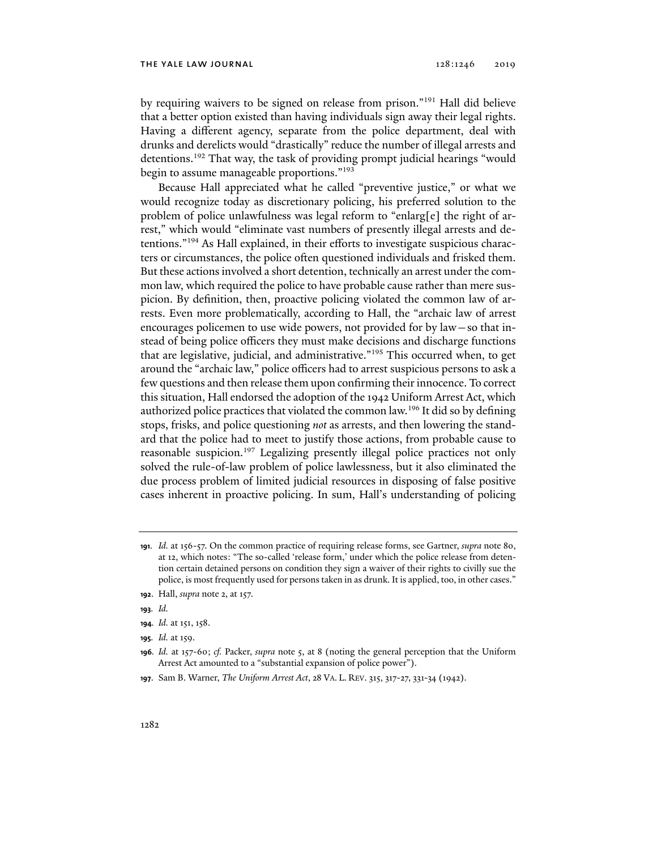#### the yale law journal 128:1246 2019

by requiring waivers to be signed on release from prison."191 Hall did believe that a better option existed than having individuals sign away their legal rights. Having a different agency, separate from the police department, deal with drunks and derelicts would "drastically" reduce the number of illegal arrests and detentions.<sup>192</sup> That way, the task of providing prompt judicial hearings "would begin to assume manageable proportions."193

Because Hall appreciated what he called "preventive justice," or what we would recognize today as discretionary policing, his preferred solution to the problem of police unlawfulness was legal reform to "enlarg[e] the right of arrest," which would "eliminate vast numbers of presently illegal arrests and detentions."194 As Hall explained, in their efforts to investigate suspicious characters or circumstances, the police often questioned individuals and frisked them. But these actions involved a short detention, technically an arrest under the common law, which required the police to have probable cause rather than mere suspicion. By definition, then, proactive policing violated the common law of arrests. Even more problematically, according to Hall, the "archaic law of arrest encourages policemen to use wide powers, not provided for by law—so that instead of being police officers they must make decisions and discharge functions that are legislative, judicial, and administrative."<sup>195</sup> This occurred when, to get around the "archaic law," police officers had to arrest suspicious persons to ask a few questions and then release them upon confirming their innocence. To correct this situation, Hall endorsed the adoption of the 1942 Uniform Arrest Act, which authorized police practices that violated the common law.196 It did so by defining stops, frisks, and police questioning *not* as arrests, and then lowering the standard that the police had to meet to justify those actions, from probable cause to reasonable suspicion.<sup>197</sup> Legalizing presently illegal police practices not only solved the rule-of-law problem of police lawlessness, but it also eliminated the due process problem of limited judicial resources in disposing of false positive cases inherent in proactive policing. In sum, Hall's understanding of policing

**<sup>191</sup>***. Id.* at 156-57. On the common practice of requiring release forms, see Gartner, *supra* note 80, at 12, which notes: "The so-called 'release form,' under which the police release from detention certain detained persons on condition they sign a waiver of their rights to civilly sue the police, is most frequently used for persons taken in as drunk. It is applied, too, in other cases."

**<sup>192</sup>**. Hall, *supra* note 2, at 157.

**<sup>193</sup>***. Id.*

**<sup>194</sup>***. Id.* at 151, 158.

**<sup>195</sup>***. Id.* at 159.

**<sup>196</sup>***. Id.* at 157-60; *cf.* Packer, *supra* note 5, at 8 (noting the general perception that the Uniform Arrest Act amounted to a "substantial expansion of police power").

**<sup>197</sup>**. Sam B. Warner, *The Uniform Arrest Act*, 28 VA. L. REV. 315, 317-27, 331-34 (1942).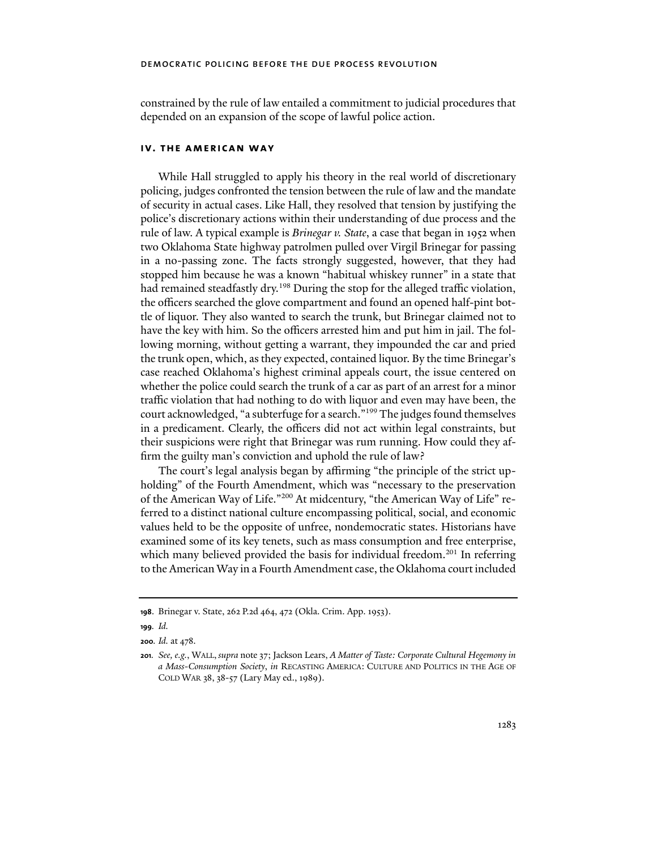constrained by the rule of law entailed a commitment to judicial procedures that depended on an expansion of the scope of lawful police action.

## **iv. the american way**

While Hall struggled to apply his theory in the real world of discretionary policing, judges confronted the tension between the rule of law and the mandate of security in actual cases. Like Hall, they resolved that tension by justifying the police's discretionary actions within their understanding of due process and the rule of law. A typical example is *Brinegar v. State*, a case that began in 1952 when two Oklahoma State highway patrolmen pulled over Virgil Brinegar for passing in a no-passing zone. The facts strongly suggested, however, that they had stopped him because he was a known "habitual whiskey runner" in a state that had remained steadfastly dry.<sup>198</sup> During the stop for the alleged traffic violation, the officers searched the glove compartment and found an opened half-pint bottle of liquor. They also wanted to search the trunk, but Brinegar claimed not to have the key with him. So the officers arrested him and put him in jail. The following morning, without getting a warrant, they impounded the car and pried the trunk open, which, as they expected, contained liquor. By the time Brinegar's case reached Oklahoma's highest criminal appeals court, the issue centered on whether the police could search the trunk of a car as part of an arrest for a minor traffic violation that had nothing to do with liquor and even may have been, the court acknowledged, "a subterfuge for a search."199 The judges found themselves in a predicament. Clearly, the officers did not act within legal constraints, but their suspicions were right that Brinegar was rum running. How could they affirm the guilty man's conviction and uphold the rule of law?

The court's legal analysis began by affirming "the principle of the strict upholding" of the Fourth Amendment, which was "necessary to the preservation of the American Way of Life."200 At midcentury, "the American Way of Life" referred to a distinct national culture encompassing political, social, and economic values held to be the opposite of unfree, nondemocratic states. Historians have examined some of its key tenets, such as mass consumption and free enterprise, which many believed provided the basis for individual freedom.<sup>201</sup> In referring to the American Way in a Fourth Amendment case, the Oklahoma court included

**<sup>198</sup>**. Brinegar v. State, 262 P.2d 464, 472 (Okla. Crim. App. 1953).

**<sup>199</sup>***. Id.*

**<sup>200</sup>***. Id.* at 478.

**<sup>201</sup>***. See, e.g.*, WALL, *supra* note 37; Jackson Lears, *A Matter of Taste: Corporate Cultural Hegemony in a Mass-Consumption Society*, *in* RECASTING AMERICA: CULTURE AND POLITICS IN THE AGE OF COLD WAR 38, 38-57 (Lary May ed., 1989).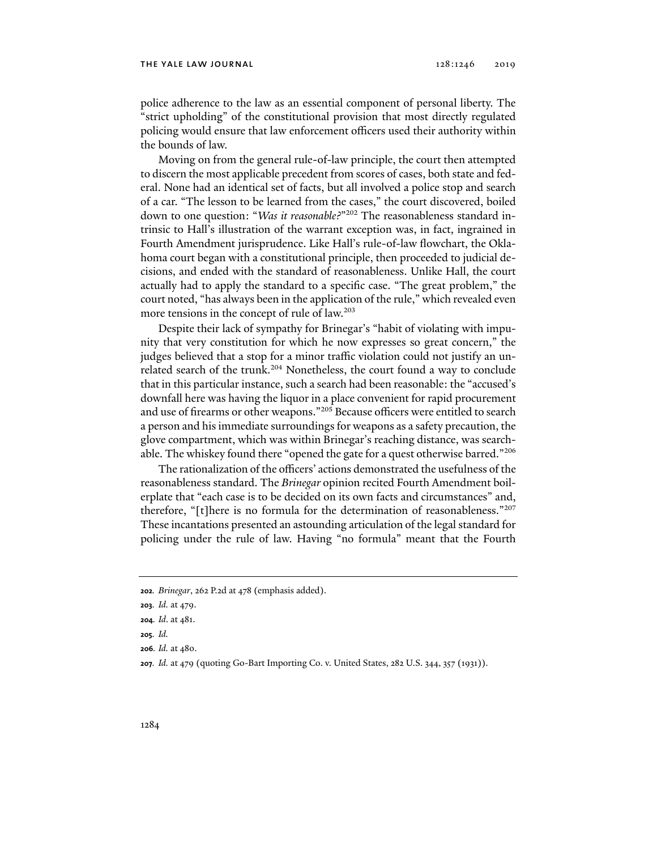police adherence to the law as an essential component of personal liberty. The "strict upholding" of the constitutional provision that most directly regulated policing would ensure that law enforcement officers used their authority within the bounds of law.

Moving on from the general rule-of-law principle, the court then attempted to discern the most applicable precedent from scores of cases, both state and federal. None had an identical set of facts, but all involved a police stop and search of a car. "The lesson to be learned from the cases," the court discovered, boiled down to one question: "*Was it reasonable?*"202 The reasonableness standard intrinsic to Hall's illustration of the warrant exception was, in fact, ingrained in Fourth Amendment jurisprudence. Like Hall's rule-of-law flowchart, the Oklahoma court began with a constitutional principle, then proceeded to judicial decisions, and ended with the standard of reasonableness. Unlike Hall, the court actually had to apply the standard to a specific case. "The great problem," the court noted, "has always been in the application of the rule," which revealed even more tensions in the concept of rule of law.<sup>203</sup>

Despite their lack of sympathy for Brinegar's "habit of violating with impunity that very constitution for which he now expresses so great concern," the judges believed that a stop for a minor traffic violation could not justify an unrelated search of the trunk.<sup>204</sup> Nonetheless, the court found a way to conclude that in this particular instance, such a search had been reasonable: the "accused's downfall here was having the liquor in a place convenient for rapid procurement and use of firearms or other weapons."205 Because officers were entitled to search a person and his immediate surroundings for weapons as a safety precaution, the glove compartment, which was within Brinegar's reaching distance, was searchable. The whiskey found there "opened the gate for a quest otherwise barred."<sup>206</sup>

The rationalization of the officers' actions demonstrated the usefulness of the reasonableness standard. The *Brinegar* opinion recited Fourth Amendment boilerplate that "each case is to be decided on its own facts and circumstances" and, therefore, "[t]here is no formula for the determination of reasonableness."207 These incantations presented an astounding articulation of the legal standard for policing under the rule of law. Having "no formula" meant that the Fourth

**<sup>202</sup>***. Brinegar*, 262 P.2d at 478 (emphasis added).

**<sup>203</sup>***. Id.* at 479.

**<sup>204</sup>***. Id*. at 481.

**<sup>205</sup>***. Id.*

**<sup>206</sup>***. Id.* at 480.

**<sup>207</sup>***. Id.* at 479 (quoting Go-Bart Importing Co. v. United States, 282 U.S. 344, 357 (1931)).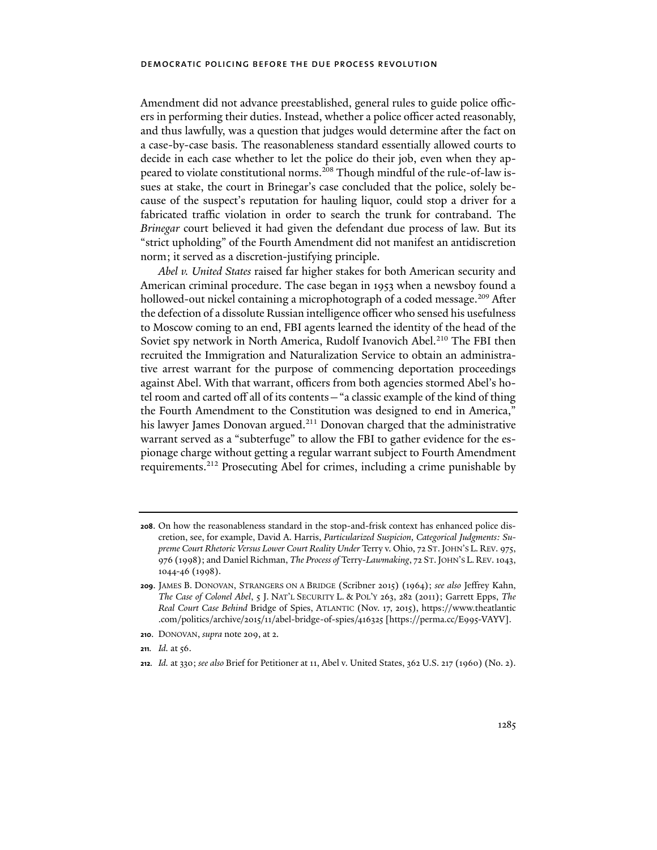Amendment did not advance preestablished, general rules to guide police officers in performing their duties. Instead, whether a police officer acted reasonably, and thus lawfully, was a question that judges would determine after the fact on a case-by-case basis. The reasonableness standard essentially allowed courts to decide in each case whether to let the police do their job, even when they appeared to violate constitutional norms.<sup>208</sup> Though mindful of the rule-of-law issues at stake, the court in Brinegar's case concluded that the police, solely because of the suspect's reputation for hauling liquor, could stop a driver for a fabricated traffic violation in order to search the trunk for contraband. The *Brinegar* court believed it had given the defendant due process of law. But its "strict upholding" of the Fourth Amendment did not manifest an antidiscretion norm; it served as a discretion-justifying principle.

*Abel v. United States* raised far higher stakes for both American security and American criminal procedure. The case began in 1953 when a newsboy found a hollowed-out nickel containing a microphotograph of a coded message.<sup>209</sup> After the defection of a dissolute Russian intelligence officer who sensed his usefulness to Moscow coming to an end, FBI agents learned the identity of the head of the Soviet spy network in North America, Rudolf Ivanovich Abel.<sup>210</sup> The FBI then recruited the Immigration and Naturalization Service to obtain an administrative arrest warrant for the purpose of commencing deportation proceedings against Abel. With that warrant, officers from both agencies stormed Abel's hotel room and carted off all of its contents—"a classic example of the kind of thing the Fourth Amendment to the Constitution was designed to end in America," his lawyer James Donovan argued.<sup>211</sup> Donovan charged that the administrative warrant served as a "subterfuge" to allow the FBI to gather evidence for the espionage charge without getting a regular warrant subject to Fourth Amendment requirements.212 Prosecuting Abel for crimes, including a crime punishable by

- **210**. DONOVAN, *supra* note 209, at 2.
- **211.** *Id.* at 56.
- **212***. Id.* at 330; *see also* Brief for Petitioner at 11, Abel v. United States, 362 U.S. 217 (1960) (No. 2).

**<sup>208</sup>**. On how the reasonableness standard in the stop-and-frisk context has enhanced police discretion, see, for example, David A. Harris, *Particularized Suspicion, Categorical Judgments: Supreme Court Rhetoric Versus Lower Court Reality Under* Terry v. Ohio, 72 ST.JOHN'S L. REV. 975, 976 (1998); and Daniel Richman, *The Process of* Terry-*Lawmaking*, 72 ST.JOHN'S L.REV. 1043, 1044-46 (1998).

**<sup>209</sup>**. JAMES B. DONOVAN, STRANGERS ON A BRIDGE (Scribner 2015) (1964); *see also* Jeffrey Kahn, *The Case of Colonel Abel*, 5 J. NAT'L SECURITY L. & POL'Y 263, 282 (2011); Garrett Epps, *The Real Court Case Behind* Bridge of Spies, ATLANTIC (Nov. 17, 2015), https://www.theatlantic .com/politics/archive/2015/11/abel-bridge-of-spies/416325 [https://perma.cc/E995-VAYV].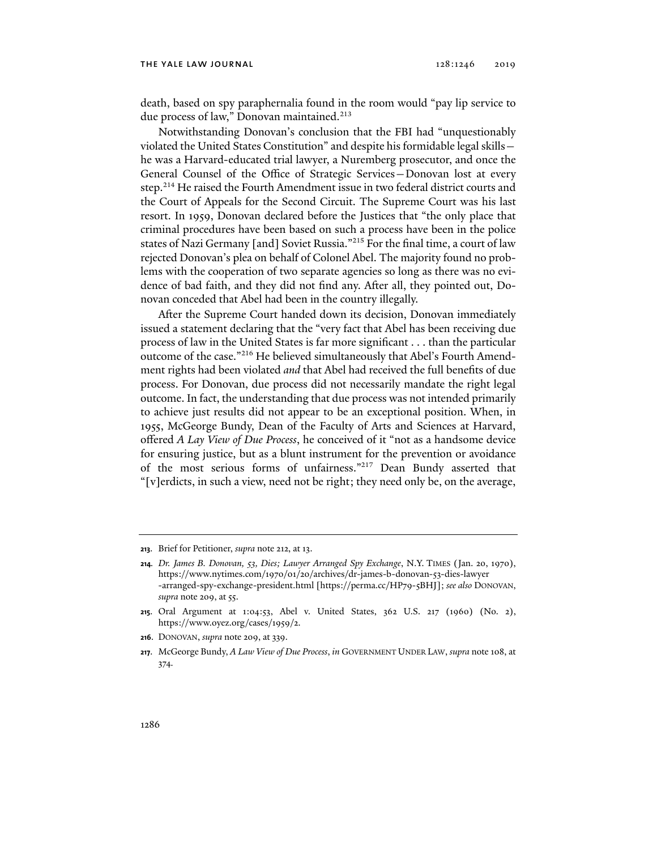#### the yale law journal 128:1246 2019

death, based on spy paraphernalia found in the room would "pay lip service to due process of law," Donovan maintained.<sup>213</sup>

Notwithstanding Donovan's conclusion that the FBI had "unquestionably violated the United States Constitution" and despite his formidable legal skills he was a Harvard-educated trial lawyer, a Nuremberg prosecutor, and once the General Counsel of the Office of Strategic Services—Donovan lost at every step.<sup>214</sup> He raised the Fourth Amendment issue in two federal district courts and the Court of Appeals for the Second Circuit. The Supreme Court was his last resort. In 1959, Donovan declared before the Justices that "the only place that criminal procedures have been based on such a process have been in the police states of Nazi Germany [and] Soviet Russia."215 For the final time, a court of law rejected Donovan's plea on behalf of Colonel Abel. The majority found no problems with the cooperation of two separate agencies so long as there was no evidence of bad faith, and they did not find any. After all, they pointed out, Donovan conceded that Abel had been in the country illegally.

After the Supreme Court handed down its decision, Donovan immediately issued a statement declaring that the "very fact that Abel has been receiving due process of law in the United States is far more significant . . . than the particular outcome of the case."216 He believed simultaneously that Abel's Fourth Amendment rights had been violated *and* that Abel had received the full benefits of due process. For Donovan, due process did not necessarily mandate the right legal outcome. In fact, the understanding that due process was not intended primarily to achieve just results did not appear to be an exceptional position. When, in 1955, McGeorge Bundy, Dean of the Faculty of Arts and Sciences at Harvard, offered *A Lay View of Due Process*, he conceived of it "not as a handsome device for ensuring justice, but as a blunt instrument for the prevention or avoidance of the most serious forms of unfairness."217 Dean Bundy asserted that "[v]erdicts, in such a view, need not be right; they need only be, on the average,

**<sup>213</sup>**. Brief for Petitioner, *supra* note 212, at 13.

**<sup>214</sup>***. Dr. James B. Donovan, 53, Dies; Lawyer Arranged Spy Exchange*, N.Y. TIMES (Jan. 20, 1970), https://www.nytimes.com/1970/01/20/archives/dr-james-b-donovan-53-dies-lawyer -arranged-spy-exchange-president.html [https://perma.cc/HP79-5BHJ]; *see also* DONOVAN, *supra* note 209, at 55.

**<sup>215</sup>**. Oral Argument at 1:04:53, Abel v. United States, 362 U.S. 217 (1960) (No. 2), https://www.oyez.org/cases/1959/2.

**<sup>216</sup>**. DONOVAN, *supra* note 209, at 339.

**<sup>217</sup>**. McGeorge Bundy, *A Law View of Due Process*, *in* GOVERNMENT UNDER LAW, *supra* note 108, at 374.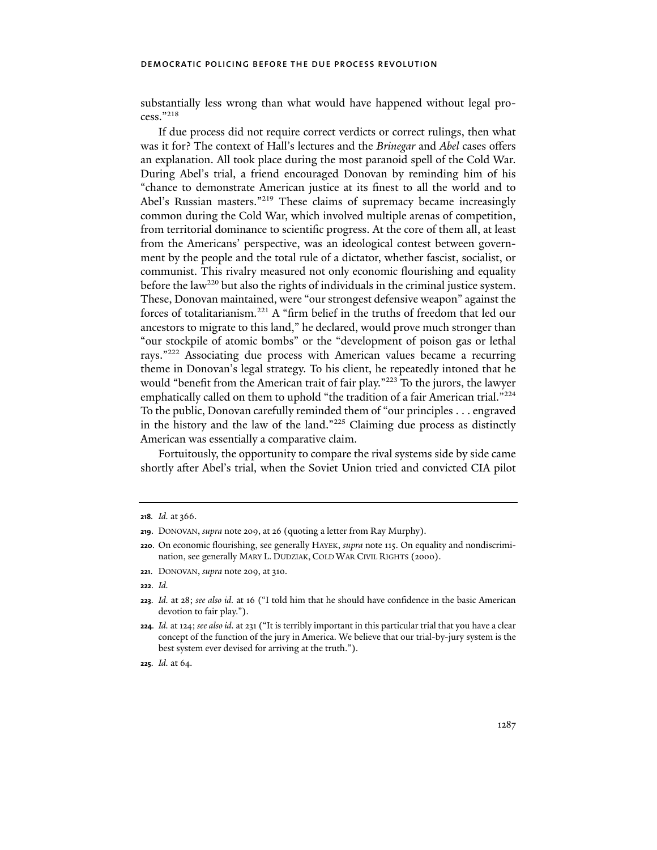substantially less wrong than what would have happened without legal process."218

If due process did not require correct verdicts or correct rulings, then what was it for? The context of Hall's lectures and the *Brinegar* and *Abel* cases offers an explanation. All took place during the most paranoid spell of the Cold War. During Abel's trial, a friend encouraged Donovan by reminding him of his "chance to demonstrate American justice at its finest to all the world and to Abel's Russian masters."<sup>219</sup> These claims of supremacy became increasingly common during the Cold War, which involved multiple arenas of competition, from territorial dominance to scientific progress. At the core of them all, at least from the Americans' perspective, was an ideological contest between government by the people and the total rule of a dictator, whether fascist, socialist, or communist. This rivalry measured not only economic flourishing and equality before the law<sup>220</sup> but also the rights of individuals in the criminal justice system. These, Donovan maintained, were "our strongest defensive weapon" against the forces of totalitarianism.221 A "firm belief in the truths of freedom that led our ancestors to migrate to this land," he declared, would prove much stronger than "our stockpile of atomic bombs" or the "development of poison gas or lethal rays."222 Associating due process with American values became a recurring theme in Donovan's legal strategy. To his client, he repeatedly intoned that he would "benefit from the American trait of fair play."223 To the jurors, the lawyer emphatically called on them to uphold "the tradition of a fair American trial."<sup>224</sup> To the public, Donovan carefully reminded them of "our principles . . . engraved in the history and the law of the land."225 Claiming due process as distinctly American was essentially a comparative claim.

Fortuitously, the opportunity to compare the rival systems side by side came shortly after Abel's trial, when the Soviet Union tried and convicted CIA pilot

**<sup>218</sup>***. Id.* at 366.

**<sup>219</sup>**. DONOVAN, *supra* note 209, at 26 (quoting a letter from Ray Murphy).

**<sup>220</sup>**. On economic flourishing, see generally HAYEK, *supra* note 115. On equality and nondiscrimination, see generally MARY L. DUDZIAK, COLD WAR CIVIL RIGHTS (2000).

**<sup>221</sup>**. DONOVAN, *supra* note 209, at 310.

**<sup>222</sup>***. Id.* 

**<sup>223</sup>***. Id.* at 28; *see also id.* at 16 ("I told him that he should have confidence in the basic American devotion to fair play.").

**<sup>224</sup>***. Id.* at 124; *see also id.* at 231 ("It is terribly important in this particular trial that you have a clear concept of the function of the jury in America. We believe that our trial-by-jury system is the best system ever devised for arriving at the truth.").

**<sup>225</sup>***. Id.* at 64.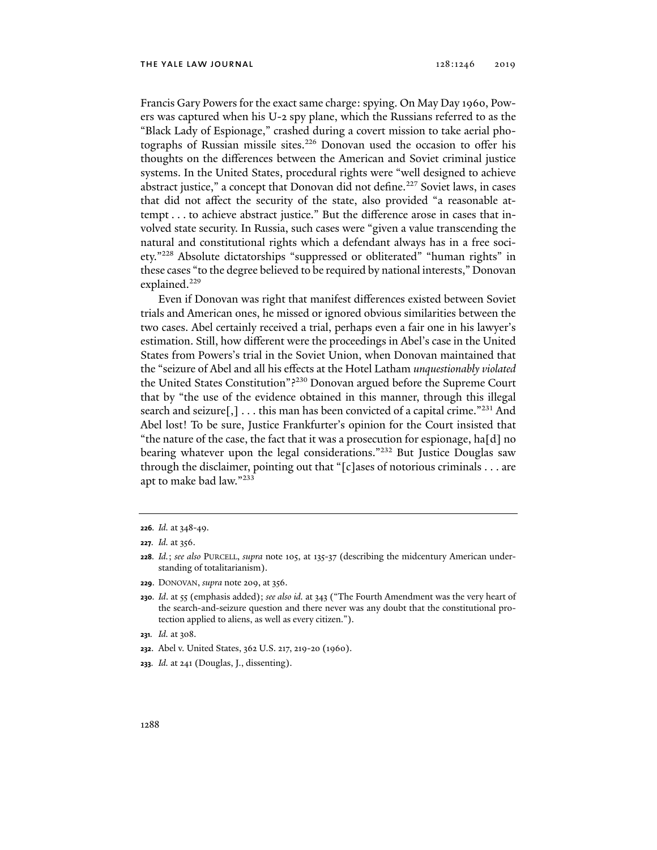Francis Gary Powers for the exact same charge: spying. On May Day 1960, Powers was captured when his U-2 spy plane, which the Russians referred to as the "Black Lady of Espionage," crashed during a covert mission to take aerial photographs of Russian missile sites.<sup>226</sup> Donovan used the occasion to offer his thoughts on the differences between the American and Soviet criminal justice systems. In the United States, procedural rights were "well designed to achieve abstract justice," a concept that Donovan did not define.<sup>227</sup> Soviet laws, in cases that did not affect the security of the state, also provided "a reasonable attempt . . . to achieve abstract justice." But the difference arose in cases that involved state security. In Russia, such cases were "given a value transcending the natural and constitutional rights which a defendant always has in a free society."228 Absolute dictatorships "suppressed or obliterated" "human rights" in these cases "to the degree believed to be required by national interests," Donovan explained.<sup>229</sup>

Even if Donovan was right that manifest differences existed between Soviet trials and American ones, he missed or ignored obvious similarities between the two cases. Abel certainly received a trial, perhaps even a fair one in his lawyer's estimation. Still, how different were the proceedings in Abel's case in the United States from Powers's trial in the Soviet Union, when Donovan maintained that the "seizure of Abel and all his effects at the Hotel Latham *unquestionably violated* the United States Constitution"?230 Donovan argued before the Supreme Court that by "the use of the evidence obtained in this manner, through this illegal search and seizure[,] . . . this man has been convicted of a capital crime."<sup>231</sup> And Abel lost! To be sure, Justice Frankfurter's opinion for the Court insisted that "the nature of the case, the fact that it was a prosecution for espionage, ha[d] no bearing whatever upon the legal considerations."<sup>232</sup> But Justice Douglas saw through the disclaimer, pointing out that "[c]ases of notorious criminals . . . are apt to make bad law."233

**229**. DONOVAN, *supra* note 209, at 356.

- **231***. Id.* at 308.
- **232**. Abel v. United States, 362 U.S. 217, 219-20 (1960).
- **233***. Id.* at 241 (Douglas, J., dissenting).

**<sup>226</sup>***. Id.* at 348-49.

**<sup>227</sup>***. Id.* at 356.

**<sup>228</sup>***. Id.*; *see also* PURCELL, *supra* note 105, at 135-37 (describing the midcentury American understanding of totalitarianism).

**<sup>230</sup>***. Id*. at 55 (emphasis added); *see also id.* at 343 ("The Fourth Amendment was the very heart of the search-and-seizure question and there never was any doubt that the constitutional protection applied to aliens, as well as every citizen.").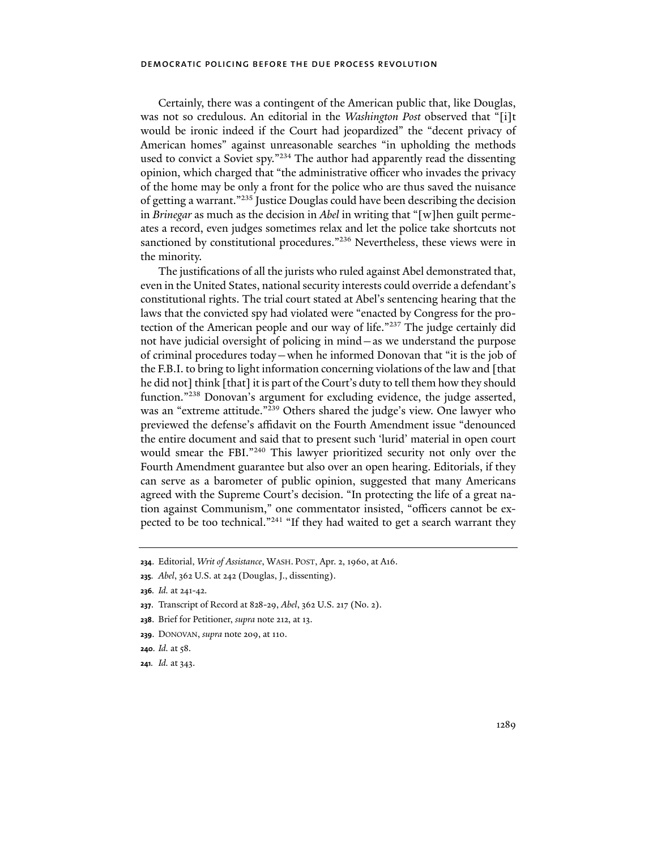Certainly, there was a contingent of the American public that, like Douglas, was not so credulous. An editorial in the *Washington Post* observed that "[i]t would be ironic indeed if the Court had jeopardized" the "decent privacy of American homes" against unreasonable searches "in upholding the methods used to convict a Soviet spy."234 The author had apparently read the dissenting opinion, which charged that "the administrative officer who invades the privacy of the home may be only a front for the police who are thus saved the nuisance of getting a warrant."235 Justice Douglas could have been describing the decision in *Brinegar* as much as the decision in *Abel* in writing that "[w]hen guilt permeates a record, even judges sometimes relax and let the police take shortcuts not sanctioned by constitutional procedures."<sup>236</sup> Nevertheless, these views were in the minority.

The justifications of all the jurists who ruled against Abel demonstrated that, even in the United States, national security interests could override a defendant's constitutional rights. The trial court stated at Abel's sentencing hearing that the laws that the convicted spy had violated were "enacted by Congress for the protection of the American people and our way of life."237 The judge certainly did not have judicial oversight of policing in mind—as we understand the purpose of criminal procedures today—when he informed Donovan that "it is the job of the F.B.I. to bring to light information concerning violations of the law and [that he did not] think [that] it is part of the Court's duty to tell them how they should function."238 Donovan's argument for excluding evidence, the judge asserted, was an "extreme attitude."239 Others shared the judge's view. One lawyer who previewed the defense's affidavit on the Fourth Amendment issue "denounced the entire document and said that to present such 'lurid' material in open court would smear the FBI."240 This lawyer prioritized security not only over the Fourth Amendment guarantee but also over an open hearing. Editorials, if they can serve as a barometer of public opinion, suggested that many Americans agreed with the Supreme Court's decision. "In protecting the life of a great nation against Communism," one commentator insisted, "officers cannot be expected to be too technical."241 "If they had waited to get a search warrant they

- **237**. Transcript of Record at 828-29, *Abel*, 362 U.S. 217 (No. 2).
- **238**. Brief for Petitioner, *supra* note 212, at 13.
- **239**. DONOVAN, *supra* note 209, at 110.
- **240***. Id.* at 58.
- **241***. Id.* at 343.

**<sup>234</sup>**. Editorial, *Writ of Assistance*, WASH. POST, Apr. 2, 1960, at A16.

**<sup>235</sup>***. Abel*, 362 U.S. at 242 (Douglas, J., dissenting).

**<sup>236</sup>***. Id.* at 241-42.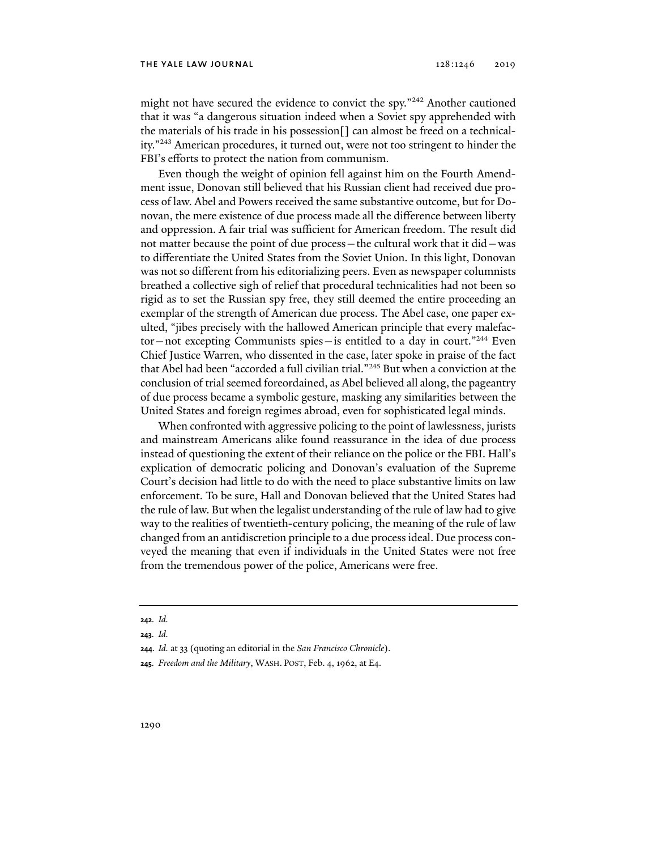might not have secured the evidence to convict the spy."<sup>242</sup> Another cautioned that it was "a dangerous situation indeed when a Soviet spy apprehended with the materials of his trade in his possession[] can almost be freed on a technicality."243 American procedures, it turned out, were not too stringent to hinder the FBI's efforts to protect the nation from communism.

Even though the weight of opinion fell against him on the Fourth Amendment issue, Donovan still believed that his Russian client had received due process of law. Abel and Powers received the same substantive outcome, but for Donovan, the mere existence of due process made all the difference between liberty and oppression. A fair trial was sufficient for American freedom. The result did not matter because the point of due process—the cultural work that it did—was to differentiate the United States from the Soviet Union. In this light, Donovan was not so different from his editorializing peers. Even as newspaper columnists breathed a collective sigh of relief that procedural technicalities had not been so rigid as to set the Russian spy free, they still deemed the entire proceeding an exemplar of the strength of American due process. The Abel case, one paper exulted, "jibes precisely with the hallowed American principle that every malefactor-not excepting Communists spies-is entitled to a day in court."<sup>244</sup> Even Chief Justice Warren, who dissented in the case, later spoke in praise of the fact that Abel had been "accorded a full civilian trial."245 But when a conviction at the conclusion of trial seemed foreordained, as Abel believed all along, the pageantry of due process became a symbolic gesture, masking any similarities between the United States and foreign regimes abroad, even for sophisticated legal minds.

When confronted with aggressive policing to the point of lawlessness, jurists and mainstream Americans alike found reassurance in the idea of due process instead of questioning the extent of their reliance on the police or the FBI. Hall's explication of democratic policing and Donovan's evaluation of the Supreme Court's decision had little to do with the need to place substantive limits on law enforcement. To be sure, Hall and Donovan believed that the United States had the rule of law. But when the legalist understanding of the rule of law had to give way to the realities of twentieth-century policing, the meaning of the rule of law changed from an antidiscretion principle to a due process ideal. Due process conveyed the meaning that even if individuals in the United States were not free from the tremendous power of the police, Americans were free.

**244***. Id.* at 33 (quoting an editorial in the *San Francisco Chronicle*).

**<sup>242</sup>***. Id.*

**<sup>243</sup>***. Id.*

**<sup>245</sup>***. Freedom and the Military*, WASH. POST, Feb. 4, 1962, at E4.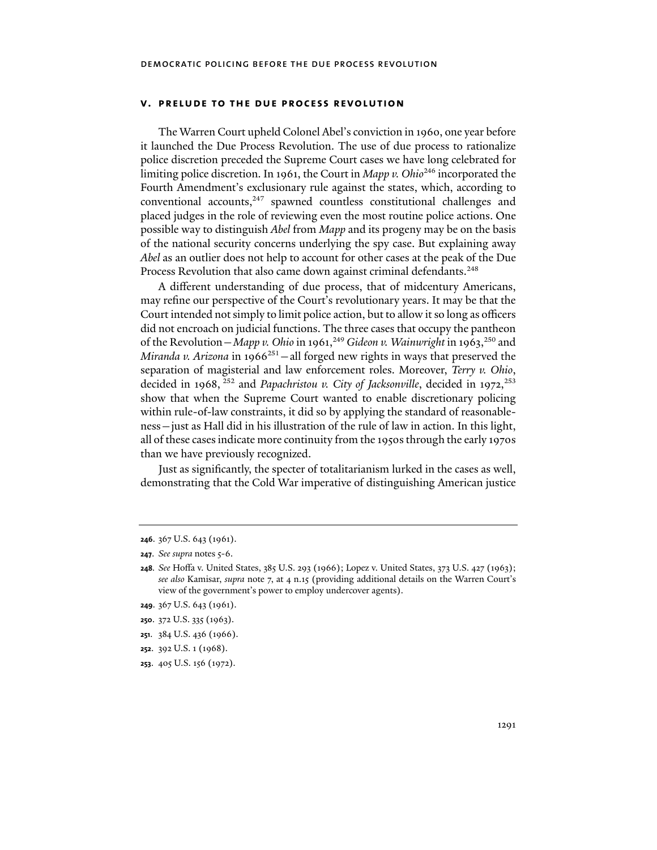## **v. prelude to the due process revolution**

The Warren Court upheld Colonel Abel's conviction in 1960, one year before it launched the Due Process Revolution. The use of due process to rationalize police discretion preceded the Supreme Court cases we have long celebrated for limiting police discretion. In 1961, the Court in *Mapp v. Ohio*246 incorporated the Fourth Amendment's exclusionary rule against the states, which, according to conventional accounts,<sup>247</sup> spawned countless constitutional challenges and placed judges in the role of reviewing even the most routine police actions. One possible way to distinguish *Abel* from *Mapp* and its progeny may be on the basis of the national security concerns underlying the spy case. But explaining away *Abel* as an outlier does not help to account for other cases at the peak of the Due Process Revolution that also came down against criminal defendants.<sup>248</sup>

A different understanding of due process, that of midcentury Americans, may refine our perspective of the Court's revolutionary years. It may be that the Court intended not simply to limit police action, but to allow it so long as officers did not encroach on judicial functions. The three cases that occupy the pantheon of the Revolution – Mapp v. Ohio in 1961,<sup>249</sup> Gideon v. Wainwright in 1963,<sup>250</sup> and *Miranda v. Arizona* in 1966<sup>251</sup> – all forged new rights in ways that preserved the separation of magisterial and law enforcement roles. Moreover, *Terry v. Ohio*, decided in 1968, <sup>252</sup> and *Papachristou v. City of Jacksonville*, decided in 1972,<sup>253</sup> show that when the Supreme Court wanted to enable discretionary policing within rule-of-law constraints, it did so by applying the standard of reasonableness—just as Hall did in his illustration of the rule of law in action. In this light, all of these cases indicate more continuity from the 1950s through the early 1970s than we have previously recognized.

Just as significantly, the specter of totalitarianism lurked in the cases as well, demonstrating that the Cold War imperative of distinguishing American justice

- **249**. 367 U.S. 643 (1961).
- **250**. 372 U.S. 335 (1963).
- **251**. 384 U.S. 436 (1966).
- **252**. 392 U.S. 1 (1968).
- **253**. 405 U.S. 156 (1972).

**<sup>246</sup>**. 367 U.S. 643 (1961).

**<sup>247</sup>**. *See supra* notes 5-6.

**<sup>248</sup>***. See* Hoffa v. United States, 385 U.S. 293 (1966); Lopez v. United States, 373 U.S. 427 (1963); *see also* Kamisar, *supra* note 7, at 4 n.15 (providing additional details on the Warren Court's view of the government's power to employ undercover agents).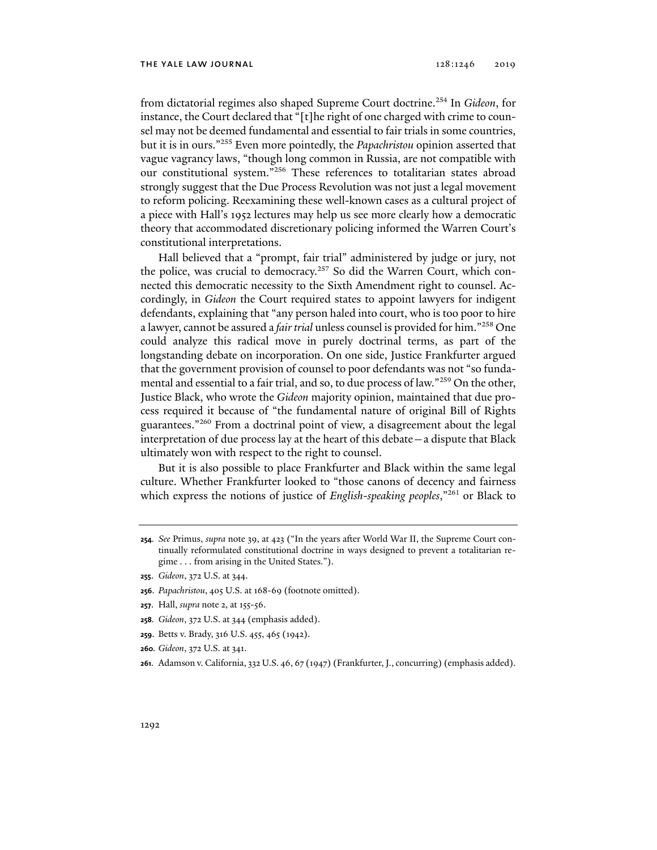from dictatorial regimes also shaped Supreme Court doctrine.254 In *Gideon*, for instance, the Court declared that "[t]he right of one charged with crime to counsel may not be deemed fundamental and essential to fair trials in some countries, but it is in ours."255 Even more pointedly, the *Papachristou* opinion asserted that vague vagrancy laws, "though long common in Russia, are not compatible with our constitutional system."256 These references to totalitarian states abroad strongly suggest that the Due Process Revolution was not just a legal movement to reform policing. Reexamining these well-known cases as a cultural project of a piece with Hall's 1952 lectures may help us see more clearly how a democratic theory that accommodated discretionary policing informed the Warren Court's constitutional interpretations.

Hall believed that a "prompt, fair trial" administered by judge or jury, not the police, was crucial to democracy.<sup>257</sup> So did the Warren Court, which connected this democratic necessity to the Sixth Amendment right to counsel. Accordingly, in *Gideon* the Court required states to appoint lawyers for indigent defendants, explaining that "any person haled into court, who is too poor to hire a lawyer, cannot be assured a *fair trial* unless counsel is provided for him."258 One could analyze this radical move in purely doctrinal terms, as part of the longstanding debate on incorporation. On one side, Justice Frankfurter argued that the government provision of counsel to poor defendants was not "so fundamental and essential to a fair trial, and so, to due process of law."259 On the other, Justice Black, who wrote the *Gideon* majority opinion, maintained that due process required it because of "the fundamental nature of original Bill of Rights guarantees."260 From a doctrinal point of view, a disagreement about the legal interpretation of due process lay at the heart of this debate—a dispute that Black ultimately won with respect to the right to counsel.

But it is also possible to place Frankfurter and Black within the same legal culture. Whether Frankfurter looked to "those canons of decency and fairness which express the notions of justice of *English-speaking peoples*,"261 or Black to

- **255**. *Gideon*, 372 U.S. at 344.
- **256**. *Papachristou*, 405 U.S. at 168-69 (footnote omitted).
- **257**. Hall, *supra* note 2, at 155-56.
- **258***. Gideon*, 372 U.S. at 344 (emphasis added).
- **259**. Betts v. Brady, 316 U.S. 455, 465 (1942).
- **260***. Gideon*, 372 U.S. at 341.
- **261**. Adamson v. California, 332 U.S. 46, 67 (1947) (Frankfurter, J., concurring) (emphasis added).

**<sup>254</sup>***. See* Primus, *supra* note 39, at 423 ("In the years after World War II, the Supreme Court continually reformulated constitutional doctrine in ways designed to prevent a totalitarian regime . . . from arising in the United States.").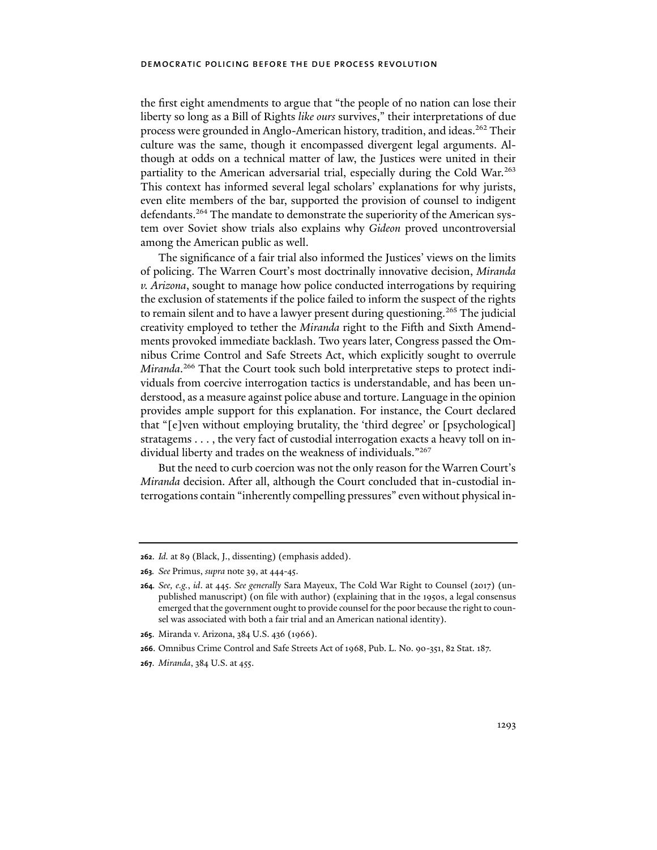the first eight amendments to argue that "the people of no nation can lose their liberty so long as a Bill of Rights *like ours* survives," their interpretations of due process were grounded in Anglo-American history, tradition, and ideas.262 Their culture was the same, though it encompassed divergent legal arguments. Although at odds on a technical matter of law, the Justices were united in their partiality to the American adversarial trial, especially during the Cold War.263 This context has informed several legal scholars' explanations for why jurists, even elite members of the bar, supported the provision of counsel to indigent defendants.<sup>264</sup> The mandate to demonstrate the superiority of the American system over Soviet show trials also explains why *Gideon* proved uncontroversial among the American public as well.

The significance of a fair trial also informed the Justices' views on the limits of policing. The Warren Court's most doctrinally innovative decision, *Miranda v. Arizona*, sought to manage how police conducted interrogations by requiring the exclusion of statements if the police failed to inform the suspect of the rights to remain silent and to have a lawyer present during questioning.<sup>265</sup> The judicial creativity employed to tether the *Miranda* right to the Fifth and Sixth Amendments provoked immediate backlash. Two years later, Congress passed the Omnibus Crime Control and Safe Streets Act, which explicitly sought to overrule *Miranda*. 266 That the Court took such bold interpretative steps to protect individuals from coercive interrogation tactics is understandable, and has been understood, as a measure against police abuse and torture. Language in the opinion provides ample support for this explanation. For instance, the Court declared that "[e]ven without employing brutality, the 'third degree' or [psychological] stratagems . . . , the very fact of custodial interrogation exacts a heavy toll on individual liberty and trades on the weakness of individuals."267

But the need to curb coercion was not the only reason for the Warren Court's *Miranda* decision. After all, although the Court concluded that in-custodial interrogations contain "inherently compelling pressures" even without physical in-

**265**. Miranda v. Arizona, 384 U.S. 436 (1966).

**<sup>262</sup>**. *Id.* at 89 (Black, J., dissenting) (emphasis added).

**<sup>263</sup>***. See* Primus, *supra* note 39, at 444-45.

**<sup>264</sup>***. See, e.g.*, *id*. at 445. *See generally* Sara Mayeux, The Cold War Right to Counsel (2017) (unpublished manuscript) (on file with author) (explaining that in the 1950s, a legal consensus emerged that the government ought to provide counsel for the poor because the right to counsel was associated with both a fair trial and an American national identity).

**<sup>266</sup>**. Omnibus Crime Control and Safe Streets Act of 1968, Pub. L. No. 90-351, 82 Stat. 187.

**<sup>267</sup>**. *Miranda*, 384 U.S. at 455.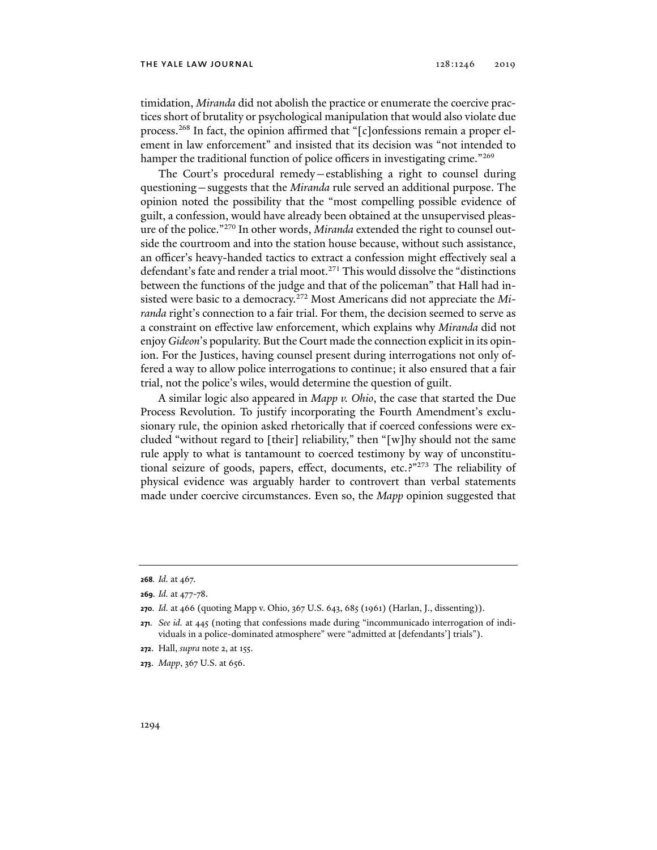timidation, *Miranda* did not abolish the practice or enumerate the coercive practices short of brutality or psychological manipulation that would also violate due process.268 In fact, the opinion affirmed that "[c]onfessions remain a proper element in law enforcement" and insisted that its decision was "not intended to hamper the traditional function of police officers in investigating crime."<sup>269</sup>

The Court's procedural remedy—establishing a right to counsel during questioning—suggests that the *Miranda* rule served an additional purpose. The opinion noted the possibility that the "most compelling possible evidence of guilt, a confession, would have already been obtained at the unsupervised pleasure of the police."270 In other words, *Miranda* extended the right to counsel outside the courtroom and into the station house because, without such assistance, an officer's heavy-handed tactics to extract a confession might effectively seal a defendant's fate and render a trial moot.271 This would dissolve the "distinctions between the functions of the judge and that of the policeman" that Hall had insisted were basic to a democracy.272 Most Americans did not appreciate the *Miranda* right's connection to a fair trial. For them, the decision seemed to serve as a constraint on effective law enforcement, which explains why *Miranda* did not enjoy *Gideon*'s popularity. But the Court made the connection explicit in its opinion. For the Justices, having counsel present during interrogations not only offered a way to allow police interrogations to continue; it also ensured that a fair trial, not the police's wiles, would determine the question of guilt.

A similar logic also appeared in *Mapp v. Ohio*, the case that started the Due Process Revolution. To justify incorporating the Fourth Amendment's exclusionary rule, the opinion asked rhetorically that if coerced confessions were excluded "without regard to [their] reliability," then "[w]hy should not the same rule apply to what is tantamount to coerced testimony by way of unconstitutional seizure of goods, papers, effect, documents, etc.?"273 The reliability of physical evidence was arguably harder to controvert than verbal statements made under coercive circumstances. Even so, the *Mapp* opinion suggested that

**<sup>268</sup>***. Id.* at 467.

**<sup>269</sup>***. Id.* at 477-78.

**<sup>270</sup>***. Id.* at 466 (quoting Mapp v. Ohio, 367 U.S. 643, 685 (1961) (Harlan, J., dissenting)).

**<sup>271</sup>***. See id.* at 445 (noting that confessions made during "incommunicado interrogation of individuals in a police-dominated atmosphere" were "admitted at [defendants'] trials").

**<sup>272</sup>**. Hall, *supra* note 2, at 155.

**<sup>273</sup>**. *Mapp*, 367 U.S. at 656.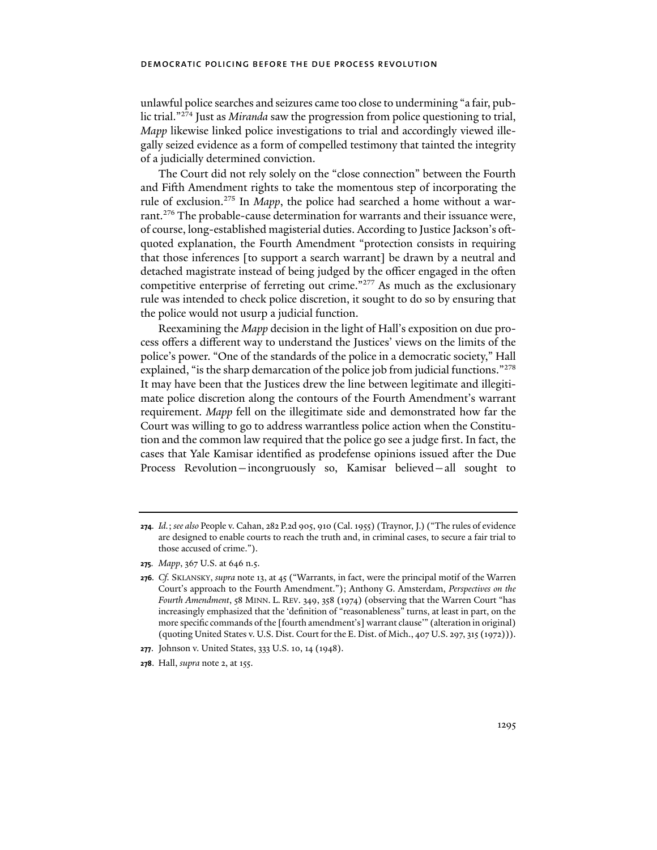unlawful police searches and seizures came too close to undermining "a fair, public trial."274 Just as *Miranda* saw the progression from police questioning to trial, *Mapp* likewise linked police investigations to trial and accordingly viewed illegally seized evidence as a form of compelled testimony that tainted the integrity of a judicially determined conviction.

The Court did not rely solely on the "close connection" between the Fourth and Fifth Amendment rights to take the momentous step of incorporating the rule of exclusion.275 In *Mapp*, the police had searched a home without a warrant.<sup>276</sup> The probable-cause determination for warrants and their issuance were, of course, long-established magisterial duties. According to Justice Jackson's oftquoted explanation, the Fourth Amendment "protection consists in requiring that those inferences [to support a search warrant] be drawn by a neutral and detached magistrate instead of being judged by the officer engaged in the often competitive enterprise of ferreting out crime."277 As much as the exclusionary rule was intended to check police discretion, it sought to do so by ensuring that the police would not usurp a judicial function.

Reexamining the *Mapp* decision in the light of Hall's exposition on due process offers a different way to understand the Justices' views on the limits of the police's power. "One of the standards of the police in a democratic society," Hall explained, "is the sharp demarcation of the police job from judicial functions."278 It may have been that the Justices drew the line between legitimate and illegitimate police discretion along the contours of the Fourth Amendment's warrant requirement. *Mapp* fell on the illegitimate side and demonstrated how far the Court was willing to go to address warrantless police action when the Constitution and the common law required that the police go see a judge first. In fact, the cases that Yale Kamisar identified as prodefense opinions issued after the Due Process Revolution—incongruously so, Kamisar believed—all sought to

**<sup>274</sup>***. Id.*; *see also* People v. Cahan, 282 P.2d 905, 910 (Cal. 1955) (Traynor, J.) ("The rules of evidence are designed to enable courts to reach the truth and, in criminal cases, to secure a fair trial to those accused of crime.").

**<sup>275</sup>***. Mapp*, 367 U.S. at 646 n.5.

**<sup>276</sup>***. Cf.* SKLANSKY, *supra* note 13, at 45 ("Warrants, in fact, were the principal motif of the Warren Court's approach to the Fourth Amendment."); Anthony G. Amsterdam, *Perspectives on the Fourth Amendment*, 58 MINN. L. REV. 349, 358 (1974) (observing that the Warren Court "has increasingly emphasized that the 'definition of "reasonableness" turns, at least in part, on the more specific commands of the [fourth amendment's] warrant clause'" (alteration in original) (quoting United States v. U.S. Dist. Court for the E. Dist. of Mich., 407 U.S. 297, 315 (1972))).

**<sup>277</sup>**. Johnson v. United States, 333 U.S. 10, 14 (1948).

**<sup>278</sup>**. Hall, *supra* note 2, at 155.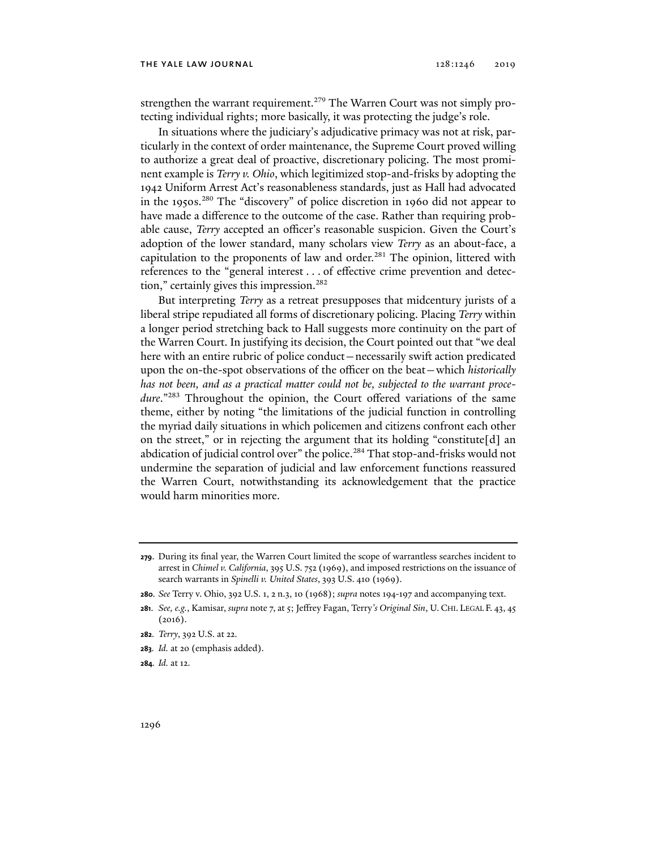strengthen the warrant requirement.<sup>279</sup> The Warren Court was not simply protecting individual rights; more basically, it was protecting the judge's role.

In situations where the judiciary's adjudicative primacy was not at risk, particularly in the context of order maintenance, the Supreme Court proved willing to authorize a great deal of proactive, discretionary policing. The most prominent example is *Terry v. Ohio*, which legitimized stop-and-frisks by adopting the 1942 Uniform Arrest Act's reasonableness standards, just as Hall had advocated in the 1950s.280 The "discovery" of police discretion in 1960 did not appear to have made a difference to the outcome of the case. Rather than requiring probable cause, *Terry* accepted an officer's reasonable suspicion. Given the Court's adoption of the lower standard, many scholars view *Terry* as an about-face, a capitulation to the proponents of law and order.<sup>281</sup> The opinion, littered with references to the "general interest . . . of effective crime prevention and detection," certainly gives this impression.<sup>282</sup>

But interpreting *Terry* as a retreat presupposes that midcentury jurists of a liberal stripe repudiated all forms of discretionary policing. Placing *Terry* within a longer period stretching back to Hall suggests more continuity on the part of the Warren Court. In justifying its decision, the Court pointed out that "we deal here with an entire rubric of police conduct—necessarily swift action predicated upon the on-the-spot observations of the officer on the beat—which *historically has not been, and as a practical matter could not be, subjected to the warrant procedure*."283 Throughout the opinion, the Court offered variations of the same theme, either by noting "the limitations of the judicial function in controlling the myriad daily situations in which policemen and citizens confront each other on the street," or in rejecting the argument that its holding "constitute [d] an abdication of judicial control over" the police.<sup>284</sup> That stop-and-frisks would not undermine the separation of judicial and law enforcement functions reassured the Warren Court, notwithstanding its acknowledgement that the practice would harm minorities more.

- **283***. Id.* at 20 (emphasis added).
- **284***. Id.* at 12.

**<sup>279</sup>**. During its final year, the Warren Court limited the scope of warrantless searches incident to arrest in *Chimel v. California*, 395 U.S. 752 (1969), and imposed restrictions on the issuance of search warrants in *Spinelli v. United States*, 393 U.S. 410 (1969).

**<sup>280</sup>***. See* Terry v. Ohio, 392 U.S. 1, 2 n.3, 10 (1968); *supra* notes 194-197 and accompanying text.

**<sup>281</sup>**. *See, e.g.*, Kamisar, *supra* note 7, at 5; Jeffrey Fagan, Terry*'s Original Sin*, U.CHI. LEGAL F. 43, 45 (2016).

**<sup>282</sup>***. Terry*, 392 U.S. at 22.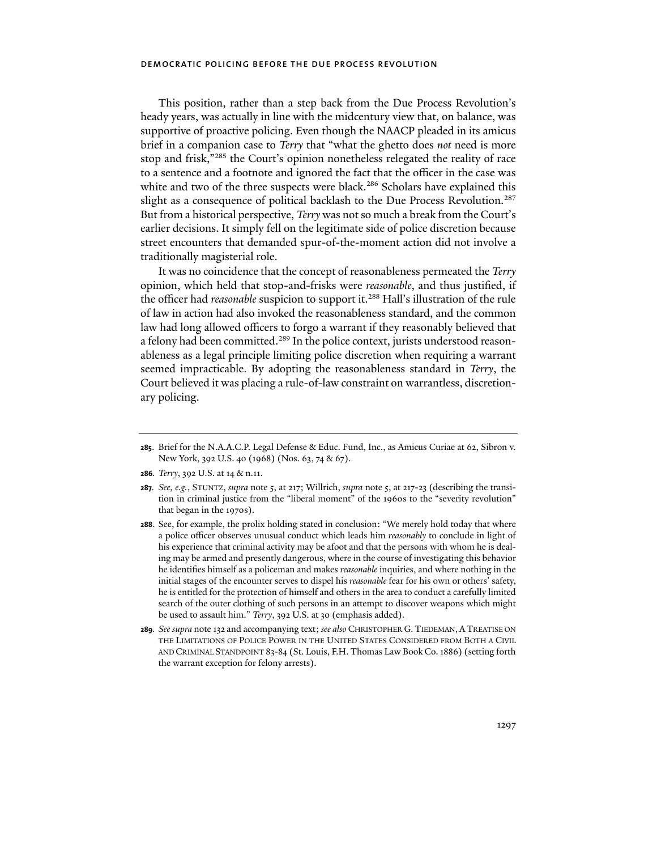This position, rather than a step back from the Due Process Revolution's heady years, was actually in line with the midcentury view that, on balance, was supportive of proactive policing. Even though the NAACP pleaded in its amicus brief in a companion case to *Terry* that "what the ghetto does *not* need is more stop and frisk,"285 the Court's opinion nonetheless relegated the reality of race to a sentence and a footnote and ignored the fact that the officer in the case was white and two of the three suspects were black.<sup>286</sup> Scholars have explained this slight as a consequence of political backlash to the Due Process Revolution.<sup>287</sup> But from a historical perspective, *Terry* was not so much a break from the Court's earlier decisions. It simply fell on the legitimate side of police discretion because street encounters that demanded spur-of-the-moment action did not involve a traditionally magisterial role.

It was no coincidence that the concept of reasonableness permeated the *Terry* opinion, which held that stop-and-frisks were *reasonable*, and thus justified, if the officer had *reasonable* suspicion to support it.<sup>288</sup> Hall's illustration of the rule of law in action had also invoked the reasonableness standard, and the common law had long allowed officers to forgo a warrant if they reasonably believed that a felony had been committed.<sup>289</sup> In the police context, jurists understood reasonableness as a legal principle limiting police discretion when requiring a warrant seemed impracticable. By adopting the reasonableness standard in *Terry*, the Court believed it was placing a rule-of-law constraint on warrantless, discretionary policing.

**286***. Terry*, 392 U.S. at 14 & n.11.

- **288**. See, for example, the prolix holding stated in conclusion: "We merely hold today that where a police officer observes unusual conduct which leads him *reasonably* to conclude in light of his experience that criminal activity may be afoot and that the persons with whom he is dealing may be armed and presently dangerous, where in the course of investigating this behavior he identifies himself as a policeman and makes *reasonable* inquiries, and where nothing in the initial stages of the encounter serves to dispel his *reasonable* fear for his own or others' safety, he is entitled for the protection of himself and others in the area to conduct a carefully limited search of the outer clothing of such persons in an attempt to discover weapons which might be used to assault him." *Terry*, 392 U.S. at 30 (emphasis added).
- **289***. See supra* note 132 and accompanying text; *see also* CHRISTOPHER G.TIEDEMAN, ATREATISE ON THE LIMITATIONS OF POLICE POWER IN THE UNITED STATES CONSIDERED FROM BOTH A CIVIL AND CRIMINAL STANDPOINT 83-84 (St. Louis, F.H. Thomas Law Book Co. 1886) (setting forth the warrant exception for felony arrests).

**<sup>285</sup>**. Brief for the N.A.A.C.P. Legal Defense & Educ. Fund, Inc., as Amicus Curiae at 62, Sibron v. New York, 392 U.S. 40 (1968) (Nos. 63, 74 & 67).

**<sup>287</sup>***. See, e.g.*, STUNTZ, *supra* note 5, at 217; Willrich, *supra* note 5, at 217-23 (describing the transition in criminal justice from the "liberal moment" of the 1960s to the "severity revolution" that began in the 1970s).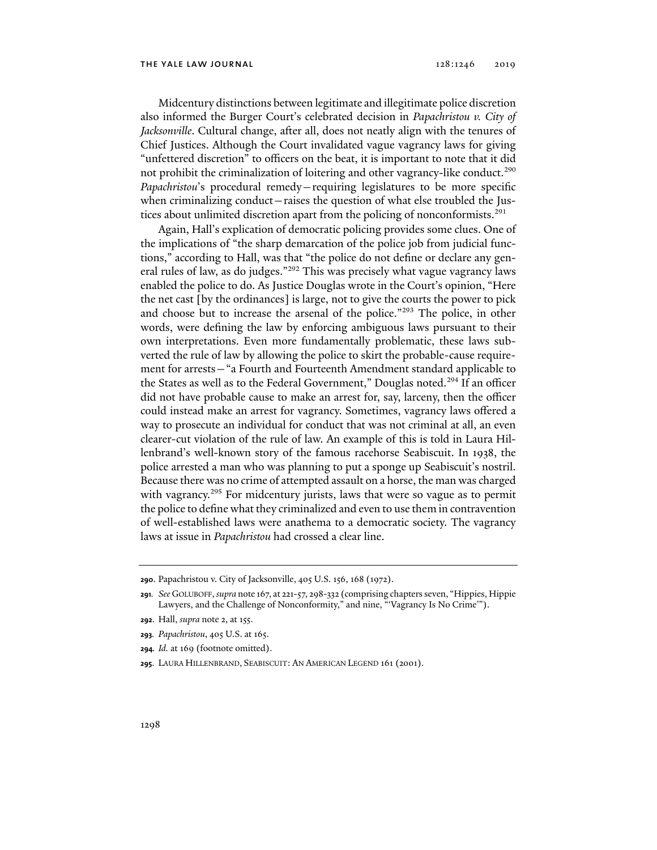Midcentury distinctions between legitimate and illegitimate police discretion also informed the Burger Court's celebrated decision in *Papachristou v. City of Jacksonville*. Cultural change, after all, does not neatly align with the tenures of Chief Justices. Although the Court invalidated vague vagrancy laws for giving "unfettered discretion" to officers on the beat, it is important to note that it did not prohibit the criminalization of loitering and other vagrancy-like conduct.<sup>290</sup> *Papachristou*'s procedural remedy—requiring legislatures to be more specific when criminalizing conduct—raises the question of what else troubled the Justices about unlimited discretion apart from the policing of nonconformists.<sup>291</sup>

Again, Hall's explication of democratic policing provides some clues. One of the implications of "the sharp demarcation of the police job from judicial functions," according to Hall, was that "the police do not define or declare any general rules of law, as do judges."<sup>292</sup> This was precisely what vague vagrancy laws enabled the police to do. As Justice Douglas wrote in the Court's opinion, "Here the net cast [by the ordinances] is large, not to give the courts the power to pick and choose but to increase the arsenal of the police."293 The police, in other words, were defining the law by enforcing ambiguous laws pursuant to their own interpretations. Even more fundamentally problematic, these laws subverted the rule of law by allowing the police to skirt the probable-cause requirement for arrests—"a Fourth and Fourteenth Amendment standard applicable to the States as well as to the Federal Government," Douglas noted.<sup>294</sup> If an officer did not have probable cause to make an arrest for, say, larceny, then the officer could instead make an arrest for vagrancy. Sometimes, vagrancy laws offered a way to prosecute an individual for conduct that was not criminal at all, an even clearer-cut violation of the rule of law. An example of this is told in Laura Hillenbrand's well-known story of the famous racehorse Seabiscuit. In 1938, the police arrested a man who was planning to put a sponge up Seabiscuit's nostril. Because there was no crime of attempted assault on a horse, the man was charged with vagrancy.<sup>295</sup> For midcentury jurists, laws that were so vague as to permit the police to define what they criminalized and even to use them in contravention of well-established laws were anathema to a democratic society. The vagrancy laws at issue in *Papachristou* had crossed a clear line.

**292**. Hall, *supra* note 2, at 155.

**<sup>290</sup>**. Papachristou v. City of Jacksonville, 405 U.S. 156, 168 (1972).

**<sup>291</sup>***. See* GOLUBOFF, *supra* note 167, at 221-57, 298-332 (comprising chapters seven, "Hippies, Hippie Lawyers, and the Challenge of Nonconformity," and nine, "'Vagrancy Is No Crime'").

**<sup>293</sup>***. Papachristou*, 405 U.S. at 165.

**<sup>294</sup>***. Id.* at 169 (footnote omitted).

**<sup>295</sup>**. LAURA HILLENBRAND, SEABISCUIT: AN AMERICAN LEGEND 161 (2001).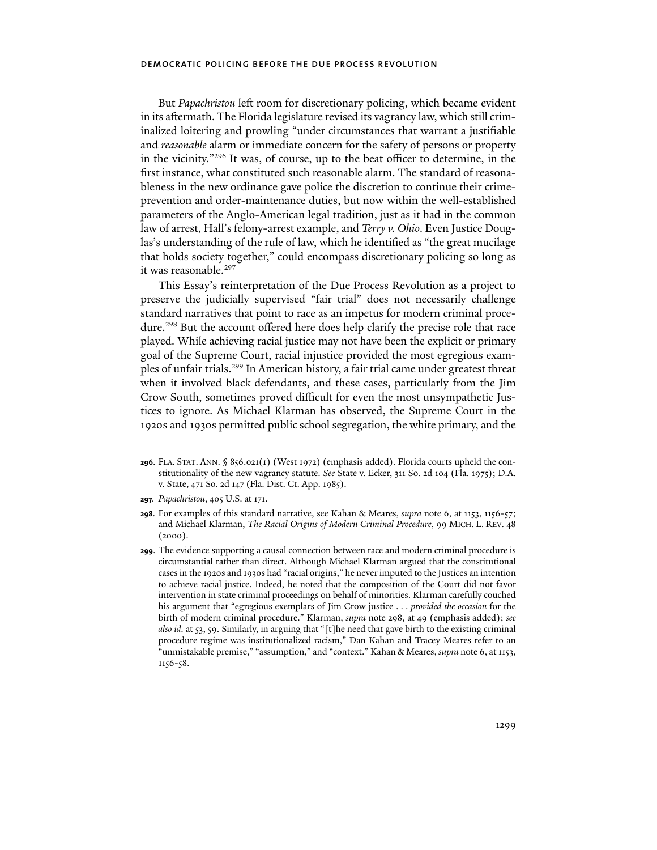But *Papachristou* left room for discretionary policing, which became evident in its aftermath. The Florida legislature revised its vagrancy law, which still criminalized loitering and prowling "under circumstances that warrant a justifiable and *reasonable* alarm or immediate concern for the safety of persons or property in the vicinity."296 It was, of course, up to the beat officer to determine, in the first instance, what constituted such reasonable alarm. The standard of reasonableness in the new ordinance gave police the discretion to continue their crimeprevention and order-maintenance duties, but now within the well-established parameters of the Anglo-American legal tradition, just as it had in the common law of arrest, Hall's felony-arrest example, and *Terry v. Ohio*. Even Justice Douglas's understanding of the rule of law, which he identified as "the great mucilage that holds society together," could encompass discretionary policing so long as it was reasonable.<sup>297</sup>

This Essay's reinterpretation of the Due Process Revolution as a project to preserve the judicially supervised "fair trial" does not necessarily challenge standard narratives that point to race as an impetus for modern criminal procedure.<sup>298</sup> But the account offered here does help clarify the precise role that race played. While achieving racial justice may not have been the explicit or primary goal of the Supreme Court, racial injustice provided the most egregious examples of unfair trials.299 In American history, a fair trial came under greatest threat when it involved black defendants, and these cases, particularly from the Jim Crow South, sometimes proved difficult for even the most unsympathetic Justices to ignore. As Michael Klarman has observed, the Supreme Court in the 1920s and 1930s permitted public school segregation, the white primary, and the

**<sup>296</sup>**. FLA. STAT. ANN. § 856.021(1) (West 1972) (emphasis added). Florida courts upheld the constitutionality of the new vagrancy statute. *See* State v. Ecker, 311 So. 2d 104 (Fla. 1975); D.A. v. State, 471 So. 2d 147 (Fla. Dist. Ct. App. 1985).

**<sup>297</sup>***. Papachristou*, 405 U.S. at 171.

**<sup>298</sup>**. For examples of this standard narrative, see Kahan & Meares, *supra* note 6, at 1153, 1156-57; and Michael Klarman, *The Racial Origins of Modern Criminal Procedure*, 99 MICH. L. REV. 48  $(2000)$ .

**<sup>299</sup>**. The evidence supporting a causal connection between race and modern criminal procedure is circumstantial rather than direct. Although Michael Klarman argued that the constitutional cases in the 1920s and 1930s had "racial origins," he never imputed to the Justices an intention to achieve racial justice. Indeed, he noted that the composition of the Court did not favor intervention in state criminal proceedings on behalf of minorities. Klarman carefully couched his argument that "egregious exemplars of Jim Crow justice . . . *provided the occasion* for the birth of modern criminal procedure." Klarman, *supra* note 298, at 49 (emphasis added); *see also id.* at 53, 59. Similarly, in arguing that "[t]he need that gave birth to the existing criminal procedure regime was institutionalized racism," Dan Kahan and Tracey Meares refer to an "unmistakable premise," "assumption," and "context." Kahan & Meares, *supra* note 6, at 1153, 1156-58.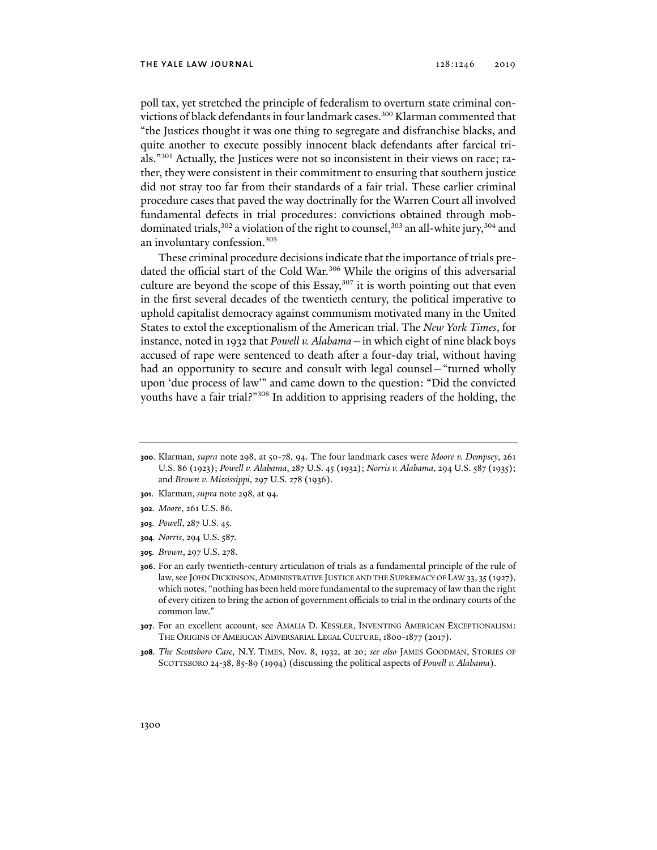poll tax, yet stretched the principle of federalism to overturn state criminal convictions of black defendants in four landmark cases.<sup>300</sup> Klarman commented that "the Justices thought it was one thing to segregate and disfranchise blacks, and quite another to execute possibly innocent black defendants after farcical trials."301 Actually, the Justices were not so inconsistent in their views on race; rather, they were consistent in their commitment to ensuring that southern justice did not stray too far from their standards of a fair trial. These earlier criminal procedure cases that paved the way doctrinally for the Warren Court all involved fundamental defects in trial procedures: convictions obtained through mobdominated trials,  $302$  a violation of the right to counsel,  $303$  an all-white jury,  $304$  and an involuntary confession.305

These criminal procedure decisions indicate that the importance of trials predated the official start of the Cold War.<sup>306</sup> While the origins of this adversarial culture are beyond the scope of this Essay, $307$  it is worth pointing out that even in the first several decades of the twentieth century, the political imperative to uphold capitalist democracy against communism motivated many in the United States to extol the exceptionalism of the American trial. The *New York Times*, for instance, noted in 1932 that *Powell v. Alabama*—in which eight of nine black boys accused of rape were sentenced to death after a four-day trial, without having had an opportunity to secure and consult with legal counsel—"turned wholly upon 'due process of law'" and came down to the question: "Did the convicted youths have a fair trial?"308 In addition to apprising readers of the holding, the

- **301**. Klarman, *supra* note 298, at 94.
- **302***. Moore*, 261 U.S. 86.
- **303***. Powell*, 287 U.S. 45.
- **304***. Norris*, 294 U.S. 587.
- **305***. Brown*, 297 U.S. 278.
- **306**. For an early twentieth-century articulation of trials as a fundamental principle of the rule of law, see JOHN DICKINSON, ADMINISTRATIVE JUSTICE AND THE SUPREMACY OF LAW 33, 35 (1927), which notes, "nothing has been held more fundamental to the supremacy of law than the right of every citizen to bring the action of government officials to trial in the ordinary courts of the common law."
- **307**. For an excellent account, see AMALIA D. KESSLER, INVENTING AMERICAN EXCEPTIONALISM: THE ORIGINS OF AMERICAN ADVERSARIAL LEGAL CULTURE, 1800-1877 (2017).
- **308***. The Scottsboro Case*, N.Y. TIMES, Nov. 8, 1932, at 20; *see also* JAMES GOODMAN, STORIES OF SCOTTSBORO 24-38, 85-89 (1994) (discussing the political aspects of *Powell v. Alabama*).

**<sup>300</sup>**. Klarman, *supra* note 298, at 50-78, 94. The four landmark cases were *Moore v. Dempsey*, 261 U.S. 86 (1923); *Powell v. Alabama*, 287 U.S. 45 (1932); *Norris v. Alabama*, 294 U.S. 587 (1935); and *Brown v. Mississippi*, 297 U.S. 278 (1936).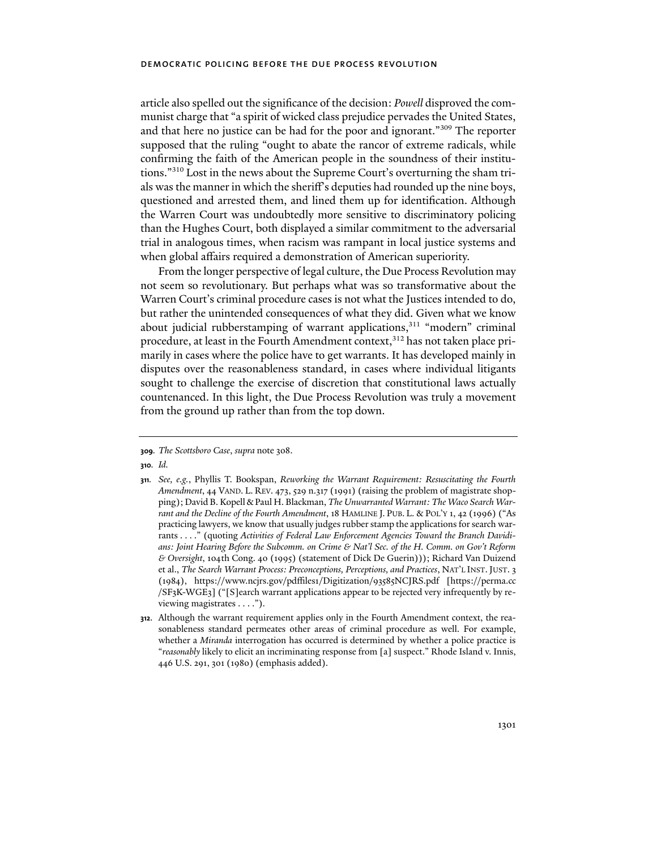article also spelled out the significance of the decision: *Powell* disproved the communist charge that "a spirit of wicked class prejudice pervades the United States, and that here no justice can be had for the poor and ignorant."309 The reporter supposed that the ruling "ought to abate the rancor of extreme radicals, while confirming the faith of the American people in the soundness of their institutions."310 Lost in the news about the Supreme Court's overturning the sham trials was the manner in which the sheriff's deputies had rounded up the nine boys, questioned and arrested them, and lined them up for identification. Although the Warren Court was undoubtedly more sensitive to discriminatory policing than the Hughes Court, both displayed a similar commitment to the adversarial trial in analogous times, when racism was rampant in local justice systems and when global affairs required a demonstration of American superiority.

From the longer perspective of legal culture, the Due Process Revolution may not seem so revolutionary. But perhaps what was so transformative about the Warren Court's criminal procedure cases is not what the Justices intended to do, but rather the unintended consequences of what they did. Given what we know about judicial rubberstamping of warrant applications,<sup>311</sup> "modern" criminal procedure, at least in the Fourth Amendment context,<sup>312</sup> has not taken place primarily in cases where the police have to get warrants. It has developed mainly in disputes over the reasonableness standard, in cases where individual litigants sought to challenge the exercise of discretion that constitutional laws actually countenanced. In this light, the Due Process Revolution was truly a movement from the ground up rather than from the top down.

**<sup>309</sup>***. The Scottsboro Case*, *supra* note 308.

**<sup>310</sup>***. Id.*

**<sup>311</sup>***. See, e.g.*, Phyllis T. Bookspan, *Reworking the Warrant Requirement: Resuscitating the Fourth Amendment*, 44 VAND. L. REV. 473, 529 n.317 (1991) (raising the problem of magistrate shopping); David B. Kopell & Paul H. Blackman, *The Unwarranted Warrant: The Waco Search Warrant and the Decline of the Fourth Amendment*, 18 HAMLINE J. PUB. L. & POL'Y 1, 42 (1996) ("As practicing lawyers, we know that usually judges rubber stamp the applications for search warrants . . . ." (quoting *Activities of Federal Law Enforcement Agencies Toward the Branch Davidians: Joint Hearing Before the Subcomm. on Crime & Nat'l Sec. of the H. Comm. on Gov't Reform & Oversight*, 104th Cong. 40 (1995) (statement of Dick De Guerin))); Richard Van Duizend et al., *The Search Warrant Process: Preconceptions, Perceptions, and Practices, NAT'L INST. JUST.* 3 (1984), https://www.ncjrs.gov/pdffiles1/Digitization/93585NCJRS.pdf [https://perma.cc /SF3K-WGE3] ("[S]earch warrant applications appear to be rejected very infrequently by reviewing magistrates . . . .").

**<sup>312</sup>**. Although the warrant requirement applies only in the Fourth Amendment context, the reasonableness standard permeates other areas of criminal procedure as well. For example, whether a *Miranda* interrogation has occurred is determined by whether a police practice is "*reasonably* likely to elicit an incriminating response from [a] suspect." Rhode Island v. Innis, 446 U.S. 291, 301 (1980) (emphasis added).